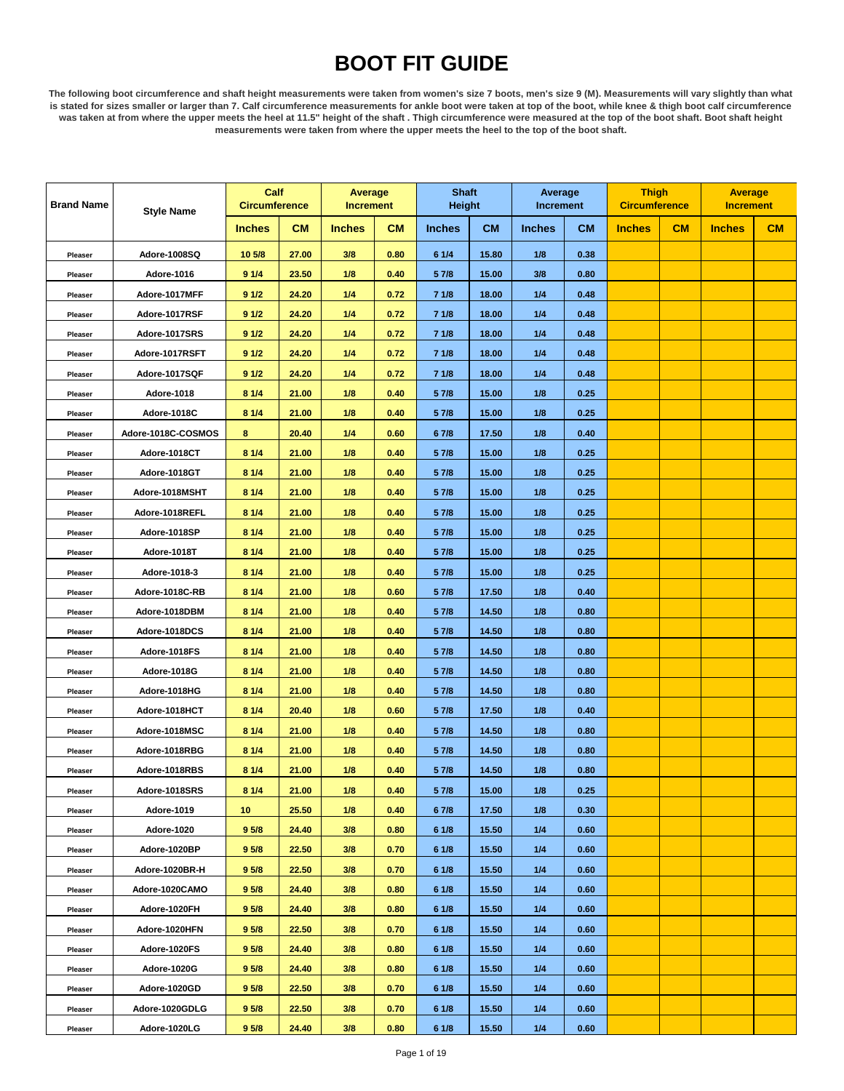## **BOOT FIT GUIDE**

**The following boot circumference and shaft height measurements were taken from women's size 7 boots, men's size 9 (M). Measurements will vary slightly than what is stated for sizes smaller or larger than 7. Calf circumference measurements for ankle boot were taken at top of the boot, while knee & thigh boot calf circumference was taken at from where the upper meets the heel at 11.5" height of the shaft . Thigh circumference were measured at the top of the boot shaft. Boot shaft height measurements were taken from where the upper meets the heel to the top of the boot shaft.**

| <b>Brand Name</b> | <b>Style Name</b>  | Calf<br><b>Circumference</b> |           | <b>Average</b><br><b>Increment</b> |           | <b>Shaft</b><br><b>Height</b> |           | Average<br><b>Increment</b> |           | <b>Thigh</b><br><b>Circumference</b> |    | Average<br><b>Increment</b> |    |
|-------------------|--------------------|------------------------------|-----------|------------------------------------|-----------|-------------------------------|-----------|-----------------------------|-----------|--------------------------------------|----|-----------------------------|----|
|                   |                    | <b>Inches</b>                | <b>CM</b> | <b>Inches</b>                      | <b>CM</b> | <b>Inches</b>                 | <b>CM</b> | <b>Inches</b>               | <b>CM</b> | <b>Inches</b>                        | CM | <b>Inches</b>               | CM |
| Pleaser           | Adore-1008SQ       | 10 5/8                       | 27.00     | 3/8                                | 0.80      | 6 1/4                         | 15.80     | 1/8                         | 0.38      |                                      |    |                             |    |
| Pleaser           | Adore-1016         | 91/4                         | 23.50     | 1/8                                | 0.40      | 5 7/8                         | 15.00     | 3/8                         | 0.80      |                                      |    |                             |    |
| Pleaser           | Adore-1017MFF      | 91/2                         | 24.20     | 1/4                                | 0.72      | 71/8                          | 18.00     | 1/4                         | 0.48      |                                      |    |                             |    |
| Pleaser           | Adore-1017RSF      | 91/2                         | 24.20     | 1/4                                | 0.72      | 71/8                          | 18.00     | 1/4                         | 0.48      |                                      |    |                             |    |
| Pleaser           | Adore-1017SRS      | 91/2                         | 24.20     | 1/4                                | 0.72      | 71/8                          | 18.00     | 1/4                         | 0.48      |                                      |    |                             |    |
| Pleaser           | Adore-1017RSFT     | 91/2                         | 24.20     | 1/4                                | 0.72      | 71/8                          | 18.00     | 1/4                         | 0.48      |                                      |    |                             |    |
| Pleaser           | Adore-1017SQF      | 91/2                         | 24.20     | 1/4                                | 0.72      | 71/8                          | 18.00     | 1/4                         | 0.48      |                                      |    |                             |    |
| Pleaser           | Adore-1018         | 81/4                         | 21.00     | 1/8                                | 0.40      | 5 7/8                         | 15.00     | 1/8                         | 0.25      |                                      |    |                             |    |
| Pleaser           | Adore-1018C        | 81/4                         | 21.00     | 1/8                                | 0.40      | 5 7/8                         | 15.00     | 1/8                         | 0.25      |                                      |    |                             |    |
| Pleaser           | Adore-1018C-COSMOS | 8                            | 20.40     | 1/4                                | 0.60      | 67/8                          | 17.50     | 1/8                         | 0.40      |                                      |    |                             |    |
| Pleaser           | Adore-1018CT       | 81/4                         | 21.00     | 1/8                                | 0.40      | 5 7/8                         | 15.00     | 1/8                         | 0.25      |                                      |    |                             |    |
| Pleaser           | Adore-1018GT       | 81/4                         | 21.00     | 1/8                                | 0.40      | 5 7/8                         | 15.00     | 1/8                         | 0.25      |                                      |    |                             |    |
| Pleaser           | Adore-1018MSHT     | 81/4                         | 21.00     | 1/8                                | 0.40      | 5 7/8                         | 15.00     | 1/8                         | 0.25      |                                      |    |                             |    |
| Pleaser           | Adore-1018REFL     | 81/4                         | 21.00     | 1/8                                | 0.40      | 5 7/8                         | 15.00     | 1/8                         | 0.25      |                                      |    |                             |    |
| Pleaser           | Adore-1018SP       | 81/4                         | 21.00     | 1/8                                | 0.40      | 5 7/8                         | 15.00     | 1/8                         | 0.25      |                                      |    |                             |    |
| Pleaser           | Adore-1018T        | 81/4                         | 21.00     | 1/8                                | 0.40      | 5 7/8                         | 15.00     | 1/8                         | 0.25      |                                      |    |                             |    |
| Pleaser           | Adore-1018-3       | 81/4                         | 21.00     | 1/8                                | 0.40      | 5 7/8                         | 15.00     | 1/8                         | 0.25      |                                      |    |                             |    |
| Pleaser           | Adore-1018C-RB     | 81/4                         | 21.00     | 1/8                                | 0.60      | 5 7/8                         | 17.50     | 1/8                         | 0.40      |                                      |    |                             |    |
| Pleaser           | Adore-1018DBM      | 81/4                         | 21.00     | 1/8                                | 0.40      | 5 7/8                         | 14.50     | 1/8                         | 0.80      |                                      |    |                             |    |
| Pleaser           | Adore-1018DCS      | 81/4                         | 21.00     | 1/8                                | 0.40      | 5 7/8                         | 14.50     | 1/8                         | 0.80      |                                      |    |                             |    |
| Pleaser           | Adore-1018FS       | 81/4                         | 21.00     | 1/8                                | 0.40      | 5 7/8                         | 14.50     | 1/8                         | 0.80      |                                      |    |                             |    |
| Pleaser           | Adore-1018G        | 81/4                         | 21.00     | 1/8                                | 0.40      | 5 7/8                         | 14.50     | 1/8                         | 0.80      |                                      |    |                             |    |
| Pleaser           | Adore-1018HG       | 81/4                         | 21.00     | 1/8                                | 0.40      | 5 7/8                         | 14.50     | 1/8                         | 0.80      |                                      |    |                             |    |
| Pleaser           | Adore-1018HCT      | 81/4                         | 20.40     | 1/8                                | 0.60      | 5 7/8                         | 17.50     | 1/8                         | 0.40      |                                      |    |                             |    |
| Pleaser           | Adore-1018MSC      | 81/4                         | 21.00     | 1/8                                | 0.40      | 5 7/8                         | 14.50     | 1/8                         | 0.80      |                                      |    |                             |    |
| Pleaser           | Adore-1018RBG      | 81/4                         | 21.00     | 1/8                                | 0.40      | 5 7/8                         | 14.50     | 1/8                         | 0.80      |                                      |    |                             |    |
| Pleaser           | Adore-1018RBS      | 8 1/4                        | 21.00     | 1/8                                | 0.40      | 5 7/8                         | 14.50     | 1/8                         | 0.80      |                                      |    |                             |    |
| Pleaser           | Adore-1018SRS      | 81/4                         | 21.00     | 1/8                                | 0.40      | 5 7/8                         | 15.00     | 1/8                         | 0.25      |                                      |    |                             |    |
| Pleaser           | Adore-1019         | 10                           | 25.50     | 1/8                                | 0.40      | 67/8                          | 17.50     | 1/8                         | 0.30      |                                      |    |                             |    |
| Pleaser           | Adore-1020         | 9 <sub>5/8</sub>             | 24.40     | 3/8                                | 0.80      | 61/8                          | 15.50     | 1/4                         | 0.60      |                                      |    |                             |    |
| Pleaser           | Adore-1020BP       | 9 <sub>5/8</sub>             | 22.50     | 3/8                                | 0.70      | 61/8                          | 15.50     | 1/4                         | 0.60      |                                      |    |                             |    |
| Pleaser           | Adore-1020BR-H     | 9 <sub>5/8</sub>             | 22.50     | 3/8                                | 0.70      | 61/8                          | 15.50     | 1/4                         | 0.60      |                                      |    |                             |    |
| Pleaser           | Adore-1020CAMO     | 9 <sub>5/8</sub>             | 24.40     | 3/8                                | 0.80      | 61/8                          | 15.50     | 1/4                         | 0.60      |                                      |    |                             |    |
| Pleaser           | Adore-1020FH       | 9 <sub>5/8</sub>             | 24.40     | 3/8                                | 0.80      | 61/8                          | 15.50     | 1/4                         | 0.60      |                                      |    |                             |    |
| Pleaser           | Adore-1020HFN      | 9 <sub>5/8</sub>             | 22.50     | 3/8                                | 0.70      | 61/8                          | 15.50     | 1/4                         | 0.60      |                                      |    |                             |    |
| Pleaser           | Adore-1020FS       | 9 <sub>5/8</sub>             | 24.40     | 3/8                                | 0.80      | 61/8                          | 15.50     | 1/4                         | 0.60      |                                      |    |                             |    |
| Pleaser           | Adore-1020G        | 9 <sub>5/8</sub>             | 24.40     | 3/8                                | 0.80      | 61/8                          | 15.50     | 1/4                         | 0.60      |                                      |    |                             |    |
| Pleaser           | Adore-1020GD       | 9 <sub>5/8</sub>             | 22.50     | 3/8                                | 0.70      | 61/8                          | 15.50     | 1/4                         | 0.60      |                                      |    |                             |    |
| Pleaser           | Adore-1020GDLG     | 9 <sub>5/8</sub>             | 22.50     | 3/8                                | 0.70      | 61/8                          | 15.50     | 1/4                         | 0.60      |                                      |    |                             |    |
| Pleaser           | Adore-1020LG       | 9 <sub>5/8</sub>             | 24.40     | 3/8                                | 0.80      | 61/8                          | 15.50     | 1/4                         | 0.60      |                                      |    |                             |    |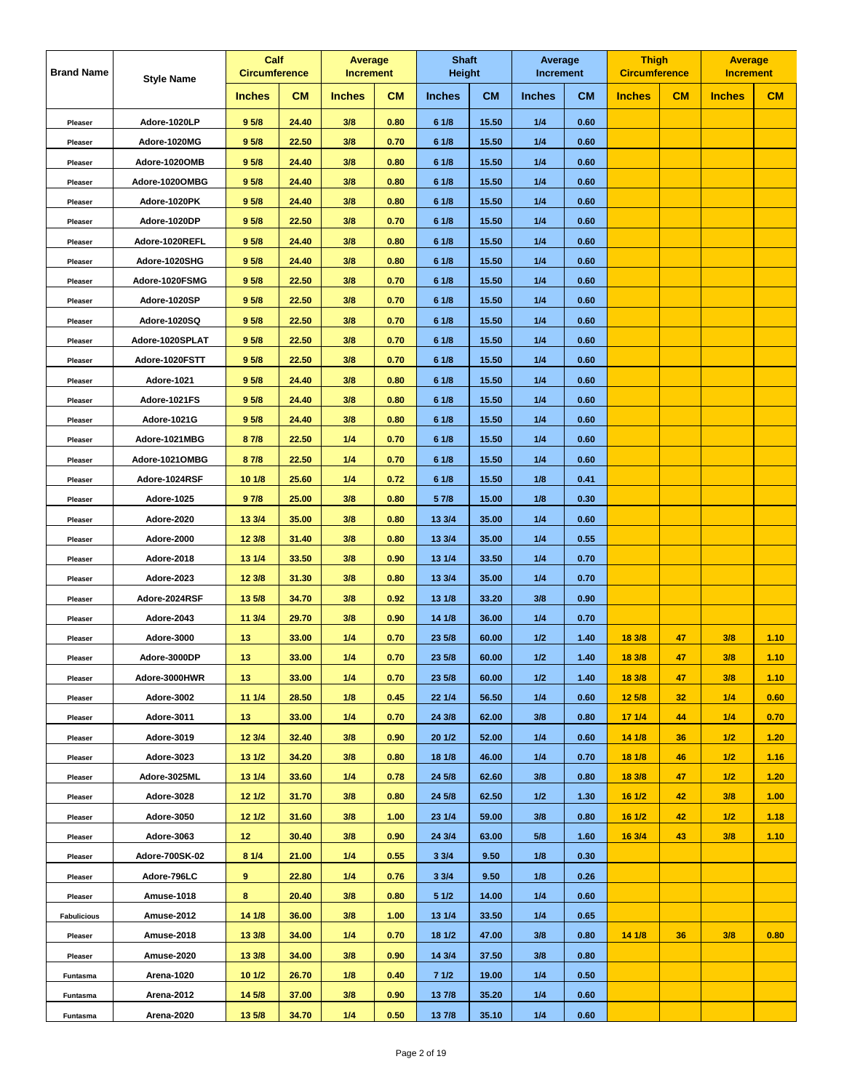| <b>Brand Name</b>  | <b>Style Name</b> | Calf<br><b>Circumference</b> |           | <b>Average</b><br><b>Increment</b> |           | <b>Shaft</b><br><b>Height</b> |           | Average<br><b>Increment</b> |           | <b>Thigh</b><br><b>Circumference</b> |    | <b>Average</b><br><b>Increment</b> |      |
|--------------------|-------------------|------------------------------|-----------|------------------------------------|-----------|-------------------------------|-----------|-----------------------------|-----------|--------------------------------------|----|------------------------------------|------|
|                    |                   | <b>Inches</b>                | <b>CM</b> | <b>Inches</b>                      | <b>CM</b> | <b>Inches</b>                 | <b>CM</b> | <b>Inches</b>               | <b>CM</b> | <b>Inches</b>                        | CM | <b>Inches</b>                      | CM   |
| Pleaser            | Adore-1020LP      | 9 <sub>5/8</sub>             | 24.40     | 3/8                                | 0.80      | 61/8                          | 15.50     | 1/4                         | 0.60      |                                      |    |                                    |      |
| Pleaser            | Adore-1020MG      | 9 5/8                        | 22.50     | 3/8                                | 0.70      | 6 1/8                         | 15.50     | 1/4                         | 0.60      |                                      |    |                                    |      |
| Pleaser            | Adore-1020OMB     | 9 <sub>5/8</sub>             | 24.40     | 3/8                                | 0.80      | 61/8                          | 15.50     | 1/4                         | 0.60      |                                      |    |                                    |      |
| Pleaser            | Adore-1020OMBG    | 9 <sub>5/8</sub>             | 24.40     | 3/8                                | 0.80      | 6 1/8                         | 15.50     | 1/4                         | 0.60      |                                      |    |                                    |      |
| Pleaser            | Adore-1020PK      | 9 <sub>5/8</sub>             | 24.40     | 3/8                                | 0.80      | 61/8                          | 15.50     | 1/4                         | 0.60      |                                      |    |                                    |      |
| Pleaser            | Adore-1020DP      | 9 <sub>5/8</sub>             | 22.50     | 3/8                                | 0.70      | 61/8                          | 15.50     | 1/4                         | 0.60      |                                      |    |                                    |      |
| Pleaser            | Adore-1020REFL    | 9 5/8                        | 24.40     | 3/8                                | 0.80      | 6 1/8                         | 15.50     | 1/4                         | 0.60      |                                      |    |                                    |      |
| Pleaser            | Adore-1020SHG     | 9 <sub>5/8</sub>             | 24.40     | 3/8                                | 0.80      | 61/8                          | 15.50     | 1/4                         | 0.60      |                                      |    |                                    |      |
| Pleaser            | Adore-1020FSMG    | 9 <sub>5/8</sub>             | 22.50     | 3/8                                | 0.70      | 6 1/8                         | 15.50     | 1/4                         | 0.60      |                                      |    |                                    |      |
| Pleaser            | Adore-1020SP      | 9 <sub>5/8</sub>             | 22.50     | 3/8                                | 0.70      | 61/8                          | 15.50     | 1/4                         | 0.60      |                                      |    |                                    |      |
| Pleaser            | Adore-1020SQ      | 9 <sub>5/8</sub>             | 22.50     | 3/8                                | 0.70      | 61/8                          | 15.50     | 1/4                         | 0.60      |                                      |    |                                    |      |
| Pleaser            | Adore-1020SPLAT   | 9 <sub>5/8</sub>             | 22.50     | 3/8                                | 0.70      | 6 1/8                         | 15.50     | 1/4                         | 0.60      |                                      |    |                                    |      |
| Pleaser            | Adore-1020FSTT    | 9 <sub>5/8</sub>             | 22.50     | 3/8                                | 0.70      | 61/8                          | 15.50     | 1/4                         | 0.60      |                                      |    |                                    |      |
| Pleaser            | Adore-1021        | 9 <sub>5/8</sub>             | 24.40     | 3/8                                | 0.80      | 6 1/8                         | 15.50     | 1/4                         | 0.60      |                                      |    |                                    |      |
| Pleaser            | Adore-1021FS      | 9 <sub>5/8</sub>             | 24.40     | 3/8                                | 0.80      | 61/8                          | 15.50     | 1/4                         | 0.60      |                                      |    |                                    |      |
| Pleaser            | Adore-1021G       | 9 5/8                        | 24.40     | 3/8                                | 0.80      | 61/8                          | 15.50     | 1/4                         | 0.60      |                                      |    |                                    |      |
| Pleaser            | Adore-1021MBG     | 8 7/8                        | 22.50     | 1/4                                | 0.70      | 6 1/8                         | 15.50     | 1/4                         | 0.60      |                                      |    |                                    |      |
| Pleaser            | Adore-1021OMBG    | 87/8                         | 22.50     | 1/4                                | 0.70      | 61/8                          | 15.50     | 1/4                         | 0.60      |                                      |    |                                    |      |
| Pleaser            | Adore-1024RSF     | 10 1/8                       | 25.60     | 1/4                                | 0.72      | 6 1/8                         | 15.50     | 1/8                         | 0.41      |                                      |    |                                    |      |
| Pleaser            | Adore-1025        | 97/8                         | 25.00     | 3/8                                | 0.80      | 5 7/8                         | 15.00     | 1/8                         | 0.30      |                                      |    |                                    |      |
| Pleaser            | Adore-2020        | 13 3/4                       | 35.00     | 3/8                                | 0.80      | 13 3/4                        | 35.00     | 1/4                         | 0.60      |                                      |    |                                    |      |
| Pleaser            | Adore-2000        | 12 3/8                       | 31.40     | 3/8                                | 0.80      | 13 3/4                        | 35.00     | 1/4                         | 0.55      |                                      |    |                                    |      |
| Pleaser            | Adore-2018        | 13 1/4                       | 33.50     | 3/8                                | 0.90      | 13 1/4                        | 33.50     | 1/4                         | 0.70      |                                      |    |                                    |      |
| Pleaser            | Adore-2023        | 12 3/8                       | 31.30     | 3/8                                | 0.80      | 13 3/4                        | 35.00     | 1/4                         | 0.70      |                                      |    |                                    |      |
| Pleaser            | Adore-2024RSF     | 13 5/8                       | 34.70     | 3/8                                | 0.92      | 13 1/8                        | 33.20     | 3/8                         | 0.90      |                                      |    |                                    |      |
| Pleaser            | Adore-2043        | 11 3/4                       | 29.70     | 3/8                                | 0.90      | 14 1/8                        | 36.00     | 1/4                         | 0.70      |                                      |    |                                    |      |
| Pleaser            | Adore-3000        | 13                           | 33.00     | 1/4                                | 0.70      | 23 5/8                        | 60.00     | 1/2                         | 1.40      | 18 3/8                               | 47 | 3/8                                | 1.10 |
| Pleaser            | Adore-3000DP      | 13                           | 33.00     | 1/4                                | 0.70      | 23 5/8                        | 60.00     | 1/2                         | 1.40      | 18 3/8                               | 47 | 3/8                                | 1.10 |
| Pleaser            | Adore-3000HWR     | 13                           | 33.00     | 1/4                                | 0.70      | 23 5/8                        | 60.00     | 1/2                         | 1.40      | 18 3/8                               | 47 | 3/8                                | 1.10 |
| Pleaser            | Adore-3002        | 11 1/4                       | 28.50     | 1/8                                | 0.45      | 22 1/4                        | 56.50     | 1/4                         | 0.60      | 12 5/8                               | 32 | 1/4                                | 0.60 |
| Pleaser            | Adore-3011        | 13                           | 33.00     | 1/4                                | 0.70      | 24 3/8                        | 62.00     | 3/8                         | 0.80      | 17 1/4                               | 44 | 1/4                                | 0.70 |
| Pleaser            | Adore-3019        | 12 3/4                       | 32.40     | 3/8                                | 0.90      | 20 1/2                        | 52.00     | 1/4                         | 0.60      | 14 1/8                               | 36 | 1/2                                | 1.20 |
| Pleaser            | Adore-3023        | 13 1/2                       | 34.20     | 3/8                                | 0.80      | 18 1/8                        | 46.00     | 1/4                         | 0.70      | 18 1/8                               | 46 | 1/2                                | 1.16 |
| Pleaser            | Adore-3025ML      | 13 1/4                       | 33.60     | 1/4                                | 0.78      | 24 5/8                        | 62.60     | 3/8                         | 0.80      | 18 3/8                               | 47 | 1/2                                | 1.20 |
| Pleaser            | Adore-3028        | 12 1/2                       | 31.70     | 3/8                                | 0.80      | 24 5/8                        | 62.50     | 1/2                         | 1.30      | 16 1/2                               | 42 | 3/8                                | 1.00 |
| Pleaser            | Adore-3050        | 12 1/2                       | 31.60     | 3/8                                | 1.00      | 23 1/4                        | 59.00     | 3/8                         | 0.80      | 16 1/2                               | 42 | 1/2                                | 1.18 |
| Pleaser            | Adore-3063        | 12 <sub>2</sub>              | 30.40     | 3/8                                | 0.90      | 24 3/4                        | 63.00     | 5/8                         | 1.60      | 16 3/4                               | 43 | 3/8                                | 1.10 |
| Pleaser            | Adore-700SK-02    | 81/4                         | 21.00     | 1/4                                | 0.55      | 33/4                          | 9.50      | 1/8                         | 0.30      |                                      |    |                                    |      |
| Pleaser            | Adore-796LC       | 9                            | 22.80     | 1/4                                | 0.76      | 33/4                          | 9.50      | 1/8                         | 0.26      |                                      |    |                                    |      |
| Pleaser            | <b>Amuse-1018</b> | 8                            | 20.40     | 3/8                                | 0.80      | 51/2                          | 14.00     | 1/4                         | 0.60      |                                      |    |                                    |      |
| <b>Fabulicious</b> | Amuse-2012        | 14 1/8                       | 36.00     | 3/8                                | 1.00      | 13 1/4                        | 33.50     | 1/4                         | 0.65      |                                      |    |                                    |      |
| Pleaser            | Amuse-2018        | 13 3/8                       | 34.00     | 1/4                                | 0.70      | 18 1/2                        | 47.00     | 3/8                         | 0.80      | 141/8                                | 36 | 3/8                                | 0.80 |
| Pleaser            | Amuse-2020        | 13 3/8                       | 34.00     | 3/8                                | 0.90      | 14 3/4                        | 37.50     | 3/8                         | 0.80      |                                      |    |                                    |      |
| Funtasma           | Arena-1020        | 10 1/2                       | 26.70     | 1/8                                | 0.40      | 71/2                          | 19.00     | 1/4                         | 0.50      |                                      |    |                                    |      |
| Funtasma           | Arena-2012        | 14 5/8                       | 37.00     | 3/8                                | 0.90      | 13 7/8                        | 35.20     | 1/4                         | 0.60      |                                      |    |                                    |      |
| Funtasma           | Arena-2020        | 13 5/8                       | 34.70     | 1/4                                | 0.50      | 137/8                         | 35.10     | 1/4                         | 0.60      |                                      |    |                                    |      |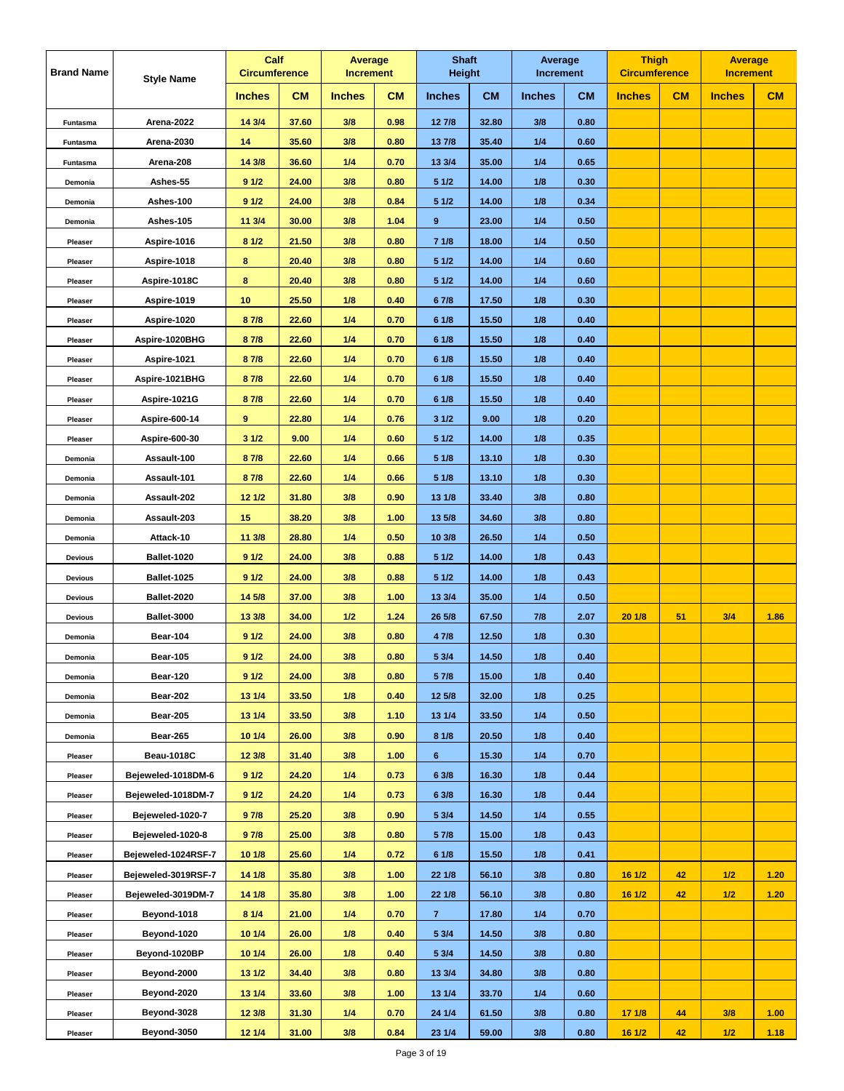| <b>Brand Name</b> | <b>Style Name</b>   | Calf<br><b>Circumference</b> |           | Average<br><b>Increment</b> |           | <b>Shaft</b><br>Height |           | Average<br><b>Increment</b> |           | <b>Thigh</b><br><b>Circumference</b> |    | <b>Average</b><br><b>Increment</b> |      |
|-------------------|---------------------|------------------------------|-----------|-----------------------------|-----------|------------------------|-----------|-----------------------------|-----------|--------------------------------------|----|------------------------------------|------|
|                   |                     | <b>Inches</b>                | <b>CM</b> | <b>Inches</b>               | <b>CM</b> | <b>Inches</b>          | <b>CM</b> | <b>Inches</b>               | <b>CM</b> | <b>Inches</b>                        | CM | <b>Inches</b>                      | CM   |
| Funtasma          | Arena-2022          | 14 3/4                       | 37.60     | 3/8                         | 0.98      | 12 7/8                 | 32.80     | 3/8                         | 0.80      |                                      |    |                                    |      |
| Funtasma          | Arena-2030          | 14                           | 35.60     | 3/8                         | 0.80      | 13 7/8                 | 35.40     | 1/4                         | 0.60      |                                      |    |                                    |      |
| Funtasma          | Arena-208           | 14 3/8                       | 36.60     | 1/4                         | 0.70      | 13 3/4                 | 35.00     | 1/4                         | 0.65      |                                      |    |                                    |      |
| Demonia           | Ashes-55            | 91/2                         | 24.00     | 3/8                         | 0.80      | 51/2                   | 14.00     | 1/8                         | 0.30      |                                      |    |                                    |      |
| Demonia           | Ashes-100           | 91/2                         | 24.00     | 3/8                         | 0.84      | 51/2                   | 14.00     | 1/8                         | 0.34      |                                      |    |                                    |      |
| Demonia           | Ashes-105           | 11 3/4                       | 30.00     | 3/8                         | 1.04      | 9                      | 23.00     | 1/4                         | 0.50      |                                      |    |                                    |      |
| Pleaser           | Aspire-1016         | 81/2                         | 21.50     | 3/8                         | 0.80      | 71/8                   | 18.00     | 1/4                         | 0.50      |                                      |    |                                    |      |
| Pleaser           | Aspire-1018         | 8                            | 20.40     | 3/8                         | 0.80      | 51/2                   | 14.00     | 1/4                         | 0.60      |                                      |    |                                    |      |
| Pleaser           | Aspire-1018C        | 8                            | 20.40     | 3/8                         | 0.80      | 51/2                   | 14.00     | 1/4                         | 0.60      |                                      |    |                                    |      |
| Pleaser           | Aspire-1019         | 10                           | 25.50     | 1/8                         | 0.40      | 67/8                   | 17.50     | 1/8                         | 0.30      |                                      |    |                                    |      |
| Pleaser           | Aspire-1020         | 87/8                         | 22.60     | 1/4                         | 0.70      | 61/8                   | 15.50     | 1/8                         | 0.40      |                                      |    |                                    |      |
| Pleaser           | Aspire-1020BHG      | 8 7/8                        | 22.60     | 1/4                         | 0.70      | 61/8                   | 15.50     | 1/8                         | 0.40      |                                      |    |                                    |      |
| Pleaser           | Aspire-1021         | 87/8                         | 22.60     | 1/4                         | 0.70      | 6 1/8                  | 15.50     | 1/8                         | 0.40      |                                      |    |                                    |      |
| Pleaser           | Aspire-1021BHG      | 8 7/8                        | 22.60     | 1/4                         | 0.70      | 6 1/8                  | 15.50     | 1/8                         | 0.40      |                                      |    |                                    |      |
| Pleaser           | Aspire-1021G        | 87/8                         | 22.60     | 1/4                         | 0.70      | 6 1/8                  | 15.50     | 1/8                         | 0.40      |                                      |    |                                    |      |
| Pleaser           | Aspire-600-14       | 9                            | 22.80     | 1/4                         | 0.76      | 31/2                   | 9.00      | 1/8                         | 0.20      |                                      |    |                                    |      |
| Pleaser           | Aspire-600-30       | 31/2                         | 9.00      | 1/4                         | 0.60      | 51/2                   | 14.00     | 1/8                         | 0.35      |                                      |    |                                    |      |
| Demonia           | Assault-100         | 87/8                         | 22.60     | 1/4                         | 0.66      | 5 1/8                  | 13.10     | 1/8                         | 0.30      |                                      |    |                                    |      |
| Demonia           | Assault-101         | 8 7/8                        | 22.60     | 1/4                         | 0.66      | 5 1/8                  | 13.10     | 1/8                         | 0.30      |                                      |    |                                    |      |
| Demonia           | Assault-202         | 12 1/2                       | 31.80     | 3/8                         | 0.90      | 13 1/8                 | 33.40     | 3/8                         | 0.80      |                                      |    |                                    |      |
| Demonia           | Assault-203         | 15                           | 38.20     | 3/8                         | 1.00      | 13 5/8                 | 34.60     | 3/8                         | 0.80      |                                      |    |                                    |      |
| Demonia           | Attack-10           | 11 3/8                       | 28.80     | 1/4                         | 0.50      | 10 3/8                 | 26.50     | 1/4                         | 0.50      |                                      |    |                                    |      |
| <b>Devious</b>    | Ballet-1020         | 91/2                         | 24.00     | 3/8                         | 0.88      | 51/2                   | 14.00     | 1/8                         | 0.43      |                                      |    |                                    |      |
| <b>Devious</b>    | Ballet-1025         | 91/2                         | 24.00     | 3/8                         | 0.88      | 51/2                   | 14.00     | 1/8                         | 0.43      |                                      |    |                                    |      |
| <b>Devious</b>    | Ballet-2020         | 14 5/8                       | 37.00     | 3/8                         | 1.00      | 13 3/4                 | 35.00     | 1/4                         | 0.50      |                                      |    |                                    |      |
| <b>Devious</b>    | Ballet-3000         | 13 3/8                       | 34.00     | 1/2                         | 1.24      | 26 5/8                 | 67.50     | 7/8                         | 2.07      | 201/8                                | 51 | 3/4                                | 1.86 |
| Demonia           | <b>Bear-104</b>     | 91/2                         | 24.00     | 3/8                         | 0.80      | 4 7/8                  | 12.50     | 1/8                         | 0.30      |                                      |    |                                    |      |
| Demonia           | <b>Bear-105</b>     | 91/2                         | 24.00     | 3/8                         | 0.80      | 5 3/4                  | 14.50     | 1/8                         | 0.40      |                                      |    |                                    |      |
| Demonia           | Bear-120            | 91/2                         | 24.00     | 3/8                         | 0.80      | 5 7/8                  | 15.00     | 1/8                         | 0.40      |                                      |    |                                    |      |
| Demonia           | Bear-202            | 13 1/4                       | 33.50     | 1/8                         | 0.40      | 12 5/8                 | 32.00     | 1/8                         | 0.25      |                                      |    |                                    |      |
| Demonia           | <b>Bear-205</b>     | 13 1/4                       | 33.50     | 3/8                         | 1.10      | 13 1/4                 | 33.50     | 1/4                         | 0.50      |                                      |    |                                    |      |
| Demonia           | Bear-265            | 10 1/4                       | 26.00     | 3/8                         | 0.90      | 8 1/8                  | 20.50     | 1/8                         | 0.40      |                                      |    |                                    |      |
| Pleaser           | <b>Beau-1018C</b>   | 12 3/8                       | 31.40     | 3/8                         | 1.00      | 6 <sup>1</sup>         | 15.30     | 1/4                         | 0.70      |                                      |    |                                    |      |
| Pleaser           | Bejeweled-1018DM-6  | 91/2                         | 24.20     | 1/4                         | 0.73      | 63/8                   | 16.30     | 1/8                         | 0.44      |                                      |    |                                    |      |
| Pleaser           | Bejeweled-1018DM-7  | 91/2                         | 24.20     | 1/4                         | 0.73      | 6 3/8                  | 16.30     | 1/8                         | 0.44      |                                      |    |                                    |      |
| Pleaser           | Bejeweled-1020-7    | 97/8                         | 25.20     | 3/8                         | 0.90      | 5 3/4                  | 14.50     | 1/4                         | 0.55      |                                      |    |                                    |      |
| Pleaser           | Bejeweled-1020-8    | 97/8                         | 25.00     | 3/8                         | 0.80      | 5 7/8                  | 15.00     | 1/8                         | 0.43      |                                      |    |                                    |      |
| Pleaser           | Bejeweled-1024RSF-7 | 10 1/8                       | 25.60     | 1/4                         | 0.72      | 61/8                   | 15.50     | 1/8                         | 0.41      |                                      |    |                                    |      |
| Pleaser           | Bejeweled-3019RSF-7 | 14 1/8                       | 35.80     | 3/8                         | 1.00      | 22 1/8                 | 56.10     | 3/8                         | 0.80      | 16 1/2                               | 42 | 1/2                                | 1.20 |
| Pleaser           | Bejeweled-3019DM-7  | 14 1/8                       | 35.80     | 3/8                         | 1.00      | 22 1/8                 | 56.10     | 3/8                         | 0.80      | 16 1/2                               | 42 | 1/2                                | 1.20 |
| Pleaser           | Beyond-1018         | 81/4                         | 21.00     | 1/4                         | 0.70      | $\mathbf{7}$           | 17.80     | 1/4                         | 0.70      |                                      |    |                                    |      |
| Pleaser           | Beyond-1020         | 10 1/4                       | 26.00     | 1/8                         | 0.40      | 5 3/4                  | 14.50     | 3/8                         | 0.80      |                                      |    |                                    |      |
| Pleaser           | Beyond-1020BP       | 10 1/4                       | 26.00     | 1/8                         | 0.40      | 5 3/4                  | 14.50     | 3/8                         | 0.80      |                                      |    |                                    |      |
| Pleaser           | Beyond-2000         | 13 1/2                       | 34.40     | 3/8                         | 0.80      | 13 3/4                 | 34.80     | 3/8                         | 0.80      |                                      |    |                                    |      |
| Pleaser           | Beyond-2020         | 13 1/4                       | 33.60     | 3/8                         | 1.00      | 13 1/4                 | 33.70     | 1/4                         | 0.60      |                                      |    |                                    |      |
| Pleaser           | Beyond-3028         | 12 3/8                       | 31.30     | 1/4                         | 0.70      | 24 1/4                 | 61.50     | 3/8                         | 0.80      | 171/8                                | 44 | 3/8                                | 1.00 |
| Pleaser           | Beyond-3050         | 12 1/4                       | 31.00     | 3/8                         | 0.84      | 23 1/4                 | 59.00     | 3/8                         | 0.80      | 16 1/2                               | 42 | 1/2                                | 1.18 |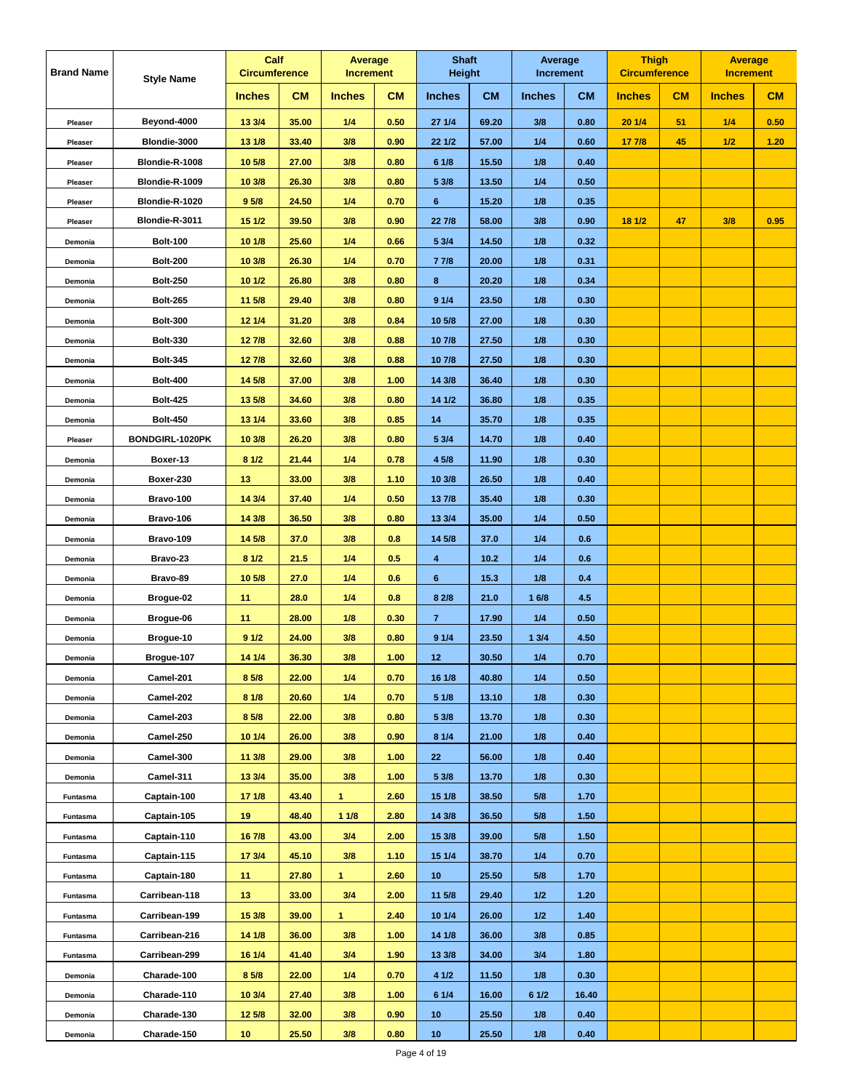| <b>Brand Name</b> | <b>Style Name</b> | Calf<br><b>Circumference</b> |           | Average<br><b>Increment</b> |           | <b>Shaft</b><br><b>Height</b> |           | Average<br>Increment |           | <b>Thigh</b><br><b>Circumference</b> |           | <b>Average</b><br><b>Increment</b> |      |
|-------------------|-------------------|------------------------------|-----------|-----------------------------|-----------|-------------------------------|-----------|----------------------|-----------|--------------------------------------|-----------|------------------------------------|------|
|                   |                   | <b>Inches</b>                | <b>CM</b> | <b>Inches</b>               | <b>CM</b> | <b>Inches</b>                 | <b>CM</b> | <b>Inches</b>        | <b>CM</b> | <b>Inches</b>                        | <b>CM</b> | <b>Inches</b>                      | CM   |
| Pleaser           | Beyond-4000       | 13 3/4                       | 35.00     | 1/4                         | 0.50      | 27 1/4                        | 69.20     | 3/8                  | 0.80      | 20 1/4                               | 51        | 1/4                                | 0.50 |
| Pleaser           | Blondie-3000      | 13 1/8                       | 33.40     | 3/8                         | 0.90      | 22 1/2                        | 57.00     | 1/4                  | 0.60      | 17 7/8                               | 45        | 1/2                                | 1.20 |
| Pleaser           | Blondie-R-1008    | 10 5/8                       | 27.00     | 3/8                         | 0.80      | 61/8                          | 15.50     | 1/8                  | 0.40      |                                      |           |                                    |      |
| Pleaser           | Blondie-R-1009    | 10 3/8                       | 26.30     | 3/8                         | 0.80      | 5 3/8                         | 13.50     | 1/4                  | 0.50      |                                      |           |                                    |      |
| Pleaser           | Blondie-R-1020    | 9 <sub>5/8</sub>             | 24.50     | 1/4                         | 0.70      | $6\phantom{a}$                | 15.20     | 1/8                  | 0.35      |                                      |           |                                    |      |
| Pleaser           | Blondie-R-3011    | 15 1/2                       | 39.50     | 3/8                         | 0.90      | 22 7/8                        | 58.00     | 3/8                  | 0.90      | 18 1/2                               | 47        | 3/8                                | 0.95 |
| Demonia           | <b>Bolt-100</b>   | 10 1/8                       | 25.60     | 1/4                         | 0.66      | 5 3/4                         | 14.50     | 1/8                  | 0.32      |                                      |           |                                    |      |
| Demonia           | <b>Bolt-200</b>   | 10 3/8                       | 26.30     | 1/4                         | 0.70      | 77/8                          | 20.00     | 1/8                  | 0.31      |                                      |           |                                    |      |
| Demonia           | <b>Bolt-250</b>   | 101/2                        | 26.80     | 3/8                         | 0.80      | 8                             | 20.20     | 1/8                  | 0.34      |                                      |           |                                    |      |
| Demonia           | <b>Bolt-265</b>   | 11 5/8                       | 29.40     | 3/8                         | 0.80      | 91/4                          | 23.50     | 1/8                  | 0.30      |                                      |           |                                    |      |
| Demonia           | <b>Bolt-300</b>   | 12 1/4                       | 31.20     | 3/8                         | 0.84      | 10 5/8                        | 27.00     | 1/8                  | 0.30      |                                      |           |                                    |      |
| Demonia           | <b>Bolt-330</b>   | 127/8                        | 32.60     | 3/8                         | 0.88      | 10 7/8                        | 27.50     | 1/8                  | 0.30      |                                      |           |                                    |      |
| Demonia           | <b>Bolt-345</b>   | 127/8                        | 32.60     | 3/8                         | 0.88      | 10 7/8                        | 27.50     | 1/8                  | 0.30      |                                      |           |                                    |      |
| Demonia           | <b>Bolt-400</b>   | 14 5/8                       | 37.00     | 3/8                         | 1.00      | 14 3/8                        | 36.40     | 1/8                  | 0.30      |                                      |           |                                    |      |
| Demonia           | <b>Bolt-425</b>   | 13 5/8                       | 34.60     | 3/8                         | 0.80      | 14 1/2                        | 36.80     | 1/8                  | 0.35      |                                      |           |                                    |      |
| Demonia           | <b>Bolt-450</b>   | 13 1/4                       | 33.60     | 3/8                         | 0.85      | 14                            | 35.70     | 1/8                  | 0.35      |                                      |           |                                    |      |
| Pleaser           | BONDGIRL-1020PK   | 10 3/8                       | 26.20     | 3/8                         | 0.80      | 5 3/4                         | 14.70     | 1/8                  | 0.40      |                                      |           |                                    |      |
| Demonia           | Boxer-13          | 81/2                         | 21.44     | 1/4                         | 0.78      | 4 5/8                         | 11.90     | 1/8                  | 0.30      |                                      |           |                                    |      |
| Demonia           | Boxer-230         | 13                           | 33.00     | 3/8                         | 1.10      | 10 3/8                        | 26.50     | 1/8                  | 0.40      |                                      |           |                                    |      |
| Demonia           | Bravo-100         | 14 3/4                       | 37.40     | 1/4                         | 0.50      | 13 7/8                        | 35.40     | 1/8                  | 0.30      |                                      |           |                                    |      |
| Demonia           | Bravo-106         | 14 3/8                       | 36.50     | 3/8                         | 0.80      | 13 3/4                        | 35.00     | 1/4                  | 0.50      |                                      |           |                                    |      |
| Demonia           | Bravo-109         | 14 5/8                       | 37.0      | 3/8                         | 0.8       | 14 5/8                        | 37.0      | 1/4                  | 0.6       |                                      |           |                                    |      |
| Demonia           | Bravo-23          | 81/2                         | 21.5      | 1/4                         | 0.5       | 4                             | 10.2      | 1/4                  | 0.6       |                                      |           |                                    |      |
| Demonia           | Bravo-89          | 10 5/8                       | 27.0      | 1/4                         | 0.6       | 6                             | 15.3      | 1/8                  | 0.4       |                                      |           |                                    |      |
| Demonia           | Brogue-02         | 11                           | 28.0      | 1/4                         | 0.8       | 8 2/8                         | 21.0      | 16/8                 | 4.5       |                                      |           |                                    |      |
| Demonia           | Brogue-06         | 11                           | 28.00     | 1/8                         | 0.30      | $\mathbf{7}$                  | 17.90     | 1/4                  | 0.50      |                                      |           |                                    |      |
| Demonia           | Brogue-10         | 91/2                         | 24.00     | 3/8                         | 0.80      | 91/4                          | 23.50     | 13/4                 | 4.50      |                                      |           |                                    |      |
| Demonia           | Brogue-107        | 14 1/4                       | 36.30     | 3/8                         | 1.00      | 12                            | 30.50     | 1/4                  | 0.70      |                                      |           |                                    |      |
| Demonia           | Camel-201         | 8 5/8                        | 22.00     | 1/4                         | 0.70      | 16 1/8                        | 40.80     | 1/4                  | 0.50      |                                      |           |                                    |      |
| Demonia           | Camel-202         | 81/8                         | 20.60     | 1/4                         | 0.70      | 51/8                          | 13.10     | 1/8                  | 0.30      |                                      |           |                                    |      |
| Demonia           | Camel-203         | 8 5/8                        | 22.00     | 3/8                         | 0.80      | 5 3/8                         | 13.70     | 1/8                  | 0.30      |                                      |           |                                    |      |
| Demonia           | Camel-250         | 10 1/4                       | 26.00     | 3/8                         | 0.90      | 81/4                          | 21.00     | 1/8                  | 0.40      |                                      |           |                                    |      |
| Demonia           | Camel-300         | 11 3/8                       | 29.00     | 3/8                         | 1.00      | 22                            | 56.00     | 1/8                  | 0.40      |                                      |           |                                    |      |
| Demonia           | Camel-311         | 13 3/4                       | 35.00     | 3/8                         | 1.00      | 5 3/8                         | 13.70     | 1/8                  | 0.30      |                                      |           |                                    |      |
| Funtasma          | Captain-100       | 17 1/8                       | 43.40     | $\mathbf{1}$                | 2.60      | 15 1/8                        | 38.50     | 5/8                  | 1.70      |                                      |           |                                    |      |
| Funtasma          | Captain-105       | 19                           | 48.40     | 11/8                        | 2.80      | 14 3/8                        | 36.50     | 5/8                  | 1.50      |                                      |           |                                    |      |
| Funtasma          | Captain-110       | 16 7/8                       | 43.00     | 3/4                         | 2.00      | 15 3/8                        | 39.00     | 5/8                  | 1.50      |                                      |           |                                    |      |
| Funtasma          | Captain-115       | 17 3/4                       | 45.10     | 3/8                         | 1.10      | 15 1/4                        | 38.70     | 1/4                  | 0.70      |                                      |           |                                    |      |
| Funtasma          | Captain-180       | 11                           | 27.80     | 1                           | 2.60      | 10                            | 25.50     | 5/8                  | 1.70      |                                      |           |                                    |      |
| Funtasma          | Carribean-118     | 13                           | 33.00     | 3/4                         | 2.00      | 11 5/8                        | 29.40     | 1/2                  | 1.20      |                                      |           |                                    |      |
| Funtasma          | Carribean-199     | 15 3/8                       | 39.00     | 1                           | 2.40      | 10 1/4                        | 26.00     | 1/2                  | 1.40      |                                      |           |                                    |      |
| Funtasma          | Carribean-216     | 14 1/8                       | 36.00     | 3/8                         | 1.00      | 14 1/8                        | 36.00     | 3/8                  | 0.85      |                                      |           |                                    |      |
| Funtasma          | Carribean-299     | 16 1/4                       | 41.40     | 3/4                         | 1.90      | 13 3/8                        | 34.00     | 3/4                  | 1.80      |                                      |           |                                    |      |
| Demonia           | Charade-100       | 8 5/8                        | 22.00     | 1/4                         | 0.70      | 4 1/2                         | 11.50     | 1/8                  | 0.30      |                                      |           |                                    |      |
| Demonia           | Charade-110       | 10 3/4                       | 27.40     | 3/8                         | 1.00      | 61/4                          | 16.00     | 61/2                 | 16.40     |                                      |           |                                    |      |
| Demonia           | Charade-130       | 12 5/8                       | 32.00     | 3/8                         | 0.90      | 10 <sub>1</sub>               | 25.50     | 1/8                  | 0.40      |                                      |           |                                    |      |
| Demonia           | Charade-150       | 10 <sub>1</sub>              | 25.50     | 3/8                         | 0.80      | 10                            | 25.50     | 1/8                  | 0.40      |                                      |           |                                    |      |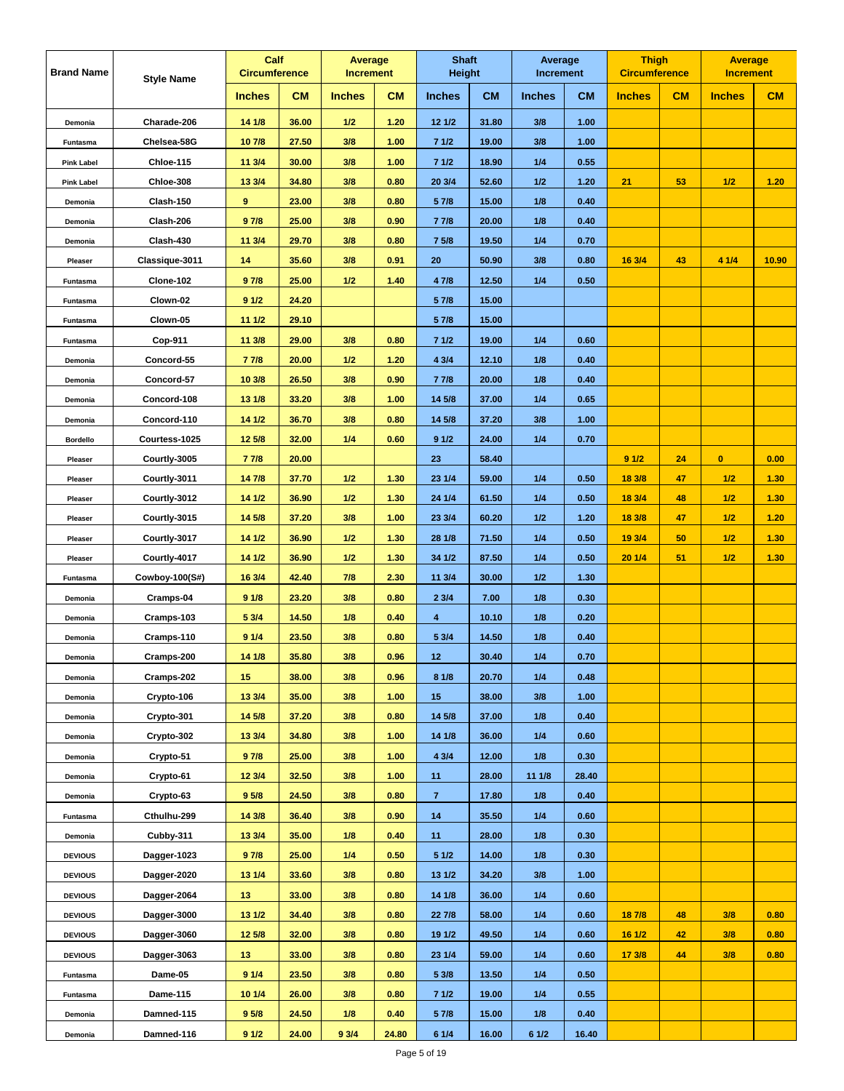| <b>Brand Name</b> | <b>Style Name</b> | Calf<br><b>Circumference</b> |           | Average<br><b>Increment</b> |           | <b>Shaft</b><br><b>Height</b> |           | Average<br><b>Increment</b> |           | <b>Thigh</b><br><b>Circumference</b> |    | <b>Average</b><br><b>Increment</b> |       |
|-------------------|-------------------|------------------------------|-----------|-----------------------------|-----------|-------------------------------|-----------|-----------------------------|-----------|--------------------------------------|----|------------------------------------|-------|
|                   |                   | <b>Inches</b>                | <b>CM</b> | <b>Inches</b>               | <b>CM</b> | <b>Inches</b>                 | <b>CM</b> | <b>Inches</b>               | <b>CM</b> | <b>Inches</b>                        | CM | <b>Inches</b>                      | CM    |
| Demonia           | Charade-206       | 14 1/8                       | 36.00     | 1/2                         | 1.20      | 12 1/2                        | 31.80     | 3/8                         | 1.00      |                                      |    |                                    |       |
| Funtasma          | Chelsea-58G       | 107/8                        | 27.50     | 3/8                         | 1.00      | 71/2                          | 19.00     | 3/8                         | 1.00      |                                      |    |                                    |       |
| <b>Pink Label</b> | Chloe-115         | 11 3/4                       | 30.00     | 3/8                         | 1.00      | 71/2                          | 18.90     | 1/4                         | 0.55      |                                      |    |                                    |       |
| <b>Pink Label</b> | Chloe-308         | 13 3/4                       | 34.80     | 3/8                         | 0.80      | 20 3/4                        | 52.60     | 1/2                         | 1.20      | 21                                   | 53 | 1/2                                | 1.20  |
| Demonia           | Clash-150         | $\overline{\mathbf{9}}$      | 23.00     | 3/8                         | 0.80      | 5 7/8                         | 15.00     | 1/8                         | 0.40      |                                      |    |                                    |       |
| Demonia           | Clash-206         | 97/8                         | 25.00     | 3/8                         | 0.90      | 7 7/8                         | 20.00     | 1/8                         | 0.40      |                                      |    |                                    |       |
| Demonia           | Clash-430         | 11 3/4                       | 29.70     | 3/8                         | 0.80      | 7 5/8                         | 19.50     | 1/4                         | 0.70      |                                      |    |                                    |       |
| Pleaser           | Classique-3011    | 14                           | 35.60     | 3/8                         | 0.91      | 20                            | 50.90     | 3/8                         | 0.80      | 16 3/4                               | 43 | 4 1/4                              | 10.90 |
| Funtasma          | Clone-102         | 97/8                         | 25.00     | 1/2                         | 1.40      | 4 7/8                         | 12.50     | 1/4                         | 0.50      |                                      |    |                                    |       |
| Funtasma          | Clown-02          | 91/2                         | 24.20     |                             |           | 5 7/8                         | 15.00     |                             |           |                                      |    |                                    |       |
| Funtasma          | Clown-05          | 11 1/2                       | 29.10     |                             |           | 5 7/8                         | 15.00     |                             |           |                                      |    |                                    |       |
| Funtasma          | Cop-911           | 11 3/8                       | 29.00     | 3/8                         | 0.80      | 71/2                          | 19.00     | 1/4                         | 0.60      |                                      |    |                                    |       |
| Demonia           | Concord-55        | 77/8                         | 20.00     | 1/2                         | 1.20      | 4 3/4                         | 12.10     | 1/8                         | 0.40      |                                      |    |                                    |       |
| Demonia           | Concord-57        | 10 3/8                       | 26.50     | 3/8                         | 0.90      | 7 7/8                         | 20.00     | 1/8                         | 0.40      |                                      |    |                                    |       |
| Demonia           | Concord-108       | 13 1/8                       | 33.20     | 3/8                         | 1.00      | 14 5/8                        | 37.00     | 1/4                         | 0.65      |                                      |    |                                    |       |
| Demonia           | Concord-110       | 14 1/2                       | 36.70     | 3/8                         | 0.80      | 14 5/8                        | 37.20     | 3/8                         | 1.00      |                                      |    |                                    |       |
| <b>Bordello</b>   | Courtess-1025     | 12 5/8                       | 32.00     | 1/4                         | 0.60      | 91/2                          | 24.00     | 1/4                         | 0.70      |                                      |    |                                    |       |
| Pleaser           | Courtly-3005      | 77/8                         | 20.00     |                             |           | 23                            | 58.40     |                             |           | 91/2                                 | 24 | $\bullet$                          | 0.00  |
| Pleaser           | Courtly-3011      | 147/8                        | 37.70     | 1/2                         | 1.30      | 23 1/4                        | 59.00     | 1/4                         | 0.50      | 18 3/8                               | 47 | 1/2                                | 1.30  |
| Pleaser           | Courtly-3012      | 14 1/2                       | 36.90     | 1/2                         | 1.30      | 24 1/4                        | 61.50     | 1/4                         | 0.50      | 18 3/4                               | 48 | 1/2                                | 1.30  |
| Pleaser           | Courtly-3015      | 14 5/8                       | 37.20     | 3/8                         | 1.00      | 23 3/4                        | 60.20     | 1/2                         | 1.20      | 18 3/8                               | 47 | 1/2                                | 1.20  |
| Pleaser           | Courtly-3017      | 14 1/2                       | 36.90     | 1/2                         | 1.30      | 28 1/8                        | 71.50     | 1/4                         | 0.50      | 19 3/4                               | 50 | 1/2                                | 1.30  |
| Pleaser           | Courtly-4017      | 14 1/2                       | 36.90     | 1/2                         | 1.30      | 34 1/2                        | 87.50     | 1/4                         | 0.50      | 20 1/4                               | 51 | 1/2                                | 1.30  |
| Funtasma          | Cowboy-100(S#)    | 16 3/4                       | 42.40     | 7/8                         | 2.30      | 11 3/4                        | 30.00     | 1/2                         | 1.30      |                                      |    |                                    |       |
| Demonia           | Cramps-04         | 91/8                         | 23.20     | 3/8                         | 0.80      | 23/4                          | 7.00      | 1/8                         | 0.30      |                                      |    |                                    |       |
| Demonia           | Cramps-103        | 5 3/4                        | 14.50     | 1/8                         | 0.40      | 4                             | 10.10     | 1/8                         | 0.20      |                                      |    |                                    |       |
| Demonia           | Cramps-110        | 91/4                         | 23.50     | 3/8                         | 0.80      | 5 3/4                         | 14.50     | 1/8                         | 0.40      |                                      |    |                                    |       |
| Demonia           | Cramps-200        | 14 1/8                       | 35.80     | 3/8                         | 0.96      | 12                            | 30.40     | 1/4                         | 0.70      |                                      |    |                                    |       |
| Demonia           | Cramps-202        | 15                           | 38.00     | 3/8                         | 0.96      | 8 1/8                         | 20.70     | 1/4                         | 0.48      |                                      |    |                                    |       |
| Demonia           | Crypto-106        | 13 3/4                       | 35.00     | 3/8                         | 1.00      | 15 <sub>15</sub>              | 38.00     | 3/8                         | 1.00      |                                      |    |                                    |       |
| Demonia           | Crypto-301        | 14 5/8                       | 37.20     | 3/8                         | 0.80      | 14 5/8                        | 37.00     | 1/8                         | 0.40      |                                      |    |                                    |       |
| Demonia           | Crypto-302        | 13 3/4                       | 34.80     | 3/8                         | 1.00      | 14 1/8                        | 36.00     | 1/4                         | 0.60      |                                      |    |                                    |       |
| Demonia           | Crypto-51         | 97/8                         | 25.00     | 3/8                         | 1.00      | 4 3/4                         | 12.00     | 1/8                         | 0.30      |                                      |    |                                    |       |
| Demonia           | Crypto-61         | 12 3/4                       | 32.50     | 3/8                         | 1.00      | 11                            | 28.00     | 11 1/8                      | 28.40     |                                      |    |                                    |       |
| Demonia           | Crypto-63         | 9 <sub>5/8</sub>             | 24.50     | 3/8                         | 0.80      | $\mathbf{7}$                  | 17.80     | 1/8                         | 0.40      |                                      |    |                                    |       |
| Funtasma          | Cthulhu-299       | 14 3/8                       | 36.40     | 3/8                         | 0.90      | 14                            | 35.50     | 1/4                         | 0.60      |                                      |    |                                    |       |
| Demonia           | Cubby-311         | 13 3/4                       | 35.00     | 1/8                         | 0.40      | 11                            | 28.00     | 1/8                         | 0.30      |                                      |    |                                    |       |
| <b>DEVIOUS</b>    | Dagger-1023       | 97/8                         | 25.00     | 1/4                         | 0.50      | 51/2                          | 14.00     | 1/8                         | 0.30      |                                      |    |                                    |       |
| <b>DEVIOUS</b>    | Dagger-2020       | 13 1/4                       | 33.60     | 3/8                         | 0.80      | 13 1/2                        | 34.20     | 3/8                         | 1.00      |                                      |    |                                    |       |
| <b>DEVIOUS</b>    | Dagger-2064       | 13 <sup>°</sup>              | 33.00     | 3/8                         | 0.80      | 14 1/8                        | 36.00     | 1/4                         | 0.60      |                                      |    |                                    |       |
| <b>DEVIOUS</b>    | Dagger-3000       | 13 1/2                       | 34.40     | 3/8                         | 0.80      | 22 7/8                        | 58.00     | 1/4                         | 0.60      | 18 7/8                               | 48 | 3/8                                | 0.80  |
| <b>DEVIOUS</b>    | Dagger-3060       | 12 5/8                       | 32.00     | 3/8                         | 0.80      | 19 1/2                        | 49.50     | 1/4                         | 0.60      | 16 1/2                               | 42 | 3/8                                | 0.80  |
| <b>DEVIOUS</b>    | Dagger-3063       | 13                           | 33.00     | 3/8                         | 0.80      | 23 1/4                        | 59.00     | 1/4                         | 0.60      | 17 3/8                               | 44 | 3/8                                | 0.80  |
| Funtasma          | Dame-05           | 91/4                         | 23.50     | 3/8                         | 0.80      | 5 3/8                         | 13.50     | 1/4                         | 0.50      |                                      |    |                                    |       |
| Funtasma          | Dame-115          | 10 1/4                       | 26.00     | 3/8                         | 0.80      | 71/2                          | 19.00     | 1/4                         | 0.55      |                                      |    |                                    |       |
| Demonia           | Damned-115        | 9 <sub>5/8</sub>             | 24.50     | 1/8                         | 0.40      | 5 7/8                         | 15.00     | 1/8                         | 0.40      |                                      |    |                                    |       |
| Demonia           | Damned-116        | 91/2                         | 24.00     | 93/4                        | 24.80     | 61/4                          | 16.00     | 6 1/2                       | 16.40     |                                      |    |                                    |       |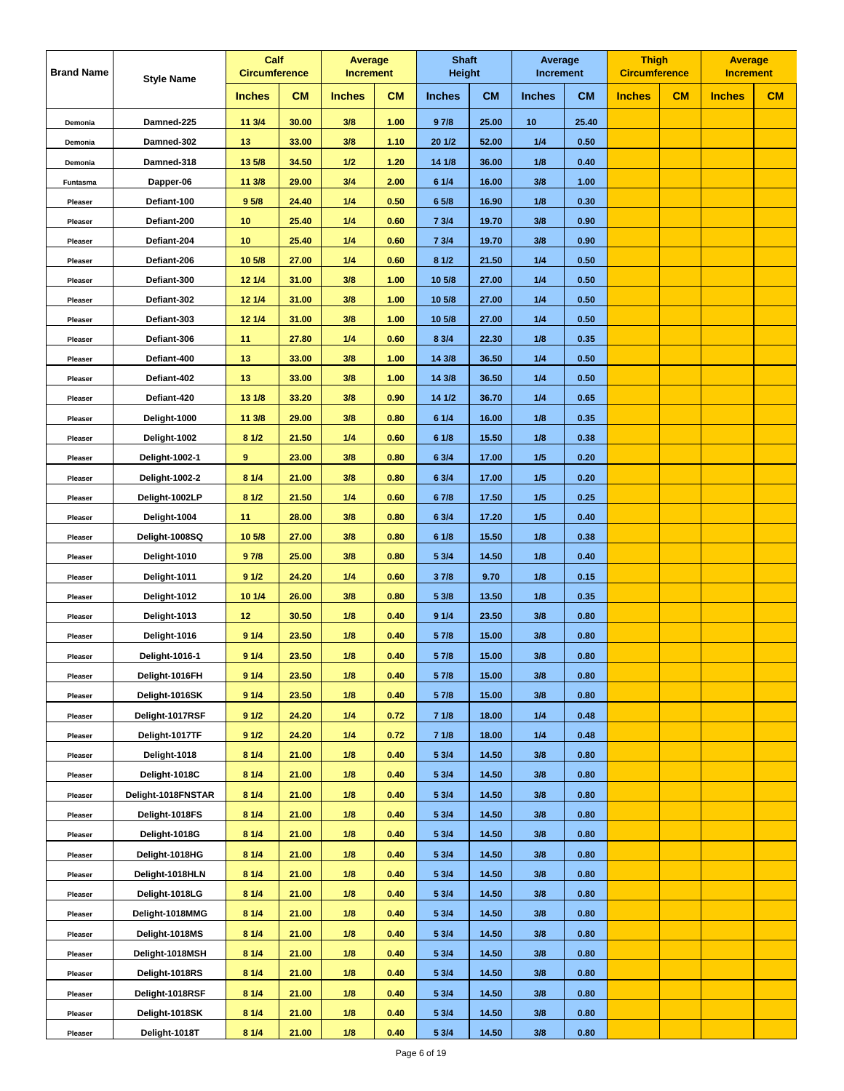| <b>Brand Name</b> | <b>Style Name</b>     | Calf<br><b>Circumference</b> |           | Average<br><b>Increment</b> |           | <b>Shaft</b><br>Height |           | Average<br><b>Increment</b> |           | <b>Thigh</b><br><b>Circumference</b> |    | <b>Average</b><br><b>Increment</b> |    |
|-------------------|-----------------------|------------------------------|-----------|-----------------------------|-----------|------------------------|-----------|-----------------------------|-----------|--------------------------------------|----|------------------------------------|----|
|                   |                       | <b>Inches</b>                | <b>CM</b> | <b>Inches</b>               | <b>CM</b> | <b>Inches</b>          | <b>CM</b> | <b>Inches</b>               | <b>CM</b> | <b>Inches</b>                        | CM | <b>Inches</b>                      | CM |
| Demonia           | Damned-225            | 11 3/4                       | 30.00     | 3/8                         | 1.00      | 97/8                   | 25.00     | 10                          | 25.40     |                                      |    |                                    |    |
| Demonia           | Damned-302            | 13                           | 33.00     | 3/8                         | 1.10      | 20 1/2                 | 52.00     | 1/4                         | 0.50      |                                      |    |                                    |    |
| Demonia           | Damned-318            | 13 5/8                       | 34.50     | 1/2                         | 1.20      | 14 1/8                 | 36.00     | 1/8                         | 0.40      |                                      |    |                                    |    |
| Funtasma          | Dapper-06             | 11 3/8                       | 29.00     | 3/4                         | 2.00      | 6 1/4                  | 16.00     | 3/8                         | 1.00      |                                      |    |                                    |    |
| Pleaser           | Defiant-100           | 9 <sub>5/8</sub>             | 24.40     | 1/4                         | 0.50      | 6 5/8                  | 16.90     | 1/8                         | 0.30      |                                      |    |                                    |    |
| Pleaser           | Defiant-200           | 10                           | 25.40     | 1/4                         | 0.60      | 7 3/4                  | 19.70     | 3/8                         | 0.90      |                                      |    |                                    |    |
| Pleaser           | Defiant-204           | 10                           | 25.40     | 1/4                         | 0.60      | 73/4                   | 19.70     | 3/8                         | 0.90      |                                      |    |                                    |    |
| Pleaser           | Defiant-206           | 10 5/8                       | 27.00     | 1/4                         | 0.60      | 81/2                   | 21.50     | 1/4                         | 0.50      |                                      |    |                                    |    |
| Pleaser           | Defiant-300           | 12 1/4                       | 31.00     | 3/8                         | 1.00      | 10 5/8                 | 27.00     | 1/4                         | 0.50      |                                      |    |                                    |    |
| Pleaser           | Defiant-302           | 12 1/4                       | 31.00     | 3/8                         | 1.00      | 10 5/8                 | 27.00     | 1/4                         | 0.50      |                                      |    |                                    |    |
| Pleaser           | Defiant-303           | 12 1/4                       | 31.00     | 3/8                         | 1.00      | 10 5/8                 | 27.00     | 1/4                         | 0.50      |                                      |    |                                    |    |
| Pleaser           | Defiant-306           | 11                           | 27.80     | 1/4                         | 0.60      | 8 3/4                  | 22.30     | 1/8                         | 0.35      |                                      |    |                                    |    |
| Pleaser           | Defiant-400           | 13                           | 33.00     | 3/8                         | 1.00      | 14 3/8                 | 36.50     | 1/4                         | 0.50      |                                      |    |                                    |    |
| Pleaser           | Defiant-402           | 13                           | 33.00     | 3/8                         | 1.00      | 14 3/8                 | 36.50     | 1/4                         | 0.50      |                                      |    |                                    |    |
| Pleaser           | Defiant-420           | 13 1/8                       | 33.20     | 3/8                         | 0.90      | 14 1/2                 | 36.70     | 1/4                         | 0.65      |                                      |    |                                    |    |
| Pleaser           | Delight-1000          | 11 3/8                       | 29.00     | 3/8                         | 0.80      | 61/4                   | 16.00     | 1/8                         | 0.35      |                                      |    |                                    |    |
| Pleaser           | Delight-1002          | 81/2                         | 21.50     | 1/4                         | 0.60      | 6 1/8                  | 15.50     | 1/8                         | 0.38      |                                      |    |                                    |    |
| Pleaser           | Delight-1002-1        | 9                            | 23.00     | 3/8                         | 0.80      | 6 3/4                  | 17.00     | 1/5                         | 0.20      |                                      |    |                                    |    |
| Pleaser           | <b>Delight-1002-2</b> | 81/4                         | 21.00     | 3/8                         | 0.80      | 6 3/4                  | 17.00     | 1/5                         | 0.20      |                                      |    |                                    |    |
| Pleaser           | Delight-1002LP        | 81/2                         | 21.50     | 1/4                         | 0.60      | 67/8                   | 17.50     | 1/5                         | 0.25      |                                      |    |                                    |    |
| Pleaser           | Delight-1004          | 11                           | 28.00     | 3/8                         | 0.80      | 6 3/4                  | 17.20     | 1/5                         | 0.40      |                                      |    |                                    |    |
| Pleaser           | Delight-1008SQ        | 10 5/8                       | 27.00     | 3/8                         | 0.80      | 6 1/8                  | 15.50     | 1/8                         | 0.38      |                                      |    |                                    |    |
| Pleaser           | Delight-1010          | 97/8                         | 25.00     | 3/8                         | 0.80      | 5 3/4                  | 14.50     | 1/8                         | 0.40      |                                      |    |                                    |    |
| Pleaser           | Delight-1011          | 91/2                         | 24.20     | 1/4                         | 0.60      | 37/8                   | 9.70      | 1/8                         | 0.15      |                                      |    |                                    |    |
| Pleaser           | Delight-1012          | 10 1/4                       | 26.00     | 3/8                         | 0.80      | 5 3/8                  | 13.50     | 1/8                         | 0.35      |                                      |    |                                    |    |
| Pleaser           | Delight-1013          | 12                           | 30.50     | 1/8                         | 0.40      | 91/4                   | 23.50     | 3/8                         | 0.80      |                                      |    |                                    |    |
| Pleaser           | Delight-1016          | 91/4                         | 23.50     | 1/8                         | 0.40      | 5 7/8                  | 15.00     | 3/8                         | 0.80      |                                      |    |                                    |    |
| Pleaser           | Delight-1016-1        | 91/4                         | 23.50     | 1/8                         | 0.40      | 5 7/8                  | 15.00     | 3/8                         | 0.80      |                                      |    |                                    |    |
| Pleaser           | Delight-1016FH        | 91/4                         | 23.50     | 1/8                         | 0.40      | 5 7/8                  | 15.00     | 3/8                         | 0.80      |                                      |    |                                    |    |
| Pleaser           | Delight-1016SK        | 91/4                         | 23.50     | 1/8                         | 0.40      | 5 7/8                  | 15.00     | 3/8                         | 0.80      |                                      |    |                                    |    |
| Pleaser           | Delight-1017RSF       | 91/2                         | 24.20     | 1/4                         | 0.72      | 71/8                   | 18.00     | 1/4                         | 0.48      |                                      |    |                                    |    |
| Pleaser           | Delight-1017TF        | 91/2                         | 24.20     | 1/4                         | 0.72      | 71/8                   | 18.00     | 1/4                         | 0.48      |                                      |    |                                    |    |
| Pleaser           | Delight-1018          | 81/4                         | 21.00     | 1/8                         | 0.40      | 5 3/4                  | 14.50     | 3/8                         | 0.80      |                                      |    |                                    |    |
| Pleaser           | Delight-1018C         | 81/4                         | 21.00     | 1/8                         | 0.40      | 5 3/4                  | 14.50     | 3/8                         | 0.80      |                                      |    |                                    |    |
| Pleaser           | Delight-1018FNSTAR    | 81/4                         | 21.00     | 1/8                         | 0.40      | 5 3/4                  | 14.50     | 3/8                         | 0.80      |                                      |    |                                    |    |
| Pleaser           | Delight-1018FS        | 81/4                         | 21.00     | 1/8                         | 0.40      | 5 3/4                  | 14.50     | 3/8                         | 0.80      |                                      |    |                                    |    |
| Pleaser           | Delight-1018G         | 81/4                         | 21.00     | 1/8                         | 0.40      | 5 3/4                  | 14.50     | 3/8                         | 0.80      |                                      |    |                                    |    |
| Pleaser           | Delight-1018HG        | 81/4                         | 21.00     | 1/8                         | 0.40      | 5 3/4                  | 14.50     | 3/8                         | 0.80      |                                      |    |                                    |    |
| Pleaser           | Delight-1018HLN       | 81/4                         | 21.00     | 1/8                         | 0.40      | 5 3/4                  | 14.50     | 3/8                         | 0.80      |                                      |    |                                    |    |
| Pleaser           | Delight-1018LG        | 81/4                         | 21.00     | 1/8                         | 0.40      | 5 3/4                  | 14.50     | 3/8                         | 0.80      |                                      |    |                                    |    |
| Pleaser           | Delight-1018MMG       | 81/4                         | 21.00     | 1/8                         | 0.40      | 5 3/4                  | 14.50     | 3/8                         | 0.80      |                                      |    |                                    |    |
| Pleaser           | Delight-1018MS        | 81/4                         | 21.00     | 1/8                         | 0.40      | 5 3/4                  | 14.50     | 3/8                         | 0.80      |                                      |    |                                    |    |
| Pleaser           | Delight-1018MSH       | 81/4                         | 21.00     | 1/8                         | 0.40      | 5 3/4                  | 14.50     | 3/8                         | 0.80      |                                      |    |                                    |    |
| Pleaser           | Delight-1018RS        | 81/4                         | 21.00     | 1/8                         | 0.40      | 5 3/4                  | 14.50     | 3/8                         | 0.80      |                                      |    |                                    |    |
| Pleaser           | Delight-1018RSF       | 81/4                         | 21.00     | 1/8                         | 0.40      | 5 3/4                  | 14.50     | 3/8                         | 0.80      |                                      |    |                                    |    |
| Pleaser           | Delight-1018SK        | 81/4                         | 21.00     | 1/8                         | 0.40      | 5 3/4                  | 14.50     | 3/8                         | 0.80      |                                      |    |                                    |    |
| Pleaser           | Delight-1018T         | 81/4                         | 21.00     | 1/8                         | 0.40      | 5 3/4                  | 14.50     | 3/8                         | 0.80      |                                      |    |                                    |    |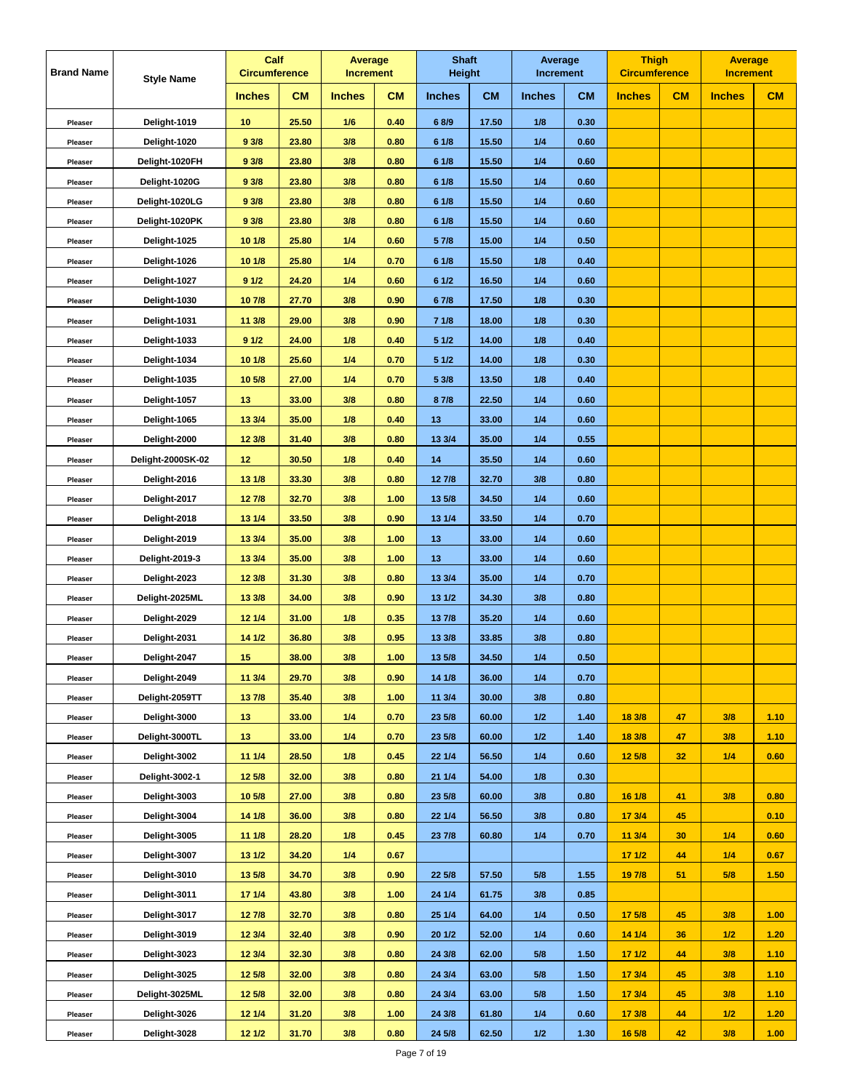| <b>CM</b><br><b>CM</b><br><b>CM</b><br><b>CM</b><br>CM<br>CM<br><b>Inches</b><br><b>Inches</b><br><b>Inches</b><br><b>Inches</b><br><b>Inches</b><br><b>Inches</b><br>Delight-1019<br>25.50<br>1/6<br>17.50<br>1/8<br>0.30<br>10<br>0.40<br>68/9<br>Pleaser<br>Delight-1020<br>93/8<br>23.80<br>3/8<br>0.80<br>6 1/8<br>15.50<br>1/4<br>0.60<br>Pleaser<br>93/8<br>3/8<br>0.80<br>15.50<br>1/4<br>Delight-1020FH<br>23.80<br>61/8<br>0.60<br>Pleaser<br>93/8<br>23.80<br>3/8<br>0.80<br>6 1/8<br>15.50<br>1/4<br>0.60<br>Delight-1020G<br>Pleaser<br>Delight-1020LG<br>93/8<br>23.80<br>3/8<br>0.80<br>6 1/8<br>15.50<br>1/4<br>0.60<br>Pleaser<br>93/8<br>23.80<br>3/8<br>0.80<br>6 1/8<br>15.50<br>1/4<br>0.60<br>Delight-1020PK<br>Pleaser<br>10 1/8<br>25.80<br>$1/4$<br>0.60<br>5 7/8<br>15.00<br>1/4<br>0.50<br>Delight-1025<br>Pleaser<br>10 1/8<br>25.80<br>1/4<br>0.70<br>15.50<br>1/8<br>0.40<br>Delight-1026<br>61/8<br>Pleaser<br>91/2<br>24.20<br>1/4<br>0.60<br>61/2<br>16.50<br>1/4<br>0.60<br>Delight-1027<br>Pleaser<br>107/8<br>27.70<br>3/8<br>0.90<br>67/8<br>17.50<br>1/8<br>0.30<br>Delight-1030<br>Pleaser<br>11 3/8<br>29.00<br>3/8<br>0.90<br>71/8<br>18.00<br>1/8<br>0.30<br>Delight-1031<br>Pleaser<br>91/2<br>24.00<br>1/8<br>0.40<br>5 1/2<br>14.00<br>1/8<br>0.40<br>Delight-1033<br>Pleaser<br>10 1/8<br>25.60<br>1/4<br>0.70<br>5 1/2<br>1/8<br>Delight-1034<br>14.00<br>0.30<br>Pleaser<br>27.00<br>1/4<br>0.70<br>5 3/8<br>13.50<br>1/8<br>0.40<br>Delight-1035<br>10 5/8<br>Pleaser<br>33.00<br>3/8<br>0.80<br>87/8<br>22.50<br>1/4<br>0.60<br>Delight-1057<br>13<br>Pleaser<br>35.00<br>13 3/4<br>1/8<br>0.40<br>13<br>33.00<br>1/4<br>0.60<br>Delight-1065<br>Pleaser<br>Delight-2000<br>12 3/8<br>31.40<br>3/8<br>0.80<br>13 3/4<br>35.00<br>1/4<br>0.55<br>Pleaser<br>12<br>30.50<br>1/8<br>14<br>35.50<br>1/4<br>Delight-2000SK-02<br>0.40<br>0.60<br>Pleaser<br>13 1/8<br>33.30<br>3/8<br>0.80<br>12 7/8<br>32.70<br>3/8<br>0.80<br>Delight-2016<br>Pleaser<br>127/8<br>32.70<br>3/8<br>13 5/8<br>34.50<br>1/4<br>0.60<br>Delight-2017<br>1.00<br>Pleaser<br>13 1/4<br>33.50<br>3/8<br>0.90<br>13 1/4<br>33.50<br>1/4<br>0.70<br>Delight-2018<br>Pleaser<br>Delight-2019<br>13 3/4<br>35.00<br>3/8<br>1.00<br>33.00<br>1/4<br>0.60<br>13<br>Pleaser<br>35.00<br>3/8<br>1.00<br>13<br>33.00<br>1/4<br>Delight-2019-3<br>13 3/4<br>0.60<br>Pleaser<br>Delight-2023<br>31.30<br>3/8<br>0.80<br>13 3/4<br>35.00<br>1/4<br>0.70<br>12 3/8<br>Pleaser<br>13 3/8<br>34.00<br>3/8<br>0.90<br>13 1/2<br>34.30<br>3/8<br>0.80<br>Delight-2025ML<br>Pleaser<br>12 1/4<br>31.00<br>1/8<br>0.35<br>13 7/8<br>35.20<br>1/4<br>Delight-2029<br>0.60<br>Pleaser<br>14 1/2<br>36.80<br>3/8<br>0.95<br>13 3/8<br>33.85<br>3/8<br>0.80<br>Delight-2031<br>Pleaser<br>38.00<br>3/8<br>13 5/8<br>34.50<br>1/4<br>0.50<br>Delight-2047<br>15<br>1.00<br>Pleaser<br>Delight-2049<br>11 3/4<br>29.70<br>3/8<br>0.90<br>14 1/8<br>36.00<br>1/4<br>0.70<br>Pleaser<br>Delight-2059TT<br>137/8<br>35.40<br>3/8<br>1.00<br>11 3/4<br>30.00<br>3/8<br>0.80<br>Pleaser<br>Delight-3000<br>33.00<br>1/4<br>23 5/8<br>1/2<br>18 3/8<br>47<br>3/8<br>1.10<br>13<br>0.70<br>60.00<br>1.40<br>Pleaser<br>Delight-3000TL<br>33.00<br>1/4<br>23 5/8<br>60.00<br>1/2<br>1.40<br>18 3/8<br>3/8<br>1.10<br>13<br>0.70<br>47<br>Pleaser<br>11 1/4<br>28.50<br>1/8<br>0.45<br>56.50<br>1/4<br>12 5/8<br>32<br>1/4<br>0.60<br>Delight-3002<br>22 1/4<br>0.60<br>Pleaser<br>Delight-3002-1<br>12 5/8<br>32.00<br>3/8<br>21 1/4<br>54.00<br>1/8<br>0.30<br>0.80<br>Pleaser<br>3/8<br>Delight-3003<br>10 5/8<br>27.00<br>3/8<br>3/8<br>16 1/8<br>41<br>0.80<br>0.80<br>23 5/8<br>60.00<br>0.80<br>Pleaser<br>Delight-3004<br>36.00<br>3/8<br>56.50<br>3/8<br>17 3/4<br>45<br>0.10<br>14 1/8<br>0.80<br>22 1/4<br>0.80<br>Pleaser<br>0.70<br>11 3/4<br>Delight-3005<br>11 1/8<br>28.20<br>1/8<br>0.45<br>23 7/8<br>60.80<br>1/4<br>30<br>1/4<br>0.60<br>Pleaser<br>13 1/2<br>1/4<br>0.67<br>44<br>1/4<br>0.67<br>Delight-3007<br>34.20<br>171/2<br>Pleaser<br>Delight-3010<br>34.70<br>3/8<br>0.90<br>22 5/8<br>57.50<br>5/8<br>1.55<br>19 7/8<br>51<br>5/8<br>1.50<br>13 5/8<br>Pleaser<br>17 1/4<br>43.80<br>3/8<br>61.75<br>3/8<br>Delight-3011<br>1.00<br>24 1/4<br>0.85<br>Pleaser<br>64.00<br>1/4<br>17 5/8<br>45<br>3/8<br>1.00<br>Delight-3017<br>127/8<br>32.70<br>3/8<br>0.80<br>25 1/4<br>0.50<br>Pleaser<br>14 1/4<br>Delight-3019<br>12 3/4<br>32.40<br>3/8<br>0.90<br>20 1/2<br>52.00<br>1/4<br>0.60<br>36<br>1/2<br>1.20<br>Pleaser<br>Delight-3023<br>12 3/4<br>32.30<br>3/8<br>0.80<br>24 3/8<br>62.00<br>5/8<br>1.50<br>171/2<br>44<br>3/8<br>1.10<br>Pleaser<br>32.00<br>3/8<br>24 3/4<br>63.00<br>5/8<br>1.50<br>17 3/4<br>45<br>3/8<br>1.10<br>Delight-3025<br>12 5/8<br>0.80<br>Pleaser<br>12 5/8<br>3/8<br>5/8<br>17 3/4<br>45<br>3/8<br>1.10<br>Delight-3025ML<br>32.00<br>0.80<br>24 3/4<br>63.00<br>1.50<br>Pleaser<br>Delight-3026<br>31.20<br>24 3/8<br>61.80<br>1/4<br>44<br>1/2<br>12 1/4<br>3/8<br>1.00<br>0.60<br>17 3/8<br>1.20<br>Pleaser | <b>Brand Name</b> | <b>Style Name</b> | Calf<br><b>Circumference</b> |       | Average<br><b>Increment</b> |      | <b>Shaft</b><br>Height |       | Average<br><b>Increment</b> |      | <b>Thigh</b><br><b>Circumference</b> |    | <b>Average</b><br><b>Increment</b> |      |
|-----------------------------------------------------------------------------------------------------------------------------------------------------------------------------------------------------------------------------------------------------------------------------------------------------------------------------------------------------------------------------------------------------------------------------------------------------------------------------------------------------------------------------------------------------------------------------------------------------------------------------------------------------------------------------------------------------------------------------------------------------------------------------------------------------------------------------------------------------------------------------------------------------------------------------------------------------------------------------------------------------------------------------------------------------------------------------------------------------------------------------------------------------------------------------------------------------------------------------------------------------------------------------------------------------------------------------------------------------------------------------------------------------------------------------------------------------------------------------------------------------------------------------------------------------------------------------------------------------------------------------------------------------------------------------------------------------------------------------------------------------------------------------------------------------------------------------------------------------------------------------------------------------------------------------------------------------------------------------------------------------------------------------------------------------------------------------------------------------------------------------------------------------------------------------------------------------------------------------------------------------------------------------------------------------------------------------------------------------------------------------------------------------------------------------------------------------------------------------------------------------------------------------------------------------------------------------------------------------------------------------------------------------------------------------------------------------------------------------------------------------------------------------------------------------------------------------------------------------------------------------------------------------------------------------------------------------------------------------------------------------------------------------------------------------------------------------------------------------------------------------------------------------------------------------------------------------------------------------------------------------------------------------------------------------------------------------------------------------------------------------------------------------------------------------------------------------------------------------------------------------------------------------------------------------------------------------------------------------------------------------------------------------------------------------------------------------------------------------------------------------------------------------------------------------------------------------------------------------------------------------------------------------------------------------------------------------------------------------------------------------------------------------------------------------------------------------------------------------------------------------------------------------------------------------------------------------------------------------------------------------------------------------------------------------------------------------------------------------------------------------------------------------------------------------------------------------------------------------------------------------------------------------------------------------------------------------------------------------------------------------------------------------------------------------------------------------------------------------------------------------------------------------------------------------------------------------------------------------------------------------------------------------------------------------------------------------------------------------------------------------------------------------------------------------------------------|-------------------|-------------------|------------------------------|-------|-----------------------------|------|------------------------|-------|-----------------------------|------|--------------------------------------|----|------------------------------------|------|
|                                                                                                                                                                                                                                                                                                                                                                                                                                                                                                                                                                                                                                                                                                                                                                                                                                                                                                                                                                                                                                                                                                                                                                                                                                                                                                                                                                                                                                                                                                                                                                                                                                                                                                                                                                                                                                                                                                                                                                                                                                                                                                                                                                                                                                                                                                                                                                                                                                                                                                                                                                                                                                                                                                                                                                                                                                                                                                                                                                                                                                                                                                                                                                                                                                                                                                                                                                                                                                                                                                                                                                                                                                                                                                                                                                                                                                                                                                                                                                                                                                                                                                                                                                                                                                                                                                                                                                                                                                                                                                                                                                                                                                                                                                                                                                                                                                                                                                                                                                                                                                                                       |                   |                   |                              |       |                             |      |                        |       |                             |      |                                      |    |                                    |      |
|                                                                                                                                                                                                                                                                                                                                                                                                                                                                                                                                                                                                                                                                                                                                                                                                                                                                                                                                                                                                                                                                                                                                                                                                                                                                                                                                                                                                                                                                                                                                                                                                                                                                                                                                                                                                                                                                                                                                                                                                                                                                                                                                                                                                                                                                                                                                                                                                                                                                                                                                                                                                                                                                                                                                                                                                                                                                                                                                                                                                                                                                                                                                                                                                                                                                                                                                                                                                                                                                                                                                                                                                                                                                                                                                                                                                                                                                                                                                                                                                                                                                                                                                                                                                                                                                                                                                                                                                                                                                                                                                                                                                                                                                                                                                                                                                                                                                                                                                                                                                                                                                       |                   |                   |                              |       |                             |      |                        |       |                             |      |                                      |    |                                    |      |
|                                                                                                                                                                                                                                                                                                                                                                                                                                                                                                                                                                                                                                                                                                                                                                                                                                                                                                                                                                                                                                                                                                                                                                                                                                                                                                                                                                                                                                                                                                                                                                                                                                                                                                                                                                                                                                                                                                                                                                                                                                                                                                                                                                                                                                                                                                                                                                                                                                                                                                                                                                                                                                                                                                                                                                                                                                                                                                                                                                                                                                                                                                                                                                                                                                                                                                                                                                                                                                                                                                                                                                                                                                                                                                                                                                                                                                                                                                                                                                                                                                                                                                                                                                                                                                                                                                                                                                                                                                                                                                                                                                                                                                                                                                                                                                                                                                                                                                                                                                                                                                                                       |                   |                   |                              |       |                             |      |                        |       |                             |      |                                      |    |                                    |      |
|                                                                                                                                                                                                                                                                                                                                                                                                                                                                                                                                                                                                                                                                                                                                                                                                                                                                                                                                                                                                                                                                                                                                                                                                                                                                                                                                                                                                                                                                                                                                                                                                                                                                                                                                                                                                                                                                                                                                                                                                                                                                                                                                                                                                                                                                                                                                                                                                                                                                                                                                                                                                                                                                                                                                                                                                                                                                                                                                                                                                                                                                                                                                                                                                                                                                                                                                                                                                                                                                                                                                                                                                                                                                                                                                                                                                                                                                                                                                                                                                                                                                                                                                                                                                                                                                                                                                                                                                                                                                                                                                                                                                                                                                                                                                                                                                                                                                                                                                                                                                                                                                       |                   |                   |                              |       |                             |      |                        |       |                             |      |                                      |    |                                    |      |
|                                                                                                                                                                                                                                                                                                                                                                                                                                                                                                                                                                                                                                                                                                                                                                                                                                                                                                                                                                                                                                                                                                                                                                                                                                                                                                                                                                                                                                                                                                                                                                                                                                                                                                                                                                                                                                                                                                                                                                                                                                                                                                                                                                                                                                                                                                                                                                                                                                                                                                                                                                                                                                                                                                                                                                                                                                                                                                                                                                                                                                                                                                                                                                                                                                                                                                                                                                                                                                                                                                                                                                                                                                                                                                                                                                                                                                                                                                                                                                                                                                                                                                                                                                                                                                                                                                                                                                                                                                                                                                                                                                                                                                                                                                                                                                                                                                                                                                                                                                                                                                                                       |                   |                   |                              |       |                             |      |                        |       |                             |      |                                      |    |                                    |      |
|                                                                                                                                                                                                                                                                                                                                                                                                                                                                                                                                                                                                                                                                                                                                                                                                                                                                                                                                                                                                                                                                                                                                                                                                                                                                                                                                                                                                                                                                                                                                                                                                                                                                                                                                                                                                                                                                                                                                                                                                                                                                                                                                                                                                                                                                                                                                                                                                                                                                                                                                                                                                                                                                                                                                                                                                                                                                                                                                                                                                                                                                                                                                                                                                                                                                                                                                                                                                                                                                                                                                                                                                                                                                                                                                                                                                                                                                                                                                                                                                                                                                                                                                                                                                                                                                                                                                                                                                                                                                                                                                                                                                                                                                                                                                                                                                                                                                                                                                                                                                                                                                       |                   |                   |                              |       |                             |      |                        |       |                             |      |                                      |    |                                    |      |
|                                                                                                                                                                                                                                                                                                                                                                                                                                                                                                                                                                                                                                                                                                                                                                                                                                                                                                                                                                                                                                                                                                                                                                                                                                                                                                                                                                                                                                                                                                                                                                                                                                                                                                                                                                                                                                                                                                                                                                                                                                                                                                                                                                                                                                                                                                                                                                                                                                                                                                                                                                                                                                                                                                                                                                                                                                                                                                                                                                                                                                                                                                                                                                                                                                                                                                                                                                                                                                                                                                                                                                                                                                                                                                                                                                                                                                                                                                                                                                                                                                                                                                                                                                                                                                                                                                                                                                                                                                                                                                                                                                                                                                                                                                                                                                                                                                                                                                                                                                                                                                                                       |                   |                   |                              |       |                             |      |                        |       |                             |      |                                      |    |                                    |      |
|                                                                                                                                                                                                                                                                                                                                                                                                                                                                                                                                                                                                                                                                                                                                                                                                                                                                                                                                                                                                                                                                                                                                                                                                                                                                                                                                                                                                                                                                                                                                                                                                                                                                                                                                                                                                                                                                                                                                                                                                                                                                                                                                                                                                                                                                                                                                                                                                                                                                                                                                                                                                                                                                                                                                                                                                                                                                                                                                                                                                                                                                                                                                                                                                                                                                                                                                                                                                                                                                                                                                                                                                                                                                                                                                                                                                                                                                                                                                                                                                                                                                                                                                                                                                                                                                                                                                                                                                                                                                                                                                                                                                                                                                                                                                                                                                                                                                                                                                                                                                                                                                       |                   |                   |                              |       |                             |      |                        |       |                             |      |                                      |    |                                    |      |
|                                                                                                                                                                                                                                                                                                                                                                                                                                                                                                                                                                                                                                                                                                                                                                                                                                                                                                                                                                                                                                                                                                                                                                                                                                                                                                                                                                                                                                                                                                                                                                                                                                                                                                                                                                                                                                                                                                                                                                                                                                                                                                                                                                                                                                                                                                                                                                                                                                                                                                                                                                                                                                                                                                                                                                                                                                                                                                                                                                                                                                                                                                                                                                                                                                                                                                                                                                                                                                                                                                                                                                                                                                                                                                                                                                                                                                                                                                                                                                                                                                                                                                                                                                                                                                                                                                                                                                                                                                                                                                                                                                                                                                                                                                                                                                                                                                                                                                                                                                                                                                                                       |                   |                   |                              |       |                             |      |                        |       |                             |      |                                      |    |                                    |      |
|                                                                                                                                                                                                                                                                                                                                                                                                                                                                                                                                                                                                                                                                                                                                                                                                                                                                                                                                                                                                                                                                                                                                                                                                                                                                                                                                                                                                                                                                                                                                                                                                                                                                                                                                                                                                                                                                                                                                                                                                                                                                                                                                                                                                                                                                                                                                                                                                                                                                                                                                                                                                                                                                                                                                                                                                                                                                                                                                                                                                                                                                                                                                                                                                                                                                                                                                                                                                                                                                                                                                                                                                                                                                                                                                                                                                                                                                                                                                                                                                                                                                                                                                                                                                                                                                                                                                                                                                                                                                                                                                                                                                                                                                                                                                                                                                                                                                                                                                                                                                                                                                       |                   |                   |                              |       |                             |      |                        |       |                             |      |                                      |    |                                    |      |
|                                                                                                                                                                                                                                                                                                                                                                                                                                                                                                                                                                                                                                                                                                                                                                                                                                                                                                                                                                                                                                                                                                                                                                                                                                                                                                                                                                                                                                                                                                                                                                                                                                                                                                                                                                                                                                                                                                                                                                                                                                                                                                                                                                                                                                                                                                                                                                                                                                                                                                                                                                                                                                                                                                                                                                                                                                                                                                                                                                                                                                                                                                                                                                                                                                                                                                                                                                                                                                                                                                                                                                                                                                                                                                                                                                                                                                                                                                                                                                                                                                                                                                                                                                                                                                                                                                                                                                                                                                                                                                                                                                                                                                                                                                                                                                                                                                                                                                                                                                                                                                                                       |                   |                   |                              |       |                             |      |                        |       |                             |      |                                      |    |                                    |      |
|                                                                                                                                                                                                                                                                                                                                                                                                                                                                                                                                                                                                                                                                                                                                                                                                                                                                                                                                                                                                                                                                                                                                                                                                                                                                                                                                                                                                                                                                                                                                                                                                                                                                                                                                                                                                                                                                                                                                                                                                                                                                                                                                                                                                                                                                                                                                                                                                                                                                                                                                                                                                                                                                                                                                                                                                                                                                                                                                                                                                                                                                                                                                                                                                                                                                                                                                                                                                                                                                                                                                                                                                                                                                                                                                                                                                                                                                                                                                                                                                                                                                                                                                                                                                                                                                                                                                                                                                                                                                                                                                                                                                                                                                                                                                                                                                                                                                                                                                                                                                                                                                       |                   |                   |                              |       |                             |      |                        |       |                             |      |                                      |    |                                    |      |
|                                                                                                                                                                                                                                                                                                                                                                                                                                                                                                                                                                                                                                                                                                                                                                                                                                                                                                                                                                                                                                                                                                                                                                                                                                                                                                                                                                                                                                                                                                                                                                                                                                                                                                                                                                                                                                                                                                                                                                                                                                                                                                                                                                                                                                                                                                                                                                                                                                                                                                                                                                                                                                                                                                                                                                                                                                                                                                                                                                                                                                                                                                                                                                                                                                                                                                                                                                                                                                                                                                                                                                                                                                                                                                                                                                                                                                                                                                                                                                                                                                                                                                                                                                                                                                                                                                                                                                                                                                                                                                                                                                                                                                                                                                                                                                                                                                                                                                                                                                                                                                                                       |                   |                   |                              |       |                             |      |                        |       |                             |      |                                      |    |                                    |      |
|                                                                                                                                                                                                                                                                                                                                                                                                                                                                                                                                                                                                                                                                                                                                                                                                                                                                                                                                                                                                                                                                                                                                                                                                                                                                                                                                                                                                                                                                                                                                                                                                                                                                                                                                                                                                                                                                                                                                                                                                                                                                                                                                                                                                                                                                                                                                                                                                                                                                                                                                                                                                                                                                                                                                                                                                                                                                                                                                                                                                                                                                                                                                                                                                                                                                                                                                                                                                                                                                                                                                                                                                                                                                                                                                                                                                                                                                                                                                                                                                                                                                                                                                                                                                                                                                                                                                                                                                                                                                                                                                                                                                                                                                                                                                                                                                                                                                                                                                                                                                                                                                       |                   |                   |                              |       |                             |      |                        |       |                             |      |                                      |    |                                    |      |
|                                                                                                                                                                                                                                                                                                                                                                                                                                                                                                                                                                                                                                                                                                                                                                                                                                                                                                                                                                                                                                                                                                                                                                                                                                                                                                                                                                                                                                                                                                                                                                                                                                                                                                                                                                                                                                                                                                                                                                                                                                                                                                                                                                                                                                                                                                                                                                                                                                                                                                                                                                                                                                                                                                                                                                                                                                                                                                                                                                                                                                                                                                                                                                                                                                                                                                                                                                                                                                                                                                                                                                                                                                                                                                                                                                                                                                                                                                                                                                                                                                                                                                                                                                                                                                                                                                                                                                                                                                                                                                                                                                                                                                                                                                                                                                                                                                                                                                                                                                                                                                                                       |                   |                   |                              |       |                             |      |                        |       |                             |      |                                      |    |                                    |      |
|                                                                                                                                                                                                                                                                                                                                                                                                                                                                                                                                                                                                                                                                                                                                                                                                                                                                                                                                                                                                                                                                                                                                                                                                                                                                                                                                                                                                                                                                                                                                                                                                                                                                                                                                                                                                                                                                                                                                                                                                                                                                                                                                                                                                                                                                                                                                                                                                                                                                                                                                                                                                                                                                                                                                                                                                                                                                                                                                                                                                                                                                                                                                                                                                                                                                                                                                                                                                                                                                                                                                                                                                                                                                                                                                                                                                                                                                                                                                                                                                                                                                                                                                                                                                                                                                                                                                                                                                                                                                                                                                                                                                                                                                                                                                                                                                                                                                                                                                                                                                                                                                       |                   |                   |                              |       |                             |      |                        |       |                             |      |                                      |    |                                    |      |
|                                                                                                                                                                                                                                                                                                                                                                                                                                                                                                                                                                                                                                                                                                                                                                                                                                                                                                                                                                                                                                                                                                                                                                                                                                                                                                                                                                                                                                                                                                                                                                                                                                                                                                                                                                                                                                                                                                                                                                                                                                                                                                                                                                                                                                                                                                                                                                                                                                                                                                                                                                                                                                                                                                                                                                                                                                                                                                                                                                                                                                                                                                                                                                                                                                                                                                                                                                                                                                                                                                                                                                                                                                                                                                                                                                                                                                                                                                                                                                                                                                                                                                                                                                                                                                                                                                                                                                                                                                                                                                                                                                                                                                                                                                                                                                                                                                                                                                                                                                                                                                                                       |                   |                   |                              |       |                             |      |                        |       |                             |      |                                      |    |                                    |      |
|                                                                                                                                                                                                                                                                                                                                                                                                                                                                                                                                                                                                                                                                                                                                                                                                                                                                                                                                                                                                                                                                                                                                                                                                                                                                                                                                                                                                                                                                                                                                                                                                                                                                                                                                                                                                                                                                                                                                                                                                                                                                                                                                                                                                                                                                                                                                                                                                                                                                                                                                                                                                                                                                                                                                                                                                                                                                                                                                                                                                                                                                                                                                                                                                                                                                                                                                                                                                                                                                                                                                                                                                                                                                                                                                                                                                                                                                                                                                                                                                                                                                                                                                                                                                                                                                                                                                                                                                                                                                                                                                                                                                                                                                                                                                                                                                                                                                                                                                                                                                                                                                       |                   |                   |                              |       |                             |      |                        |       |                             |      |                                      |    |                                    |      |
|                                                                                                                                                                                                                                                                                                                                                                                                                                                                                                                                                                                                                                                                                                                                                                                                                                                                                                                                                                                                                                                                                                                                                                                                                                                                                                                                                                                                                                                                                                                                                                                                                                                                                                                                                                                                                                                                                                                                                                                                                                                                                                                                                                                                                                                                                                                                                                                                                                                                                                                                                                                                                                                                                                                                                                                                                                                                                                                                                                                                                                                                                                                                                                                                                                                                                                                                                                                                                                                                                                                                                                                                                                                                                                                                                                                                                                                                                                                                                                                                                                                                                                                                                                                                                                                                                                                                                                                                                                                                                                                                                                                                                                                                                                                                                                                                                                                                                                                                                                                                                                                                       |                   |                   |                              |       |                             |      |                        |       |                             |      |                                      |    |                                    |      |
|                                                                                                                                                                                                                                                                                                                                                                                                                                                                                                                                                                                                                                                                                                                                                                                                                                                                                                                                                                                                                                                                                                                                                                                                                                                                                                                                                                                                                                                                                                                                                                                                                                                                                                                                                                                                                                                                                                                                                                                                                                                                                                                                                                                                                                                                                                                                                                                                                                                                                                                                                                                                                                                                                                                                                                                                                                                                                                                                                                                                                                                                                                                                                                                                                                                                                                                                                                                                                                                                                                                                                                                                                                                                                                                                                                                                                                                                                                                                                                                                                                                                                                                                                                                                                                                                                                                                                                                                                                                                                                                                                                                                                                                                                                                                                                                                                                                                                                                                                                                                                                                                       |                   |                   |                              |       |                             |      |                        |       |                             |      |                                      |    |                                    |      |
|                                                                                                                                                                                                                                                                                                                                                                                                                                                                                                                                                                                                                                                                                                                                                                                                                                                                                                                                                                                                                                                                                                                                                                                                                                                                                                                                                                                                                                                                                                                                                                                                                                                                                                                                                                                                                                                                                                                                                                                                                                                                                                                                                                                                                                                                                                                                                                                                                                                                                                                                                                                                                                                                                                                                                                                                                                                                                                                                                                                                                                                                                                                                                                                                                                                                                                                                                                                                                                                                                                                                                                                                                                                                                                                                                                                                                                                                                                                                                                                                                                                                                                                                                                                                                                                                                                                                                                                                                                                                                                                                                                                                                                                                                                                                                                                                                                                                                                                                                                                                                                                                       |                   |                   |                              |       |                             |      |                        |       |                             |      |                                      |    |                                    |      |
|                                                                                                                                                                                                                                                                                                                                                                                                                                                                                                                                                                                                                                                                                                                                                                                                                                                                                                                                                                                                                                                                                                                                                                                                                                                                                                                                                                                                                                                                                                                                                                                                                                                                                                                                                                                                                                                                                                                                                                                                                                                                                                                                                                                                                                                                                                                                                                                                                                                                                                                                                                                                                                                                                                                                                                                                                                                                                                                                                                                                                                                                                                                                                                                                                                                                                                                                                                                                                                                                                                                                                                                                                                                                                                                                                                                                                                                                                                                                                                                                                                                                                                                                                                                                                                                                                                                                                                                                                                                                                                                                                                                                                                                                                                                                                                                                                                                                                                                                                                                                                                                                       |                   |                   |                              |       |                             |      |                        |       |                             |      |                                      |    |                                    |      |
|                                                                                                                                                                                                                                                                                                                                                                                                                                                                                                                                                                                                                                                                                                                                                                                                                                                                                                                                                                                                                                                                                                                                                                                                                                                                                                                                                                                                                                                                                                                                                                                                                                                                                                                                                                                                                                                                                                                                                                                                                                                                                                                                                                                                                                                                                                                                                                                                                                                                                                                                                                                                                                                                                                                                                                                                                                                                                                                                                                                                                                                                                                                                                                                                                                                                                                                                                                                                                                                                                                                                                                                                                                                                                                                                                                                                                                                                                                                                                                                                                                                                                                                                                                                                                                                                                                                                                                                                                                                                                                                                                                                                                                                                                                                                                                                                                                                                                                                                                                                                                                                                       |                   |                   |                              |       |                             |      |                        |       |                             |      |                                      |    |                                    |      |
|                                                                                                                                                                                                                                                                                                                                                                                                                                                                                                                                                                                                                                                                                                                                                                                                                                                                                                                                                                                                                                                                                                                                                                                                                                                                                                                                                                                                                                                                                                                                                                                                                                                                                                                                                                                                                                                                                                                                                                                                                                                                                                                                                                                                                                                                                                                                                                                                                                                                                                                                                                                                                                                                                                                                                                                                                                                                                                                                                                                                                                                                                                                                                                                                                                                                                                                                                                                                                                                                                                                                                                                                                                                                                                                                                                                                                                                                                                                                                                                                                                                                                                                                                                                                                                                                                                                                                                                                                                                                                                                                                                                                                                                                                                                                                                                                                                                                                                                                                                                                                                                                       |                   |                   |                              |       |                             |      |                        |       |                             |      |                                      |    |                                    |      |
|                                                                                                                                                                                                                                                                                                                                                                                                                                                                                                                                                                                                                                                                                                                                                                                                                                                                                                                                                                                                                                                                                                                                                                                                                                                                                                                                                                                                                                                                                                                                                                                                                                                                                                                                                                                                                                                                                                                                                                                                                                                                                                                                                                                                                                                                                                                                                                                                                                                                                                                                                                                                                                                                                                                                                                                                                                                                                                                                                                                                                                                                                                                                                                                                                                                                                                                                                                                                                                                                                                                                                                                                                                                                                                                                                                                                                                                                                                                                                                                                                                                                                                                                                                                                                                                                                                                                                                                                                                                                                                                                                                                                                                                                                                                                                                                                                                                                                                                                                                                                                                                                       |                   |                   |                              |       |                             |      |                        |       |                             |      |                                      |    |                                    |      |
|                                                                                                                                                                                                                                                                                                                                                                                                                                                                                                                                                                                                                                                                                                                                                                                                                                                                                                                                                                                                                                                                                                                                                                                                                                                                                                                                                                                                                                                                                                                                                                                                                                                                                                                                                                                                                                                                                                                                                                                                                                                                                                                                                                                                                                                                                                                                                                                                                                                                                                                                                                                                                                                                                                                                                                                                                                                                                                                                                                                                                                                                                                                                                                                                                                                                                                                                                                                                                                                                                                                                                                                                                                                                                                                                                                                                                                                                                                                                                                                                                                                                                                                                                                                                                                                                                                                                                                                                                                                                                                                                                                                                                                                                                                                                                                                                                                                                                                                                                                                                                                                                       |                   |                   |                              |       |                             |      |                        |       |                             |      |                                      |    |                                    |      |
|                                                                                                                                                                                                                                                                                                                                                                                                                                                                                                                                                                                                                                                                                                                                                                                                                                                                                                                                                                                                                                                                                                                                                                                                                                                                                                                                                                                                                                                                                                                                                                                                                                                                                                                                                                                                                                                                                                                                                                                                                                                                                                                                                                                                                                                                                                                                                                                                                                                                                                                                                                                                                                                                                                                                                                                                                                                                                                                                                                                                                                                                                                                                                                                                                                                                                                                                                                                                                                                                                                                                                                                                                                                                                                                                                                                                                                                                                                                                                                                                                                                                                                                                                                                                                                                                                                                                                                                                                                                                                                                                                                                                                                                                                                                                                                                                                                                                                                                                                                                                                                                                       |                   |                   |                              |       |                             |      |                        |       |                             |      |                                      |    |                                    |      |
|                                                                                                                                                                                                                                                                                                                                                                                                                                                                                                                                                                                                                                                                                                                                                                                                                                                                                                                                                                                                                                                                                                                                                                                                                                                                                                                                                                                                                                                                                                                                                                                                                                                                                                                                                                                                                                                                                                                                                                                                                                                                                                                                                                                                                                                                                                                                                                                                                                                                                                                                                                                                                                                                                                                                                                                                                                                                                                                                                                                                                                                                                                                                                                                                                                                                                                                                                                                                                                                                                                                                                                                                                                                                                                                                                                                                                                                                                                                                                                                                                                                                                                                                                                                                                                                                                                                                                                                                                                                                                                                                                                                                                                                                                                                                                                                                                                                                                                                                                                                                                                                                       |                   |                   |                              |       |                             |      |                        |       |                             |      |                                      |    |                                    |      |
|                                                                                                                                                                                                                                                                                                                                                                                                                                                                                                                                                                                                                                                                                                                                                                                                                                                                                                                                                                                                                                                                                                                                                                                                                                                                                                                                                                                                                                                                                                                                                                                                                                                                                                                                                                                                                                                                                                                                                                                                                                                                                                                                                                                                                                                                                                                                                                                                                                                                                                                                                                                                                                                                                                                                                                                                                                                                                                                                                                                                                                                                                                                                                                                                                                                                                                                                                                                                                                                                                                                                                                                                                                                                                                                                                                                                                                                                                                                                                                                                                                                                                                                                                                                                                                                                                                                                                                                                                                                                                                                                                                                                                                                                                                                                                                                                                                                                                                                                                                                                                                                                       |                   |                   |                              |       |                             |      |                        |       |                             |      |                                      |    |                                    |      |
|                                                                                                                                                                                                                                                                                                                                                                                                                                                                                                                                                                                                                                                                                                                                                                                                                                                                                                                                                                                                                                                                                                                                                                                                                                                                                                                                                                                                                                                                                                                                                                                                                                                                                                                                                                                                                                                                                                                                                                                                                                                                                                                                                                                                                                                                                                                                                                                                                                                                                                                                                                                                                                                                                                                                                                                                                                                                                                                                                                                                                                                                                                                                                                                                                                                                                                                                                                                                                                                                                                                                                                                                                                                                                                                                                                                                                                                                                                                                                                                                                                                                                                                                                                                                                                                                                                                                                                                                                                                                                                                                                                                                                                                                                                                                                                                                                                                                                                                                                                                                                                                                       |                   |                   |                              |       |                             |      |                        |       |                             |      |                                      |    |                                    |      |
|                                                                                                                                                                                                                                                                                                                                                                                                                                                                                                                                                                                                                                                                                                                                                                                                                                                                                                                                                                                                                                                                                                                                                                                                                                                                                                                                                                                                                                                                                                                                                                                                                                                                                                                                                                                                                                                                                                                                                                                                                                                                                                                                                                                                                                                                                                                                                                                                                                                                                                                                                                                                                                                                                                                                                                                                                                                                                                                                                                                                                                                                                                                                                                                                                                                                                                                                                                                                                                                                                                                                                                                                                                                                                                                                                                                                                                                                                                                                                                                                                                                                                                                                                                                                                                                                                                                                                                                                                                                                                                                                                                                                                                                                                                                                                                                                                                                                                                                                                                                                                                                                       |                   |                   |                              |       |                             |      |                        |       |                             |      |                                      |    |                                    |      |
|                                                                                                                                                                                                                                                                                                                                                                                                                                                                                                                                                                                                                                                                                                                                                                                                                                                                                                                                                                                                                                                                                                                                                                                                                                                                                                                                                                                                                                                                                                                                                                                                                                                                                                                                                                                                                                                                                                                                                                                                                                                                                                                                                                                                                                                                                                                                                                                                                                                                                                                                                                                                                                                                                                                                                                                                                                                                                                                                                                                                                                                                                                                                                                                                                                                                                                                                                                                                                                                                                                                                                                                                                                                                                                                                                                                                                                                                                                                                                                                                                                                                                                                                                                                                                                                                                                                                                                                                                                                                                                                                                                                                                                                                                                                                                                                                                                                                                                                                                                                                                                                                       |                   |                   |                              |       |                             |      |                        |       |                             |      |                                      |    |                                    |      |
|                                                                                                                                                                                                                                                                                                                                                                                                                                                                                                                                                                                                                                                                                                                                                                                                                                                                                                                                                                                                                                                                                                                                                                                                                                                                                                                                                                                                                                                                                                                                                                                                                                                                                                                                                                                                                                                                                                                                                                                                                                                                                                                                                                                                                                                                                                                                                                                                                                                                                                                                                                                                                                                                                                                                                                                                                                                                                                                                                                                                                                                                                                                                                                                                                                                                                                                                                                                                                                                                                                                                                                                                                                                                                                                                                                                                                                                                                                                                                                                                                                                                                                                                                                                                                                                                                                                                                                                                                                                                                                                                                                                                                                                                                                                                                                                                                                                                                                                                                                                                                                                                       |                   |                   |                              |       |                             |      |                        |       |                             |      |                                      |    |                                    |      |
|                                                                                                                                                                                                                                                                                                                                                                                                                                                                                                                                                                                                                                                                                                                                                                                                                                                                                                                                                                                                                                                                                                                                                                                                                                                                                                                                                                                                                                                                                                                                                                                                                                                                                                                                                                                                                                                                                                                                                                                                                                                                                                                                                                                                                                                                                                                                                                                                                                                                                                                                                                                                                                                                                                                                                                                                                                                                                                                                                                                                                                                                                                                                                                                                                                                                                                                                                                                                                                                                                                                                                                                                                                                                                                                                                                                                                                                                                                                                                                                                                                                                                                                                                                                                                                                                                                                                                                                                                                                                                                                                                                                                                                                                                                                                                                                                                                                                                                                                                                                                                                                                       |                   |                   |                              |       |                             |      |                        |       |                             |      |                                      |    |                                    |      |
|                                                                                                                                                                                                                                                                                                                                                                                                                                                                                                                                                                                                                                                                                                                                                                                                                                                                                                                                                                                                                                                                                                                                                                                                                                                                                                                                                                                                                                                                                                                                                                                                                                                                                                                                                                                                                                                                                                                                                                                                                                                                                                                                                                                                                                                                                                                                                                                                                                                                                                                                                                                                                                                                                                                                                                                                                                                                                                                                                                                                                                                                                                                                                                                                                                                                                                                                                                                                                                                                                                                                                                                                                                                                                                                                                                                                                                                                                                                                                                                                                                                                                                                                                                                                                                                                                                                                                                                                                                                                                                                                                                                                                                                                                                                                                                                                                                                                                                                                                                                                                                                                       |                   |                   |                              |       |                             |      |                        |       |                             |      |                                      |    |                                    |      |
|                                                                                                                                                                                                                                                                                                                                                                                                                                                                                                                                                                                                                                                                                                                                                                                                                                                                                                                                                                                                                                                                                                                                                                                                                                                                                                                                                                                                                                                                                                                                                                                                                                                                                                                                                                                                                                                                                                                                                                                                                                                                                                                                                                                                                                                                                                                                                                                                                                                                                                                                                                                                                                                                                                                                                                                                                                                                                                                                                                                                                                                                                                                                                                                                                                                                                                                                                                                                                                                                                                                                                                                                                                                                                                                                                                                                                                                                                                                                                                                                                                                                                                                                                                                                                                                                                                                                                                                                                                                                                                                                                                                                                                                                                                                                                                                                                                                                                                                                                                                                                                                                       |                   |                   |                              |       |                             |      |                        |       |                             |      |                                      |    |                                    |      |
|                                                                                                                                                                                                                                                                                                                                                                                                                                                                                                                                                                                                                                                                                                                                                                                                                                                                                                                                                                                                                                                                                                                                                                                                                                                                                                                                                                                                                                                                                                                                                                                                                                                                                                                                                                                                                                                                                                                                                                                                                                                                                                                                                                                                                                                                                                                                                                                                                                                                                                                                                                                                                                                                                                                                                                                                                                                                                                                                                                                                                                                                                                                                                                                                                                                                                                                                                                                                                                                                                                                                                                                                                                                                                                                                                                                                                                                                                                                                                                                                                                                                                                                                                                                                                                                                                                                                                                                                                                                                                                                                                                                                                                                                                                                                                                                                                                                                                                                                                                                                                                                                       |                   |                   |                              |       |                             |      |                        |       |                             |      |                                      |    |                                    |      |
|                                                                                                                                                                                                                                                                                                                                                                                                                                                                                                                                                                                                                                                                                                                                                                                                                                                                                                                                                                                                                                                                                                                                                                                                                                                                                                                                                                                                                                                                                                                                                                                                                                                                                                                                                                                                                                                                                                                                                                                                                                                                                                                                                                                                                                                                                                                                                                                                                                                                                                                                                                                                                                                                                                                                                                                                                                                                                                                                                                                                                                                                                                                                                                                                                                                                                                                                                                                                                                                                                                                                                                                                                                                                                                                                                                                                                                                                                                                                                                                                                                                                                                                                                                                                                                                                                                                                                                                                                                                                                                                                                                                                                                                                                                                                                                                                                                                                                                                                                                                                                                                                       |                   |                   |                              |       |                             |      |                        |       |                             |      |                                      |    |                                    |      |
|                                                                                                                                                                                                                                                                                                                                                                                                                                                                                                                                                                                                                                                                                                                                                                                                                                                                                                                                                                                                                                                                                                                                                                                                                                                                                                                                                                                                                                                                                                                                                                                                                                                                                                                                                                                                                                                                                                                                                                                                                                                                                                                                                                                                                                                                                                                                                                                                                                                                                                                                                                                                                                                                                                                                                                                                                                                                                                                                                                                                                                                                                                                                                                                                                                                                                                                                                                                                                                                                                                                                                                                                                                                                                                                                                                                                                                                                                                                                                                                                                                                                                                                                                                                                                                                                                                                                                                                                                                                                                                                                                                                                                                                                                                                                                                                                                                                                                                                                                                                                                                                                       |                   |                   |                              |       |                             |      |                        |       |                             |      |                                      |    |                                    |      |
|                                                                                                                                                                                                                                                                                                                                                                                                                                                                                                                                                                                                                                                                                                                                                                                                                                                                                                                                                                                                                                                                                                                                                                                                                                                                                                                                                                                                                                                                                                                                                                                                                                                                                                                                                                                                                                                                                                                                                                                                                                                                                                                                                                                                                                                                                                                                                                                                                                                                                                                                                                                                                                                                                                                                                                                                                                                                                                                                                                                                                                                                                                                                                                                                                                                                                                                                                                                                                                                                                                                                                                                                                                                                                                                                                                                                                                                                                                                                                                                                                                                                                                                                                                                                                                                                                                                                                                                                                                                                                                                                                                                                                                                                                                                                                                                                                                                                                                                                                                                                                                                                       |                   |                   |                              |       |                             |      |                        |       |                             |      |                                      |    |                                    |      |
|                                                                                                                                                                                                                                                                                                                                                                                                                                                                                                                                                                                                                                                                                                                                                                                                                                                                                                                                                                                                                                                                                                                                                                                                                                                                                                                                                                                                                                                                                                                                                                                                                                                                                                                                                                                                                                                                                                                                                                                                                                                                                                                                                                                                                                                                                                                                                                                                                                                                                                                                                                                                                                                                                                                                                                                                                                                                                                                                                                                                                                                                                                                                                                                                                                                                                                                                                                                                                                                                                                                                                                                                                                                                                                                                                                                                                                                                                                                                                                                                                                                                                                                                                                                                                                                                                                                                                                                                                                                                                                                                                                                                                                                                                                                                                                                                                                                                                                                                                                                                                                                                       |                   |                   |                              |       |                             |      |                        |       |                             |      |                                      |    |                                    |      |
|                                                                                                                                                                                                                                                                                                                                                                                                                                                                                                                                                                                                                                                                                                                                                                                                                                                                                                                                                                                                                                                                                                                                                                                                                                                                                                                                                                                                                                                                                                                                                                                                                                                                                                                                                                                                                                                                                                                                                                                                                                                                                                                                                                                                                                                                                                                                                                                                                                                                                                                                                                                                                                                                                                                                                                                                                                                                                                                                                                                                                                                                                                                                                                                                                                                                                                                                                                                                                                                                                                                                                                                                                                                                                                                                                                                                                                                                                                                                                                                                                                                                                                                                                                                                                                                                                                                                                                                                                                                                                                                                                                                                                                                                                                                                                                                                                                                                                                                                                                                                                                                                       |                   |                   |                              |       |                             |      |                        |       |                             |      |                                      |    |                                    |      |
|                                                                                                                                                                                                                                                                                                                                                                                                                                                                                                                                                                                                                                                                                                                                                                                                                                                                                                                                                                                                                                                                                                                                                                                                                                                                                                                                                                                                                                                                                                                                                                                                                                                                                                                                                                                                                                                                                                                                                                                                                                                                                                                                                                                                                                                                                                                                                                                                                                                                                                                                                                                                                                                                                                                                                                                                                                                                                                                                                                                                                                                                                                                                                                                                                                                                                                                                                                                                                                                                                                                                                                                                                                                                                                                                                                                                                                                                                                                                                                                                                                                                                                                                                                                                                                                                                                                                                                                                                                                                                                                                                                                                                                                                                                                                                                                                                                                                                                                                                                                                                                                                       |                   |                   |                              |       |                             |      |                        |       |                             |      |                                      |    |                                    |      |
|                                                                                                                                                                                                                                                                                                                                                                                                                                                                                                                                                                                                                                                                                                                                                                                                                                                                                                                                                                                                                                                                                                                                                                                                                                                                                                                                                                                                                                                                                                                                                                                                                                                                                                                                                                                                                                                                                                                                                                                                                                                                                                                                                                                                                                                                                                                                                                                                                                                                                                                                                                                                                                                                                                                                                                                                                                                                                                                                                                                                                                                                                                                                                                                                                                                                                                                                                                                                                                                                                                                                                                                                                                                                                                                                                                                                                                                                                                                                                                                                                                                                                                                                                                                                                                                                                                                                                                                                                                                                                                                                                                                                                                                                                                                                                                                                                                                                                                                                                                                                                                                                       |                   |                   |                              |       |                             |      |                        |       |                             |      |                                      |    |                                    |      |
|                                                                                                                                                                                                                                                                                                                                                                                                                                                                                                                                                                                                                                                                                                                                                                                                                                                                                                                                                                                                                                                                                                                                                                                                                                                                                                                                                                                                                                                                                                                                                                                                                                                                                                                                                                                                                                                                                                                                                                                                                                                                                                                                                                                                                                                                                                                                                                                                                                                                                                                                                                                                                                                                                                                                                                                                                                                                                                                                                                                                                                                                                                                                                                                                                                                                                                                                                                                                                                                                                                                                                                                                                                                                                                                                                                                                                                                                                                                                                                                                                                                                                                                                                                                                                                                                                                                                                                                                                                                                                                                                                                                                                                                                                                                                                                                                                                                                                                                                                                                                                                                                       |                   |                   |                              |       |                             |      |                        |       |                             |      |                                      |    |                                    |      |
|                                                                                                                                                                                                                                                                                                                                                                                                                                                                                                                                                                                                                                                                                                                                                                                                                                                                                                                                                                                                                                                                                                                                                                                                                                                                                                                                                                                                                                                                                                                                                                                                                                                                                                                                                                                                                                                                                                                                                                                                                                                                                                                                                                                                                                                                                                                                                                                                                                                                                                                                                                                                                                                                                                                                                                                                                                                                                                                                                                                                                                                                                                                                                                                                                                                                                                                                                                                                                                                                                                                                                                                                                                                                                                                                                                                                                                                                                                                                                                                                                                                                                                                                                                                                                                                                                                                                                                                                                                                                                                                                                                                                                                                                                                                                                                                                                                                                                                                                                                                                                                                                       |                   |                   |                              |       |                             |      |                        |       |                             |      |                                      |    |                                    |      |
|                                                                                                                                                                                                                                                                                                                                                                                                                                                                                                                                                                                                                                                                                                                                                                                                                                                                                                                                                                                                                                                                                                                                                                                                                                                                                                                                                                                                                                                                                                                                                                                                                                                                                                                                                                                                                                                                                                                                                                                                                                                                                                                                                                                                                                                                                                                                                                                                                                                                                                                                                                                                                                                                                                                                                                                                                                                                                                                                                                                                                                                                                                                                                                                                                                                                                                                                                                                                                                                                                                                                                                                                                                                                                                                                                                                                                                                                                                                                                                                                                                                                                                                                                                                                                                                                                                                                                                                                                                                                                                                                                                                                                                                                                                                                                                                                                                                                                                                                                                                                                                                                       | Pleaser           | Delight-3028      | 12 1/2                       | 31.70 | 3/8                         | 0.80 | 24 5/8                 | 62.50 | 1/2                         | 1.30 | 16 5/8                               | 42 | 3/8                                | 1.00 |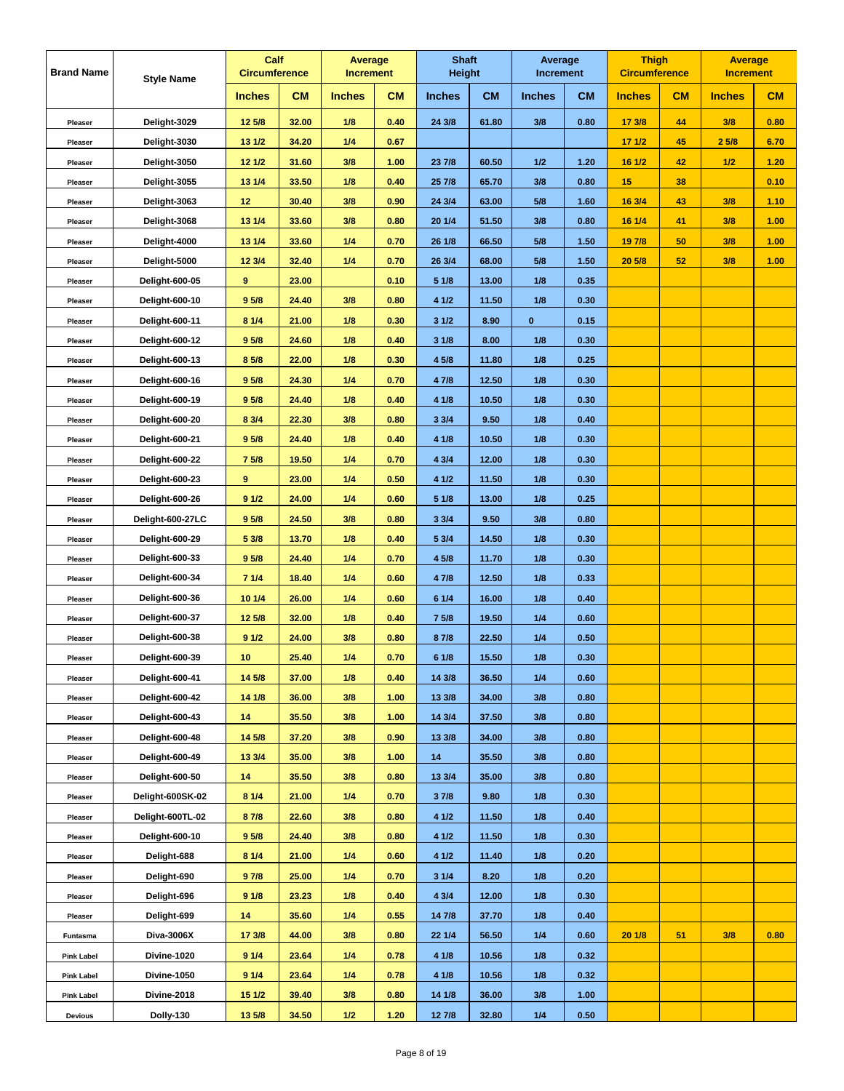| <b>Brand Name</b> | <b>Style Name</b>     | Calf<br><b>Circumference</b> |           | Average<br><b>Increment</b> |           | <b>Shaft</b><br><b>Height</b> |           | Average<br><b>Increment</b> |           | <b>Thigh</b><br><b>Circumference</b> |    | <b>Average</b><br><b>Increment</b> |      |
|-------------------|-----------------------|------------------------------|-----------|-----------------------------|-----------|-------------------------------|-----------|-----------------------------|-----------|--------------------------------------|----|------------------------------------|------|
|                   |                       | <b>Inches</b>                | <b>CM</b> | <b>Inches</b>               | <b>CM</b> | <b>Inches</b>                 | <b>CM</b> | <b>Inches</b>               | <b>CM</b> | <b>Inches</b>                        | CM | <b>Inches</b>                      | CM   |
| Pleaser           | Delight-3029          | 12 5/8                       | 32.00     | 1/8                         | 0.40      | 24 3/8                        | 61.80     | 3/8                         | 0.80      | 17 3/8                               | 44 | 3/8                                | 0.80 |
| Pleaser           | Delight-3030          | 13 1/2                       | 34.20     | 1/4                         | 0.67      |                               |           |                             |           | 171/2                                | 45 | 25/8                               | 6.70 |
| Pleaser           | Delight-3050          | 12 1/2                       | 31.60     | 3/8                         | 1.00      | 23 7/8                        | 60.50     | 1/2                         | 1.20      | 16 1/2                               | 42 | 1/2                                | 1.20 |
| Pleaser           | Delight-3055          | 13 1/4                       | 33.50     | 1/8                         | 0.40      | 25 7/8                        | 65.70     | 3/8                         | 0.80      | 15                                   | 38 |                                    | 0.10 |
| Pleaser           | Delight-3063          | 12                           | 30.40     | 3/8                         | 0.90      | 24 3/4                        | 63.00     | 5/8                         | 1.60      | 16 3/4                               | 43 | 3/8                                | 1.10 |
| Pleaser           | Delight-3068          | 13 1/4                       | 33.60     | 3/8                         | 0.80      | 20 1/4                        | 51.50     | 3/8                         | 0.80      | 16 1/4                               | 41 | 3/8                                | 1.00 |
| Pleaser           | Delight-4000          | 13 1/4                       | 33.60     | 1/4                         | 0.70      | 26 1/8                        | 66.50     | 5/8                         | 1.50      | 19 7/8                               | 50 | 3/8                                | 1.00 |
| Pleaser           | Delight-5000          | 12 3/4                       | 32.40     | 1/4                         | 0.70      | 26 3/4                        | 68.00     | 5/8                         | 1.50      | 20 5/8                               | 52 | 3/8                                | 1.00 |
| Pleaser           | <b>Delight-600-05</b> | 9                            | 23.00     |                             | 0.10      | 51/8                          | 13.00     | 1/8                         | 0.35      |                                      |    |                                    |      |
| Pleaser           | Delight-600-10        | 9 <sub>5/8</sub>             | 24.40     | 3/8                         | 0.80      | 4 1/2                         | 11.50     | 1/8                         | 0.30      |                                      |    |                                    |      |
| Pleaser           | Delight-600-11        | 8 1/4                        | 21.00     | 1/8                         | 0.30      | 31/2                          | 8.90      | $\bf{0}$                    | 0.15      |                                      |    |                                    |      |
| Pleaser           | Delight-600-12        | 9 5/8                        | 24.60     | 1/8                         | 0.40      | 31/8                          | 8.00      | 1/8                         | 0.30      |                                      |    |                                    |      |
| Pleaser           | Delight-600-13        | 8 5/8                        | 22.00     | 1/8                         | 0.30      | 4 5/8                         | 11.80     | 1/8                         | 0.25      |                                      |    |                                    |      |
| Pleaser           | Delight-600-16        | 9 <sub>5/8</sub>             | 24.30     | 1/4                         | 0.70      | 4 7/8                         | 12.50     | 1/8                         | 0.30      |                                      |    |                                    |      |
| Pleaser           | Delight-600-19        | 9 5/8                        | 24.40     | 1/8                         | 0.40      | 4 1/8                         | 10.50     | 1/8                         | 0.30      |                                      |    |                                    |      |
| Pleaser           | Delight-600-20        | 8 3/4                        | 22.30     | 3/8                         | 0.80      | 33/4                          | 9.50      | 1/8                         | 0.40      |                                      |    |                                    |      |
| Pleaser           | Delight-600-21        | 9 5/8                        | 24.40     | 1/8                         | 0.40      | 4 1/8                         | 10.50     | 1/8                         | 0.30      |                                      |    |                                    |      |
| Pleaser           | Delight-600-22        | 7 5/8                        | 19.50     | 1/4                         | 0.70      | 4 3/4                         | 12.00     | 1/8                         | 0.30      |                                      |    |                                    |      |
| Pleaser           | <b>Delight-600-23</b> | 9                            | 23.00     | 1/4                         | 0.50      | 4 1/2                         | 11.50     | 1/8                         | 0.30      |                                      |    |                                    |      |
| Pleaser           | Delight-600-26        | 91/2                         | 24.00     | 1/4                         | 0.60      | 51/8                          | 13.00     | 1/8                         | 0.25      |                                      |    |                                    |      |
| Pleaser           | Delight-600-27LC      | 9 <sub>5/8</sub>             | 24.50     | 3/8                         | 0.80      | 33/4                          | 9.50      | 3/8                         | 0.80      |                                      |    |                                    |      |
| Pleaser           | Delight-600-29        | 5 3/8                        | 13.70     | 1/8                         | 0.40      | 5 3/4                         | 14.50     | 1/8                         | 0.30      |                                      |    |                                    |      |
| Pleaser           | Delight-600-33        | 9 5/8                        | 24.40     | 1/4                         | 0.70      | 4 5/8                         | 11.70     | 1/8                         | 0.30      |                                      |    |                                    |      |
| Pleaser           | Delight-600-34        | 71/4                         | 18.40     | 1/4                         | 0.60      | 4 7/8                         | 12.50     | 1/8                         | 0.33      |                                      |    |                                    |      |
| Pleaser           | Delight-600-36        | 10 1/4                       | 26.00     | 1/4                         | 0.60      | 61/4                          | 16.00     | 1/8                         | 0.40      |                                      |    |                                    |      |
| Pleaser           | Delight-600-37        | 12 5/8                       | 32.00     | 1/8                         | 0.40      | 7 5/8                         | 19.50     | 1/4                         | 0.60      |                                      |    |                                    |      |
| Pleaser           | Delight-600-38        | 91/2                         | 24.00     | 3/8                         | 0.80      | 87/8                          | 22.50     | 1/4                         | 0.50      |                                      |    |                                    |      |
| Pleaser           | Delight-600-39        | 10                           | 25.40     | 1/4                         | 0.70      | 61/8                          | 15.50     | 1/8                         | 0.30      |                                      |    |                                    |      |
| Pleaser           | Delight-600-41        | 14 5/8                       | 37.00     | 1/8                         | 0.40      | 14 3/8                        | 36.50     | 1/4                         | 0.60      |                                      |    |                                    |      |
| Pleaser           | Delight-600-42        | 14 1/8                       | 36.00     | 3/8                         | 1.00      | 13 3/8                        | 34.00     | 3/8                         | 0.80      |                                      |    |                                    |      |
| Pleaser           | Delight-600-43        | 14                           | 35.50     | 3/8                         | 1.00      | 14 3/4                        | 37.50     | 3/8                         | 0.80      |                                      |    |                                    |      |
| Pleaser           | Delight-600-48        | 14 5/8                       | 37.20     | 3/8                         | 0.90      | 13 3/8                        | 34.00     | 3/8                         | 0.80      |                                      |    |                                    |      |
| Pleaser           | Delight-600-49        | 13 3/4                       | 35.00     | 3/8                         | 1.00      | 14                            | 35.50     | 3/8                         | 0.80      |                                      |    |                                    |      |
| Pleaser           | Delight-600-50        | 14                           | 35.50     | 3/8                         | 0.80      | 13 3/4                        | 35.00     | 3/8                         | 0.80      |                                      |    |                                    |      |
| Pleaser           | Delight-600SK-02      | 8 1/4                        | 21.00     | 1/4                         | 0.70      | 37/8                          | 9.80      | 1/8                         | 0.30      |                                      |    |                                    |      |
| Pleaser           | Delight-600TL-02      | 87/8                         | 22.60     | 3/8                         | 0.80      | 4 1/2                         | 11.50     | 1/8                         | 0.40      |                                      |    |                                    |      |
| Pleaser           | Delight-600-10        | 9 <sub>5/8</sub>             | 24.40     | 3/8                         | 0.80      | 4 1/2                         | 11.50     | 1/8                         | 0.30      |                                      |    |                                    |      |
| Pleaser           | Delight-688           | 81/4                         | 21.00     | 1/4                         | 0.60      | 4 1/2                         | 11.40     | 1/8                         | 0.20      |                                      |    |                                    |      |
| Pleaser           | Delight-690           | 97/8                         | 25.00     | 1/4                         | 0.70      | 31/4                          | 8.20      | 1/8                         | 0.20      |                                      |    |                                    |      |
| Pleaser           | Delight-696           | 91/8                         | 23.23     | 1/8                         | 0.40      | 4 3/4                         | 12.00     | 1/8                         | 0.30      |                                      |    |                                    |      |
| Pleaser           | Delight-699           | 14                           | 35.60     | 1/4                         | 0.55      | 14 7/8                        | 37.70     | 1/8                         | 0.40      |                                      |    |                                    |      |
| Funtasma          | Diva-3006X            | 17 3/8                       | 44.00     | 3/8                         | 0.80      | 22 1/4                        | 56.50     | 1/4                         | 0.60      | 20 1/8                               | 51 | 3/8                                | 0.80 |
| <b>Pink Label</b> | Divine-1020           | 91/4                         | 23.64     | 1/4                         | 0.78      | 4 1/8                         | 10.56     | 1/8                         | 0.32      |                                      |    |                                    |      |
| <b>Pink Label</b> | Divine-1050           | 9 1/4                        | 23.64     | 1/4                         | 0.78      | 4 1/8                         | 10.56     | 1/8                         | 0.32      |                                      |    |                                    |      |
| <b>Pink Label</b> | Divine-2018           | 15 1/2                       | 39.40     | 3/8                         | 0.80      | 14 1/8                        | 36.00     | 3/8                         | 1.00      |                                      |    |                                    |      |
| Devious           | Dolly-130             | 13 5/8                       | 34.50     | 1/2                         | 1.20      | 12 7/8                        | 32.80     | 1/4                         | 0.50      |                                      |    |                                    |      |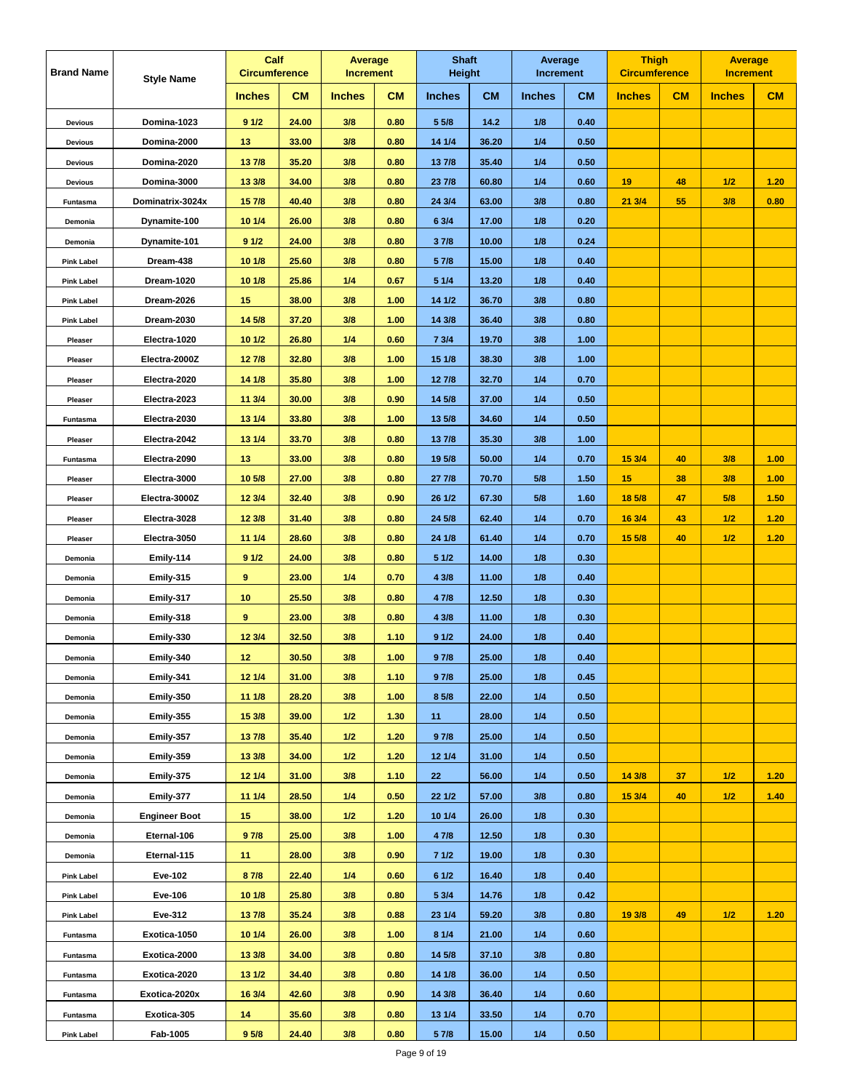| <b>Brand Name</b> | <b>Style Name</b>    | Calf<br><b>Circumference</b> |           | <b>Average</b><br><b>Increment</b> |           | <b>Shaft</b><br><b>Height</b> |           | Average<br><b>Increment</b> |           | <b>Thigh</b><br><b>Circumference</b> |    | <b>Average</b><br><b>Increment</b> |      |
|-------------------|----------------------|------------------------------|-----------|------------------------------------|-----------|-------------------------------|-----------|-----------------------------|-----------|--------------------------------------|----|------------------------------------|------|
|                   |                      | <b>Inches</b>                | <b>CM</b> | <b>Inches</b>                      | <b>CM</b> | <b>Inches</b>                 | <b>CM</b> | <b>Inches</b>               | <b>CM</b> | <b>Inches</b>                        | CM | <b>Inches</b>                      | CM   |
| <b>Devious</b>    | Domina-1023          | 91/2                         | 24.00     | 3/8                                | 0.80      | 5 5/8                         | 14.2      | 1/8                         | 0.40      |                                      |    |                                    |      |
| <b>Devious</b>    | Domina-2000          | 13                           | 33.00     | 3/8                                | 0.80      | 14 1/4                        | 36.20     | 1/4                         | 0.50      |                                      |    |                                    |      |
| <b>Devious</b>    | Domina-2020          | 137/8                        | 35.20     | 3/8                                | 0.80      | 13 7/8                        | 35.40     | 1/4                         | 0.50      |                                      |    |                                    |      |
| <b>Devious</b>    | Domina-3000          | 13 3/8                       | 34.00     | 3/8                                | 0.80      | 23 7/8                        | 60.80     | 1/4                         | 0.60      | 19                                   | 48 | 1/2                                | 1.20 |
| Funtasma          | Dominatrix-3024x     | 157/8                        | 40.40     | 3/8                                | 0.80      | 24 3/4                        | 63.00     | 3/8                         | 0.80      | 213/4                                | 55 | 3/8                                | 0.80 |
| Demonia           | Dynamite-100         | 10 1/4                       | 26.00     | 3/8                                | 0.80      | 6 3/4                         | 17.00     | 1/8                         | 0.20      |                                      |    |                                    |      |
| Demonia           | Dynamite-101         | 91/2                         | 24.00     | 3/8                                | 0.80      | 37/8                          | 10.00     | 1/8                         | 0.24      |                                      |    |                                    |      |
| <b>Pink Label</b> | Dream-438            | 10 1/8                       | 25.60     | 3/8                                | 0.80      | 5 7/8                         | 15.00     | 1/8                         | 0.40      |                                      |    |                                    |      |
| <b>Pink Label</b> | Dream-1020           | 10 1/8                       | 25.86     | 1/4                                | 0.67      | 5 1/4                         | 13.20     | 1/8                         | 0.40      |                                      |    |                                    |      |
| <b>Pink Label</b> | Dream-2026           | 15                           | 38.00     | 3/8                                | 1.00      | 14 1/2                        | 36.70     | 3/8                         | 0.80      |                                      |    |                                    |      |
| <b>Pink Label</b> | Dream-2030           | 14 5/8                       | 37.20     | 3/8                                | 1.00      | 14 3/8                        | 36.40     | 3/8                         | 0.80      |                                      |    |                                    |      |
| Pleaser           | Electra-1020         | 10 1/2                       | 26.80     | 1/4                                | 0.60      | 73/4                          | 19.70     | 3/8                         | 1.00      |                                      |    |                                    |      |
| Pleaser           | Electra-2000Z        | 12 7/8                       | 32.80     | 3/8                                | 1.00      | 15 1/8                        | 38.30     | 3/8                         | 1.00      |                                      |    |                                    |      |
| Pleaser           | Electra-2020         | 14 1/8                       | 35.80     | 3/8                                | 1.00      | 12 7/8                        | 32.70     | 1/4                         | 0.70      |                                      |    |                                    |      |
| Pleaser           | Electra-2023         | 11 3/4                       | 30.00     | 3/8                                | 0.90      | 14 5/8                        | 37.00     | 1/4                         | 0.50      |                                      |    |                                    |      |
| Funtasma          | Electra-2030         | 13 1/4                       | 33.80     | 3/8                                | 1.00      | 13 5/8                        | 34.60     | 1/4                         | 0.50      |                                      |    |                                    |      |
| Pleaser           | Electra-2042         | 13 1/4                       | 33.70     | 3/8                                | 0.80      | 13 7/8                        | 35.30     | 3/8                         | 1.00      |                                      |    |                                    |      |
| Funtasma          | Electra-2090         | 13                           | 33.00     | 3/8                                | 0.80      | 19 5/8                        | 50.00     | 1/4                         | 0.70      | 15 3/4                               | 40 | 3/8                                | 1.00 |
| Pleaser           | Electra-3000         | 10 5/8                       | 27.00     | 3/8                                | 0.80      | 27 7/8                        | 70.70     | 5/8                         | 1.50      | 15                                   | 38 | 3/8                                | 1.00 |
| Pleaser           | Electra-3000Z        | 12 3/4                       | 32.40     | 3/8                                | 0.90      | 26 1/2                        | 67.30     | 5/8                         | 1.60      | 18 5/8                               | 47 | 5/8                                | 1.50 |
| Pleaser           | Electra-3028         | 12 3/8                       | 31.40     | 3/8                                | 0.80      | 24 5/8                        | 62.40     | 1/4                         | 0.70      | 16 3/4                               | 43 | 1/2                                | 1.20 |
| Pleaser           | Electra-3050         | 11 1/4                       | 28.60     | 3/8                                | 0.80      | 24 1/8                        | 61.40     | 1/4                         | 0.70      | 15 5/8                               | 40 | 1/2                                | 1.20 |
| Demonia           | Emily-114            | 91/2                         | 24.00     | 3/8                                | 0.80      | 5 1/2                         | 14.00     | 1/8                         | 0.30      |                                      |    |                                    |      |
| Demonia           | Emily-315            | 9                            | 23.00     | 1/4                                | 0.70      | 4 3/8                         | 11.00     | 1/8                         | 0.40      |                                      |    |                                    |      |
| Demonia           | Emily-317            | 10                           | 25.50     | 3/8                                | 0.80      | 4 7/8                         | 12.50     | 1/8                         | 0.30      |                                      |    |                                    |      |
| Demonia           | Emily-318            | 9                            | 23.00     | 3/8                                | 0.80      | 4 3/8                         | 11.00     | 1/8                         | 0.30      |                                      |    |                                    |      |
| Demonia           | Emily-330            | 12 3/4                       | 32.50     | 3/8                                | 1.10      | 91/2                          | 24.00     | 1/8                         | 0.40      |                                      |    |                                    |      |
| Demonia           | Emily-340            | 12                           | 30.50     | 3/8                                | 1.00      | 97/8                          | 25.00     | 1/8                         | 0.40      |                                      |    |                                    |      |
| Demonia           | Emily-341            | 12 1/4                       | 31.00     | 3/8                                | 1.10      | 97/8                          | 25.00     | 1/8                         | 0.45      |                                      |    |                                    |      |
| Demonia           | Emily-350            | 11 1/8                       | 28.20     | 3/8                                | 1.00      | 8 5/8                         | 22.00     | 1/4                         | 0.50      |                                      |    |                                    |      |
| Demonia           | Emily-355            | 15 3/8                       | 39.00     | 1/2                                | 1.30      | 11                            | 28.00     | 1/4                         | 0.50      |                                      |    |                                    |      |
| Demonia           | Emily-357            | 137/8                        | 35.40     | 1/2                                | 1.20      | 97/8                          | 25.00     | 1/4                         | 0.50      |                                      |    |                                    |      |
| Demonia           | Emily-359            | 133/8                        | 34.00     | 1/2                                | 1.20      | 12 1/4                        | 31.00     | 1/4                         | 0.50      |                                      |    |                                    |      |
| Demonia           | Emily-375            | 12 1/4                       | 31.00     | 3/8                                | 1.10      | 22                            | 56.00     | 1/4                         | 0.50      | 14 3/8                               | 37 | 1/2                                | 1.20 |
| Demonia           | Emily-377            | 11 1/4                       | 28.50     | 1/4                                | 0.50      | 22 1/2                        | 57.00     | 3/8                         | 0.80      | 15 3/4                               | 40 | 1/2                                | 1.40 |
| Demonia           | <b>Engineer Boot</b> | 15                           | 38.00     | 1/2                                | 1.20      | 10 1/4                        | 26.00     | 1/8                         | 0.30      |                                      |    |                                    |      |
| Demonia           | Eternal-106          | 97/8                         | 25.00     | 3/8                                | 1.00      | 4 7/8                         | 12.50     | 1/8                         | 0.30      |                                      |    |                                    |      |
| Demonia           | Eternal-115          | 11                           | 28.00     | 3/8                                | 0.90      | 71/2                          | 19.00     | 1/8                         | 0.30      |                                      |    |                                    |      |
| <b>Pink Label</b> | <b>Eve-102</b>       | 8 7/8                        | 22.40     | 1/4                                | 0.60      | 61/2                          | 16.40     | 1/8                         | 0.40      |                                      |    |                                    |      |
| <b>Pink Label</b> | Eve-106              | 10 1/8                       | 25.80     | 3/8                                | 0.80      | 5 3/4                         | 14.76     | 1/8                         | 0.42      |                                      |    |                                    |      |
| <b>Pink Label</b> | Eve-312              | 137/8                        | 35.24     | 3/8                                | 0.88      | 23 1/4                        | 59.20     | 3/8                         | 0.80      | 19 3/8                               | 49 | 1/2                                | 1.20 |
| Funtasma          | Exotica-1050         | 10 1/4                       | 26.00     | 3/8                                | 1.00      | 81/4                          | 21.00     | 1/4                         | 0.60      |                                      |    |                                    |      |
| Funtasma          | Exotica-2000         | 13 3/8                       | 34.00     | 3/8                                | 0.80      | 14 5/8                        | 37.10     | 3/8                         | 0.80      |                                      |    |                                    |      |
| Funtasma          | Exotica-2020         | 13 1/2                       | 34.40     | 3/8                                | 0.80      | 14 1/8                        | 36.00     | 1/4                         | 0.50      |                                      |    |                                    |      |
| Funtasma          | Exotica-2020x        | 16 3/4                       | 42.60     | 3/8                                | 0.90      | 14 3/8                        | 36.40     | 1/4                         | 0.60      |                                      |    |                                    |      |
| Funtasma          | Exotica-305          | 14                           | 35.60     | 3/8                                | 0.80      | 13 1/4                        | 33.50     | 1/4                         | 0.70      |                                      |    |                                    |      |
| <b>Pink Label</b> | Fab-1005             | 9 <sub>5/8</sub>             | 24.40     | 3/8                                | 0.80      | 5 7/8                         | 15.00     | 1/4                         | 0.50      |                                      |    |                                    |      |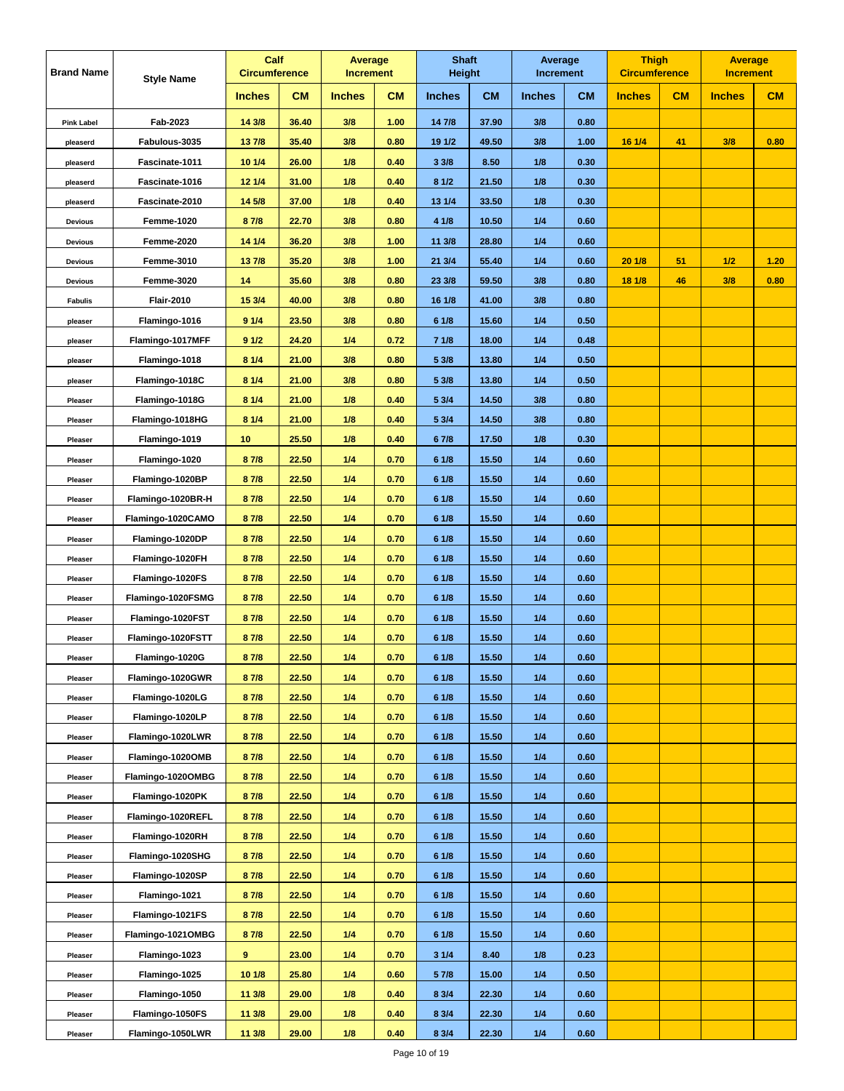| <b>Brand Name</b> | <b>Style Name</b> | Calf<br><b>Circumference</b> |           | <b>Average</b><br><b>Increment</b> |           | <b>Shaft</b><br><b>Height</b> |           | Average<br><b>Increment</b> |           | <b>Thigh</b><br><b>Circumference</b> |    | <b>Average</b><br><b>Increment</b> |      |
|-------------------|-------------------|------------------------------|-----------|------------------------------------|-----------|-------------------------------|-----------|-----------------------------|-----------|--------------------------------------|----|------------------------------------|------|
|                   |                   | <b>Inches</b>                | <b>CM</b> | <b>Inches</b>                      | <b>CM</b> | <b>Inches</b>                 | <b>CM</b> | <b>Inches</b>               | <b>CM</b> | <b>Inches</b>                        | CM | <b>Inches</b>                      | CM   |
| <b>Pink Label</b> | Fab-2023          | 14 3/8                       | 36.40     | 3/8                                | 1.00      | 14 7/8                        | 37.90     | 3/8                         | 0.80      |                                      |    |                                    |      |
| pleaserd          | Fabulous-3035     | 137/8                        | 35.40     | 3/8                                | 0.80      | 19 1/2                        | 49.50     | 3/8                         | 1.00      | 16 1/4                               | 41 | 3/8                                | 0.80 |
| pleaserd          | Fascinate-1011    | 10 1/4                       | 26.00     | 1/8                                | 0.40      | 33/8                          | 8.50      | 1/8                         | 0.30      |                                      |    |                                    |      |
| pleaserd          | Fascinate-1016    | 12 1/4                       | 31.00     | 1/8                                | 0.40      | 81/2                          | 21.50     | 1/8                         | 0.30      |                                      |    |                                    |      |
| pleaserd          | Fascinate-2010    | 14 5/8                       | 37.00     | 1/8                                | 0.40      | 13 1/4                        | 33.50     | 1/8                         | 0.30      |                                      |    |                                    |      |
| <b>Devious</b>    | <b>Femme-1020</b> | 87/8                         | 22.70     | 3/8                                | 0.80      | 4 1/8                         | 10.50     | 1/4                         | 0.60      |                                      |    |                                    |      |
| <b>Devious</b>    | Femme-2020        | 14 1/4                       | 36.20     | 3/8                                | 1.00      | 11 3/8                        | 28.80     | 1/4                         | 0.60      |                                      |    |                                    |      |
| <b>Devious</b>    | <b>Femme-3010</b> | 137/8                        | 35.20     | 3/8                                | 1.00      | 21 3/4                        | 55.40     | 1/4                         | 0.60      | 201/8                                | 51 | 1/2                                | 1.20 |
| <b>Devious</b>    | Femme-3020        | 14                           | 35.60     | 3/8                                | 0.80      | 23 3/8                        | 59.50     | 3/8                         | 0.80      | 18 1/8                               | 46 | 3/8                                | 0.80 |
| <b>Fabulis</b>    | <b>Flair-2010</b> | 15 3/4                       | 40.00     | 3/8                                | 0.80      | 16 1/8                        | 41.00     | 3/8                         | 0.80      |                                      |    |                                    |      |
| pleaser           | Flamingo-1016     | 91/4                         | 23.50     | 3/8                                | 0.80      | 61/8                          | 15.60     | 1/4                         | 0.50      |                                      |    |                                    |      |
| pleaser           | Flamingo-1017MFF  | 91/2                         | 24.20     | 1/4                                | 0.72      | 71/8                          | 18.00     | 1/4                         | 0.48      |                                      |    |                                    |      |
| pleaser           | Flamingo-1018     | 8 1/4                        | 21.00     | 3/8                                | 0.80      | 5 3/8                         | 13.80     | 1/4                         | 0.50      |                                      |    |                                    |      |
| pleaser           | Flamingo-1018C    | 81/4                         | 21.00     | 3/8                                | 0.80      | 5 3/8                         | 13.80     | 1/4                         | 0.50      |                                      |    |                                    |      |
| Pleaser           | Flamingo-1018G    | 8 1/4                        | 21.00     | 1/8                                | 0.40      | 5 3/4                         | 14.50     | 3/8                         | 0.80      |                                      |    |                                    |      |
| Pleaser           | Flamingo-1018HG   | 81/4                         | 21.00     | 1/8                                | 0.40      | 5 3/4                         | 14.50     | 3/8                         | 0.80      |                                      |    |                                    |      |
| Pleaser           | Flamingo-1019     | 10                           | 25.50     | 1/8                                | 0.40      | 67/8                          | 17.50     | 1/8                         | 0.30      |                                      |    |                                    |      |
| Pleaser           | Flamingo-1020     | 87/8                         | 22.50     | 1/4                                | 0.70      | 6 1/8                         | 15.50     | 1/4                         | 0.60      |                                      |    |                                    |      |
| Pleaser           | Flamingo-1020BP   | 8 7/8                        | 22.50     | 1/4                                | 0.70      | 6 1/8                         | 15.50     | 1/4                         | 0.60      |                                      |    |                                    |      |
| Pleaser           | Flamingo-1020BR-H | 87/8                         | 22.50     | 1/4                                | 0.70      | 61/8                          | 15.50     | 1/4                         | 0.60      |                                      |    |                                    |      |
| Pleaser           | Flamingo-1020CAMO | 87/8                         | 22.50     | 1/4                                | 0.70      | 61/8                          | 15.50     | 1/4                         | 0.60      |                                      |    |                                    |      |
| Pleaser           | Flamingo-1020DP   | 8 7/8                        | 22.50     | 1/4                                | 0.70      | 6 1/8                         | 15.50     | 1/4                         | 0.60      |                                      |    |                                    |      |
| Pleaser           | Flamingo-1020FH   | 87/8                         | 22.50     | 1/4                                | 0.70      | 6 1/8                         | 15.50     | 1/4                         | 0.60      |                                      |    |                                    |      |
| Pleaser           | Flamingo-1020FS   | 8 7/8                        | 22.50     | 1/4                                | 0.70      | 6 1/8                         | 15.50     | 1/4                         | 0.60      |                                      |    |                                    |      |
| Pleaser           | Flamingo-1020FSMG | 87/8                         | 22.50     | 1/4                                | 0.70      | 61/8                          | 15.50     | 1/4                         | 0.60      |                                      |    |                                    |      |
| Pleaser           | Flamingo-1020FST  | 8 7/8                        | 22.50     | 1/4                                | 0.70      | 61/8                          | 15.50     | 1/4                         | 0.60      |                                      |    |                                    |      |
| Pleaser           | Flamingo-1020FSTT | 8 7/8                        | 22.50     | 1/4                                | 0.70      | 6 1/8                         | 15.50     | 1/4                         | 0.60      |                                      |    |                                    |      |
| Pleaser           | Flamingo-1020G    | 87/8                         | 22.50     | 1/4                                | 0.70      | 61/8                          | 15.50     | 1/4                         | 0.60      |                                      |    |                                    |      |
| Pleaser           | Flamingo-1020GWR  | 87/8                         | 22.50     | 1/4                                | 0.70      | 61/8                          | 15.50     | 1/4                         | 0.60      |                                      |    |                                    |      |
| Pleaser           | Flamingo-1020LG   | 87/8                         | 22.50     | 1/4                                | 0.70      | 61/8                          | 15.50     | 1/4                         | 0.60      |                                      |    |                                    |      |
| Pleaser           | Flamingo-1020LP   | 87/8                         | 22.50     | 1/4                                | 0.70      | 61/8                          | 15.50     | 1/4                         | 0.60      |                                      |    |                                    |      |
| Pleaser           | Flamingo-1020LWR  | 87/8                         | 22.50     | 1/4                                | 0.70      | 61/8                          | 15.50     | 1/4                         | 0.60      |                                      |    |                                    |      |
| Pleaser           | Flamingo-1020OMB  | 87/8                         | 22.50     | 1/4                                | 0.70      | 61/8                          | 15.50     | 1/4                         | 0.60      |                                      |    |                                    |      |
| Pleaser           | Flamingo-1020OMBG | 87/8                         | 22.50     | 1/4                                | 0.70      | 61/8                          | 15.50     | 1/4                         | 0.60      |                                      |    |                                    |      |
| Pleaser           | Flamingo-1020PK   | 87/8                         | 22.50     | 1/4                                | 0.70      | 61/8                          | 15.50     | 1/4                         | 0.60      |                                      |    |                                    |      |
| Pleaser           | Flamingo-1020REFL | 87/8                         | 22.50     | 1/4                                | 0.70      | 61/8                          | 15.50     | 1/4                         | 0.60      |                                      |    |                                    |      |
| Pleaser           | Flamingo-1020RH   | 87/8                         | 22.50     | 1/4                                | 0.70      | 61/8                          | 15.50     | 1/4                         | 0.60      |                                      |    |                                    |      |
| Pleaser           | Flamingo-1020SHG  | 87/8                         | 22.50     | 1/4                                | 0.70      | 61/8                          | 15.50     | 1/4                         | 0.60      |                                      |    |                                    |      |
| Pleaser           | Flamingo-1020SP   | 87/8                         | 22.50     | 1/4                                | 0.70      | 61/8                          | 15.50     | 1/4                         | 0.60      |                                      |    |                                    |      |
| Pleaser           | Flamingo-1021     | 87/8                         | 22.50     | 1/4                                | 0.70      | 61/8                          | 15.50     | 1/4                         | 0.60      |                                      |    |                                    |      |
| Pleaser           | Flamingo-1021FS   | 87/8                         | 22.50     | 1/4                                | 0.70      | 61/8                          | 15.50     | 1/4                         | 0.60      |                                      |    |                                    |      |
| Pleaser           | Flamingo-1021OMBG | 87/8                         | 22.50     | 1/4                                | 0.70      | 61/8                          | 15.50     | 1/4                         | 0.60      |                                      |    |                                    |      |
| Pleaser           | Flamingo-1023     | 9                            | 23.00     | 1/4                                | 0.70      | 31/4                          | 8.40      | 1/8                         | 0.23      |                                      |    |                                    |      |
| Pleaser           | Flamingo-1025     | 10 1/8                       | 25.80     | 1/4                                | 0.60      | 5 7/8                         | 15.00     | 1/4                         | 0.50      |                                      |    |                                    |      |
| Pleaser           | Flamingo-1050     | 11 3/8                       | 29.00     | 1/8                                | 0.40      | 83/4                          | 22.30     | 1/4                         | 0.60      |                                      |    |                                    |      |
| Pleaser           | Flamingo-1050FS   | 11 3/8                       | 29.00     | 1/8                                | 0.40      | 8 3/4                         | 22.30     | 1/4                         | 0.60      |                                      |    |                                    |      |
| Pleaser           | Flamingo-1050LWR  | 11 3/8                       | 29.00     | 1/8                                | 0.40      | 8 3/4                         | 22.30     | 1/4                         | 0.60      |                                      |    |                                    |      |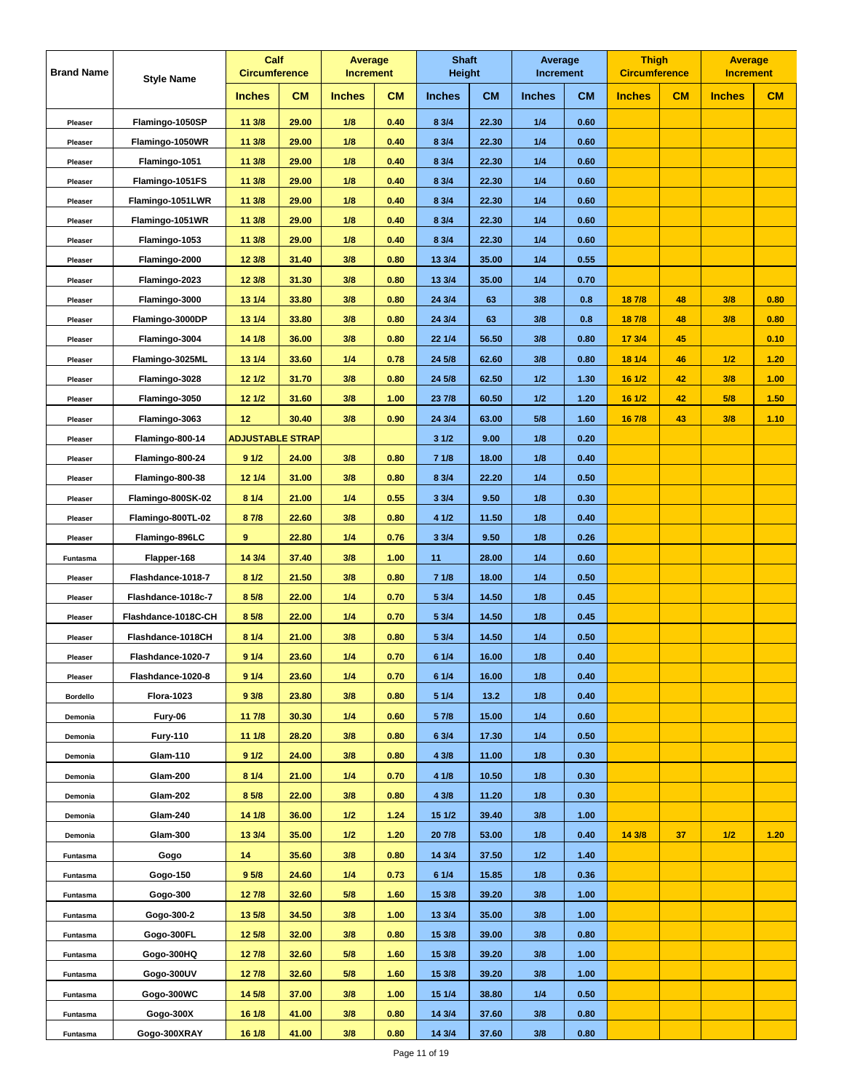| <b>CM</b><br><b>CM</b><br><b>CM</b><br><b>CM</b><br>CM<br>CM<br><b>Inches</b><br><b>Inches</b><br><b>Inches</b><br><b>Inches</b><br><b>Inches</b><br><b>Inches</b><br>Flamingo-1050SP<br>11 3/8<br>29.00<br>1/8<br>0.40<br>8 3/4<br>22.30<br>1/4<br>0.60<br>Pleaser<br>29.00<br>1/8<br>0.40<br>8 3/4<br>22.30<br>1/4<br>0.60<br>Flamingo-1050WR<br>11 3/8<br>Pleaser<br>1/4<br>11 3/8<br>29.00<br>1/8<br>0.40<br>8 3/4<br>22.30<br>0.60<br>Flamingo-1051<br>Pleaser<br>29.00<br>1/8<br>0.40<br>8 3/4<br>1/4<br>0.60<br>Flamingo-1051FS<br>11 3/8<br>22.30<br>Pleaser<br>11 3/8<br>29.00<br>1/8<br>0.40<br>8 3/4<br>22.30<br>1/4<br>0.60<br>Flamingo-1051LWR<br>Pleaser<br>29.00<br>1/8<br>8 3/4<br>22.30<br>1/4<br>0.60<br>Flamingo-1051WR<br>11 3/8<br>0.40<br>Pleaser<br>11 3/8<br>29.00<br>1/8<br>0.40<br>8 3/4<br>22.30<br>1/4<br>0.60<br>Flamingo-1053<br>Pleaser<br>Flamingo-2000<br>12 3/8<br>31.40<br>3/8<br>13 3/4<br>35.00<br>1/4<br>0.55<br>0.80<br>Pleaser<br>12 3/8<br>31.30<br>3/8<br>13 3/4<br>1/4<br>0.70<br>Flamingo-2023<br>0.80<br>35.00<br>Pleaser<br>Flamingo-3000<br>13 1/4<br>33.80<br>3/8<br>0.80<br>24 3/4<br>63<br>3/8<br>0.8<br>18 7/8<br>48<br>3/8<br>0.80<br>Pleaser<br>3/8<br>33.80<br>3/8<br>63<br>3/8<br>0.8<br>48<br>0.80<br>Flamingo-3000DP<br>13 1/4<br>0.80<br>24 3/4<br>18 7/8<br>Pleaser<br>14 1/8<br>36.00<br>3/8<br>0.80<br>22 1/4<br>56.50<br>3/8<br>0.80<br>17 3/4<br>45<br>0.10<br>Flamingo-3004<br>Pleaser<br>1/2<br>13 1/4<br>33.60<br>$1/4$<br>24 5/8<br>62.60<br>3/8<br>0.80<br>18 1/4<br>46<br>1.20<br>Flamingo-3025ML<br>0.78<br>Pleaser<br>12 1/2<br>31.70<br>3/8<br>24 5/8<br>62.50<br>1/2<br>1.30<br>16 1/2<br>42<br>3/8<br>1.00<br>Flamingo-3028<br>0.80<br>Pleaser<br>Flamingo-3050<br>12 1/2<br>31.60<br>3/8<br>1.00<br>23 7/8<br>60.50<br>1/2<br>1.20<br>16 1/2<br>42<br>5/8<br>1.50<br>Pleaser<br>30.40<br>3/8<br>63.00<br>5/8<br>1.60<br>43<br>3/8<br>1.10<br>Flamingo-3063<br>12<br>0.90<br>24 3/4<br>16 7/8<br>Pleaser<br><b>ADJUSTABLE STRAP</b><br>31/2<br>9.00<br>1/8<br>0.20<br>Flamingo-800-14<br>Pleaser<br>91/2<br>24.00<br>3/8<br>0.80<br>71/8<br>18.00<br>1/8<br>0.40<br>Flamingo-800-24<br>Pleaser<br>12 1/4<br>31.00<br>3/8<br>8 3/4<br>1/4<br>0.50<br>Flamingo-800-38<br>0.80<br>22.20<br>Pleaser<br>8 1/4<br>21.00<br>$1/4$<br>0.55<br>33/4<br>9.50<br>1/8<br>0.30<br>Flamingo-800SK-02<br>Pleaser<br>22.60<br>3/8<br>4 1/2<br>11.50<br>1/8<br>0.40<br>Flamingo-800TL-02<br>8 7/8<br>0.80<br>Pleaser<br>Flamingo-896LC<br>9<br>22.80<br>1/4<br>0.76<br>33/4<br>9.50<br>1/8<br>0.26<br>Pleaser<br>Flapper-168<br>14 3/4<br>37.40<br>3/8<br>1.00<br>11<br>28.00<br>1/4<br>0.60<br>Funtasma<br>81/2<br>21.50<br>3/8<br>71/8<br>1/4<br>0.50<br>Flashdance-1018-7<br>0.80<br>18.00<br>Pleaser<br>8 5/8<br>22.00<br>$1/4$<br>0.70<br>5 3/4<br>14.50<br>1/8<br>0.45<br>Flashdance-1018c-7<br>Pleaser<br>8 5/8<br>$1/4$<br>0.70<br>14.50<br>1/8<br>0.45<br>Flashdance-1018C-CH<br>22.00<br>5 3/4<br>Pleaser<br>8 1/4<br>21.00<br>3/8<br>0.80<br>5 3/4<br>14.50<br>1/4<br>0.50<br>Flashdance-1018CH<br>Pleaser<br>0.40<br>91/4<br>23.60<br>$1/4$<br>0.70<br>6 1/4<br>16.00<br>1/8<br>Flashdance-1020-7<br>Pleaser<br>1/4<br>6 1/4<br>16.00<br>1/8<br>0.40<br>Flashdance-1020-8<br>9 1/4<br>23.60<br>0.70<br>Pleaser<br>93/8<br>23.80<br>3/8<br>0.80<br>5 1/4<br>13.2<br>1/8<br>0.40<br><b>Flora-1023</b><br><b>Bordello</b><br>$1/4$<br>1/4<br>Fury-06<br>11 7/8<br>30.30<br>0.60<br>5 7/8<br>15.00<br>0.60<br>Demonia<br>0.80<br>1/4<br><b>Fury-110</b><br>11 1/8<br>28.20<br>3/8<br>6 3/4<br>17.30<br>0.50<br>Demonia<br>Glam-110<br>91/2<br>24.00<br>3/8<br>0.80<br>4 3/8<br>11.00<br>1/8<br>0.30<br>Demonia<br><b>Glam-200</b><br>8 1/4<br>21.00<br>1/4<br>4 1/8<br>10.50<br>1/8<br>0.70<br>0.30<br>Demonia<br><b>Glam-202</b><br>8 5/8<br>22.00<br>3/8<br>0.80<br>4 3/8<br>11.20<br>1/8<br>0.30<br>Demonia<br>3/8<br>Glam-240<br>14 1/8<br>36.00<br>1/2<br>1.24<br>15 1/2<br>39.40<br>1.00<br>Demonia<br>Glam-300<br>1/2<br>1/8<br>14 3/8<br>1/2<br>13 3/4<br>35.00<br>1.20<br>20 7/8<br>53.00<br>0.40<br>37<br>1.20<br>Demonia<br>14<br>35.60<br>3/8<br>0.80<br>14 3/4<br>37.50<br>1/2<br>1.40<br>Gogo<br>Funtasma<br>9 <sub>5/8</sub><br>24.60<br>1/4<br>61/4<br>15.85<br>1/8<br>Gogo-150<br>0.73<br>0.36<br>Funtasma<br>127/8<br>32.60<br>5/8<br>15 3/8<br>39.20<br>1.00<br>Gogo-300<br>1.60<br>3/8<br>Funtasma<br>3/8<br>Gogo-300-2<br>13 5/8<br>34.50<br>1.00<br>13 3/4<br>35.00<br>3/8<br>1.00<br>Funtasma<br>0.80<br>39.00<br>3/8<br>Gogo-300FL<br>12 5/8<br>32.00<br>3/8<br>15 3/8<br>0.80<br>Funtasma<br>Gogo-300HQ<br>12 7/8<br>32.60<br>5/8<br>1.60<br>15 3/8<br>39.20<br>3/8<br>1.00<br>Funtasma<br>Gogo-300UV<br>127/8<br>32.60<br>5/8<br>15 3/8<br>39.20<br>3/8<br>1.60<br>1.00<br>Funtasma<br>Gogo-300WC<br>14 5/8<br>37.00<br>3/8<br>1.00<br>38.80<br>0.50<br>15 1/4<br>1/4<br>Funtasma<br>Gogo-300X<br>3/8<br>16 1/8<br>41.00<br>0.80<br>14 3/4<br>37.60<br>3/8<br>0.80<br>Funtasma | <b>Brand Name</b> | <b>Style Name</b> | Calf<br><b>Circumference</b> | <b>Average</b><br><b>Increment</b> | <b>Shaft</b><br>Height | Average<br><b>Increment</b> | <b>Thigh</b><br><b>Circumference</b> | <b>Average</b><br><b>Increment</b> |  |
|---------------------------------------------------------------------------------------------------------------------------------------------------------------------------------------------------------------------------------------------------------------------------------------------------------------------------------------------------------------------------------------------------------------------------------------------------------------------------------------------------------------------------------------------------------------------------------------------------------------------------------------------------------------------------------------------------------------------------------------------------------------------------------------------------------------------------------------------------------------------------------------------------------------------------------------------------------------------------------------------------------------------------------------------------------------------------------------------------------------------------------------------------------------------------------------------------------------------------------------------------------------------------------------------------------------------------------------------------------------------------------------------------------------------------------------------------------------------------------------------------------------------------------------------------------------------------------------------------------------------------------------------------------------------------------------------------------------------------------------------------------------------------------------------------------------------------------------------------------------------------------------------------------------------------------------------------------------------------------------------------------------------------------------------------------------------------------------------------------------------------------------------------------------------------------------------------------------------------------------------------------------------------------------------------------------------------------------------------------------------------------------------------------------------------------------------------------------------------------------------------------------------------------------------------------------------------------------------------------------------------------------------------------------------------------------------------------------------------------------------------------------------------------------------------------------------------------------------------------------------------------------------------------------------------------------------------------------------------------------------------------------------------------------------------------------------------------------------------------------------------------------------------------------------------------------------------------------------------------------------------------------------------------------------------------------------------------------------------------------------------------------------------------------------------------------------------------------------------------------------------------------------------------------------------------------------------------------------------------------------------------------------------------------------------------------------------------------------------------------------------------------------------------------------------------------------------------------------------------------------------------------------------------------------------------------------------------------------------------------------------------------------------------------------------------------------------------------------------------------------------------------------------------------------------------------------------------------------------------------------------------------------------------------------------------------------------------------------------------------------------------------------------------------------------------------------------------------------------------------------------------------------------------------------------------------------------------------------------------------------------------------------------------------------------------------------------------------------------------------------------------------------------------------------------------------------------------------------------------------------------------------------------------------------------------------------------------------------------|-------------------|-------------------|------------------------------|------------------------------------|------------------------|-----------------------------|--------------------------------------|------------------------------------|--|
|                                                                                                                                                                                                                                                                                                                                                                                                                                                                                                                                                                                                                                                                                                                                                                                                                                                                                                                                                                                                                                                                                                                                                                                                                                                                                                                                                                                                                                                                                                                                                                                                                                                                                                                                                                                                                                                                                                                                                                                                                                                                                                                                                                                                                                                                                                                                                                                                                                                                                                                                                                                                                                                                                                                                                                                                                                                                                                                                                                                                                                                                                                                                                                                                                                                                                                                                                                                                                                                                                                                                                                                                                                                                                                                                                                                                                                                                                                                                                                                                                                                                                                                                                                                                                                                                                                                                                                                                                                                                                                                                                                                                                                                                                                                                                                                                                                                                                                                                                                           |                   |                   |                              |                                    |                        |                             |                                      |                                    |  |
|                                                                                                                                                                                                                                                                                                                                                                                                                                                                                                                                                                                                                                                                                                                                                                                                                                                                                                                                                                                                                                                                                                                                                                                                                                                                                                                                                                                                                                                                                                                                                                                                                                                                                                                                                                                                                                                                                                                                                                                                                                                                                                                                                                                                                                                                                                                                                                                                                                                                                                                                                                                                                                                                                                                                                                                                                                                                                                                                                                                                                                                                                                                                                                                                                                                                                                                                                                                                                                                                                                                                                                                                                                                                                                                                                                                                                                                                                                                                                                                                                                                                                                                                                                                                                                                                                                                                                                                                                                                                                                                                                                                                                                                                                                                                                                                                                                                                                                                                                                           |                   |                   |                              |                                    |                        |                             |                                      |                                    |  |
|                                                                                                                                                                                                                                                                                                                                                                                                                                                                                                                                                                                                                                                                                                                                                                                                                                                                                                                                                                                                                                                                                                                                                                                                                                                                                                                                                                                                                                                                                                                                                                                                                                                                                                                                                                                                                                                                                                                                                                                                                                                                                                                                                                                                                                                                                                                                                                                                                                                                                                                                                                                                                                                                                                                                                                                                                                                                                                                                                                                                                                                                                                                                                                                                                                                                                                                                                                                                                                                                                                                                                                                                                                                                                                                                                                                                                                                                                                                                                                                                                                                                                                                                                                                                                                                                                                                                                                                                                                                                                                                                                                                                                                                                                                                                                                                                                                                                                                                                                                           |                   |                   |                              |                                    |                        |                             |                                      |                                    |  |
|                                                                                                                                                                                                                                                                                                                                                                                                                                                                                                                                                                                                                                                                                                                                                                                                                                                                                                                                                                                                                                                                                                                                                                                                                                                                                                                                                                                                                                                                                                                                                                                                                                                                                                                                                                                                                                                                                                                                                                                                                                                                                                                                                                                                                                                                                                                                                                                                                                                                                                                                                                                                                                                                                                                                                                                                                                                                                                                                                                                                                                                                                                                                                                                                                                                                                                                                                                                                                                                                                                                                                                                                                                                                                                                                                                                                                                                                                                                                                                                                                                                                                                                                                                                                                                                                                                                                                                                                                                                                                                                                                                                                                                                                                                                                                                                                                                                                                                                                                                           |                   |                   |                              |                                    |                        |                             |                                      |                                    |  |
|                                                                                                                                                                                                                                                                                                                                                                                                                                                                                                                                                                                                                                                                                                                                                                                                                                                                                                                                                                                                                                                                                                                                                                                                                                                                                                                                                                                                                                                                                                                                                                                                                                                                                                                                                                                                                                                                                                                                                                                                                                                                                                                                                                                                                                                                                                                                                                                                                                                                                                                                                                                                                                                                                                                                                                                                                                                                                                                                                                                                                                                                                                                                                                                                                                                                                                                                                                                                                                                                                                                                                                                                                                                                                                                                                                                                                                                                                                                                                                                                                                                                                                                                                                                                                                                                                                                                                                                                                                                                                                                                                                                                                                                                                                                                                                                                                                                                                                                                                                           |                   |                   |                              |                                    |                        |                             |                                      |                                    |  |
|                                                                                                                                                                                                                                                                                                                                                                                                                                                                                                                                                                                                                                                                                                                                                                                                                                                                                                                                                                                                                                                                                                                                                                                                                                                                                                                                                                                                                                                                                                                                                                                                                                                                                                                                                                                                                                                                                                                                                                                                                                                                                                                                                                                                                                                                                                                                                                                                                                                                                                                                                                                                                                                                                                                                                                                                                                                                                                                                                                                                                                                                                                                                                                                                                                                                                                                                                                                                                                                                                                                                                                                                                                                                                                                                                                                                                                                                                                                                                                                                                                                                                                                                                                                                                                                                                                                                                                                                                                                                                                                                                                                                                                                                                                                                                                                                                                                                                                                                                                           |                   |                   |                              |                                    |                        |                             |                                      |                                    |  |
|                                                                                                                                                                                                                                                                                                                                                                                                                                                                                                                                                                                                                                                                                                                                                                                                                                                                                                                                                                                                                                                                                                                                                                                                                                                                                                                                                                                                                                                                                                                                                                                                                                                                                                                                                                                                                                                                                                                                                                                                                                                                                                                                                                                                                                                                                                                                                                                                                                                                                                                                                                                                                                                                                                                                                                                                                                                                                                                                                                                                                                                                                                                                                                                                                                                                                                                                                                                                                                                                                                                                                                                                                                                                                                                                                                                                                                                                                                                                                                                                                                                                                                                                                                                                                                                                                                                                                                                                                                                                                                                                                                                                                                                                                                                                                                                                                                                                                                                                                                           |                   |                   |                              |                                    |                        |                             |                                      |                                    |  |
|                                                                                                                                                                                                                                                                                                                                                                                                                                                                                                                                                                                                                                                                                                                                                                                                                                                                                                                                                                                                                                                                                                                                                                                                                                                                                                                                                                                                                                                                                                                                                                                                                                                                                                                                                                                                                                                                                                                                                                                                                                                                                                                                                                                                                                                                                                                                                                                                                                                                                                                                                                                                                                                                                                                                                                                                                                                                                                                                                                                                                                                                                                                                                                                                                                                                                                                                                                                                                                                                                                                                                                                                                                                                                                                                                                                                                                                                                                                                                                                                                                                                                                                                                                                                                                                                                                                                                                                                                                                                                                                                                                                                                                                                                                                                                                                                                                                                                                                                                                           |                   |                   |                              |                                    |                        |                             |                                      |                                    |  |
|                                                                                                                                                                                                                                                                                                                                                                                                                                                                                                                                                                                                                                                                                                                                                                                                                                                                                                                                                                                                                                                                                                                                                                                                                                                                                                                                                                                                                                                                                                                                                                                                                                                                                                                                                                                                                                                                                                                                                                                                                                                                                                                                                                                                                                                                                                                                                                                                                                                                                                                                                                                                                                                                                                                                                                                                                                                                                                                                                                                                                                                                                                                                                                                                                                                                                                                                                                                                                                                                                                                                                                                                                                                                                                                                                                                                                                                                                                                                                                                                                                                                                                                                                                                                                                                                                                                                                                                                                                                                                                                                                                                                                                                                                                                                                                                                                                                                                                                                                                           |                   |                   |                              |                                    |                        |                             |                                      |                                    |  |
|                                                                                                                                                                                                                                                                                                                                                                                                                                                                                                                                                                                                                                                                                                                                                                                                                                                                                                                                                                                                                                                                                                                                                                                                                                                                                                                                                                                                                                                                                                                                                                                                                                                                                                                                                                                                                                                                                                                                                                                                                                                                                                                                                                                                                                                                                                                                                                                                                                                                                                                                                                                                                                                                                                                                                                                                                                                                                                                                                                                                                                                                                                                                                                                                                                                                                                                                                                                                                                                                                                                                                                                                                                                                                                                                                                                                                                                                                                                                                                                                                                                                                                                                                                                                                                                                                                                                                                                                                                                                                                                                                                                                                                                                                                                                                                                                                                                                                                                                                                           |                   |                   |                              |                                    |                        |                             |                                      |                                    |  |
|                                                                                                                                                                                                                                                                                                                                                                                                                                                                                                                                                                                                                                                                                                                                                                                                                                                                                                                                                                                                                                                                                                                                                                                                                                                                                                                                                                                                                                                                                                                                                                                                                                                                                                                                                                                                                                                                                                                                                                                                                                                                                                                                                                                                                                                                                                                                                                                                                                                                                                                                                                                                                                                                                                                                                                                                                                                                                                                                                                                                                                                                                                                                                                                                                                                                                                                                                                                                                                                                                                                                                                                                                                                                                                                                                                                                                                                                                                                                                                                                                                                                                                                                                                                                                                                                                                                                                                                                                                                                                                                                                                                                                                                                                                                                                                                                                                                                                                                                                                           |                   |                   |                              |                                    |                        |                             |                                      |                                    |  |
|                                                                                                                                                                                                                                                                                                                                                                                                                                                                                                                                                                                                                                                                                                                                                                                                                                                                                                                                                                                                                                                                                                                                                                                                                                                                                                                                                                                                                                                                                                                                                                                                                                                                                                                                                                                                                                                                                                                                                                                                                                                                                                                                                                                                                                                                                                                                                                                                                                                                                                                                                                                                                                                                                                                                                                                                                                                                                                                                                                                                                                                                                                                                                                                                                                                                                                                                                                                                                                                                                                                                                                                                                                                                                                                                                                                                                                                                                                                                                                                                                                                                                                                                                                                                                                                                                                                                                                                                                                                                                                                                                                                                                                                                                                                                                                                                                                                                                                                                                                           |                   |                   |                              |                                    |                        |                             |                                      |                                    |  |
|                                                                                                                                                                                                                                                                                                                                                                                                                                                                                                                                                                                                                                                                                                                                                                                                                                                                                                                                                                                                                                                                                                                                                                                                                                                                                                                                                                                                                                                                                                                                                                                                                                                                                                                                                                                                                                                                                                                                                                                                                                                                                                                                                                                                                                                                                                                                                                                                                                                                                                                                                                                                                                                                                                                                                                                                                                                                                                                                                                                                                                                                                                                                                                                                                                                                                                                                                                                                                                                                                                                                                                                                                                                                                                                                                                                                                                                                                                                                                                                                                                                                                                                                                                                                                                                                                                                                                                                                                                                                                                                                                                                                                                                                                                                                                                                                                                                                                                                                                                           |                   |                   |                              |                                    |                        |                             |                                      |                                    |  |
|                                                                                                                                                                                                                                                                                                                                                                                                                                                                                                                                                                                                                                                                                                                                                                                                                                                                                                                                                                                                                                                                                                                                                                                                                                                                                                                                                                                                                                                                                                                                                                                                                                                                                                                                                                                                                                                                                                                                                                                                                                                                                                                                                                                                                                                                                                                                                                                                                                                                                                                                                                                                                                                                                                                                                                                                                                                                                                                                                                                                                                                                                                                                                                                                                                                                                                                                                                                                                                                                                                                                                                                                                                                                                                                                                                                                                                                                                                                                                                                                                                                                                                                                                                                                                                                                                                                                                                                                                                                                                                                                                                                                                                                                                                                                                                                                                                                                                                                                                                           |                   |                   |                              |                                    |                        |                             |                                      |                                    |  |
|                                                                                                                                                                                                                                                                                                                                                                                                                                                                                                                                                                                                                                                                                                                                                                                                                                                                                                                                                                                                                                                                                                                                                                                                                                                                                                                                                                                                                                                                                                                                                                                                                                                                                                                                                                                                                                                                                                                                                                                                                                                                                                                                                                                                                                                                                                                                                                                                                                                                                                                                                                                                                                                                                                                                                                                                                                                                                                                                                                                                                                                                                                                                                                                                                                                                                                                                                                                                                                                                                                                                                                                                                                                                                                                                                                                                                                                                                                                                                                                                                                                                                                                                                                                                                                                                                                                                                                                                                                                                                                                                                                                                                                                                                                                                                                                                                                                                                                                                                                           |                   |                   |                              |                                    |                        |                             |                                      |                                    |  |
|                                                                                                                                                                                                                                                                                                                                                                                                                                                                                                                                                                                                                                                                                                                                                                                                                                                                                                                                                                                                                                                                                                                                                                                                                                                                                                                                                                                                                                                                                                                                                                                                                                                                                                                                                                                                                                                                                                                                                                                                                                                                                                                                                                                                                                                                                                                                                                                                                                                                                                                                                                                                                                                                                                                                                                                                                                                                                                                                                                                                                                                                                                                                                                                                                                                                                                                                                                                                                                                                                                                                                                                                                                                                                                                                                                                                                                                                                                                                                                                                                                                                                                                                                                                                                                                                                                                                                                                                                                                                                                                                                                                                                                                                                                                                                                                                                                                                                                                                                                           |                   |                   |                              |                                    |                        |                             |                                      |                                    |  |
|                                                                                                                                                                                                                                                                                                                                                                                                                                                                                                                                                                                                                                                                                                                                                                                                                                                                                                                                                                                                                                                                                                                                                                                                                                                                                                                                                                                                                                                                                                                                                                                                                                                                                                                                                                                                                                                                                                                                                                                                                                                                                                                                                                                                                                                                                                                                                                                                                                                                                                                                                                                                                                                                                                                                                                                                                                                                                                                                                                                                                                                                                                                                                                                                                                                                                                                                                                                                                                                                                                                                                                                                                                                                                                                                                                                                                                                                                                                                                                                                                                                                                                                                                                                                                                                                                                                                                                                                                                                                                                                                                                                                                                                                                                                                                                                                                                                                                                                                                                           |                   |                   |                              |                                    |                        |                             |                                      |                                    |  |
|                                                                                                                                                                                                                                                                                                                                                                                                                                                                                                                                                                                                                                                                                                                                                                                                                                                                                                                                                                                                                                                                                                                                                                                                                                                                                                                                                                                                                                                                                                                                                                                                                                                                                                                                                                                                                                                                                                                                                                                                                                                                                                                                                                                                                                                                                                                                                                                                                                                                                                                                                                                                                                                                                                                                                                                                                                                                                                                                                                                                                                                                                                                                                                                                                                                                                                                                                                                                                                                                                                                                                                                                                                                                                                                                                                                                                                                                                                                                                                                                                                                                                                                                                                                                                                                                                                                                                                                                                                                                                                                                                                                                                                                                                                                                                                                                                                                                                                                                                                           |                   |                   |                              |                                    |                        |                             |                                      |                                    |  |
|                                                                                                                                                                                                                                                                                                                                                                                                                                                                                                                                                                                                                                                                                                                                                                                                                                                                                                                                                                                                                                                                                                                                                                                                                                                                                                                                                                                                                                                                                                                                                                                                                                                                                                                                                                                                                                                                                                                                                                                                                                                                                                                                                                                                                                                                                                                                                                                                                                                                                                                                                                                                                                                                                                                                                                                                                                                                                                                                                                                                                                                                                                                                                                                                                                                                                                                                                                                                                                                                                                                                                                                                                                                                                                                                                                                                                                                                                                                                                                                                                                                                                                                                                                                                                                                                                                                                                                                                                                                                                                                                                                                                                                                                                                                                                                                                                                                                                                                                                                           |                   |                   |                              |                                    |                        |                             |                                      |                                    |  |
|                                                                                                                                                                                                                                                                                                                                                                                                                                                                                                                                                                                                                                                                                                                                                                                                                                                                                                                                                                                                                                                                                                                                                                                                                                                                                                                                                                                                                                                                                                                                                                                                                                                                                                                                                                                                                                                                                                                                                                                                                                                                                                                                                                                                                                                                                                                                                                                                                                                                                                                                                                                                                                                                                                                                                                                                                                                                                                                                                                                                                                                                                                                                                                                                                                                                                                                                                                                                                                                                                                                                                                                                                                                                                                                                                                                                                                                                                                                                                                                                                                                                                                                                                                                                                                                                                                                                                                                                                                                                                                                                                                                                                                                                                                                                                                                                                                                                                                                                                                           |                   |                   |                              |                                    |                        |                             |                                      |                                    |  |
|                                                                                                                                                                                                                                                                                                                                                                                                                                                                                                                                                                                                                                                                                                                                                                                                                                                                                                                                                                                                                                                                                                                                                                                                                                                                                                                                                                                                                                                                                                                                                                                                                                                                                                                                                                                                                                                                                                                                                                                                                                                                                                                                                                                                                                                                                                                                                                                                                                                                                                                                                                                                                                                                                                                                                                                                                                                                                                                                                                                                                                                                                                                                                                                                                                                                                                                                                                                                                                                                                                                                                                                                                                                                                                                                                                                                                                                                                                                                                                                                                                                                                                                                                                                                                                                                                                                                                                                                                                                                                                                                                                                                                                                                                                                                                                                                                                                                                                                                                                           |                   |                   |                              |                                    |                        |                             |                                      |                                    |  |
|                                                                                                                                                                                                                                                                                                                                                                                                                                                                                                                                                                                                                                                                                                                                                                                                                                                                                                                                                                                                                                                                                                                                                                                                                                                                                                                                                                                                                                                                                                                                                                                                                                                                                                                                                                                                                                                                                                                                                                                                                                                                                                                                                                                                                                                                                                                                                                                                                                                                                                                                                                                                                                                                                                                                                                                                                                                                                                                                                                                                                                                                                                                                                                                                                                                                                                                                                                                                                                                                                                                                                                                                                                                                                                                                                                                                                                                                                                                                                                                                                                                                                                                                                                                                                                                                                                                                                                                                                                                                                                                                                                                                                                                                                                                                                                                                                                                                                                                                                                           |                   |                   |                              |                                    |                        |                             |                                      |                                    |  |
|                                                                                                                                                                                                                                                                                                                                                                                                                                                                                                                                                                                                                                                                                                                                                                                                                                                                                                                                                                                                                                                                                                                                                                                                                                                                                                                                                                                                                                                                                                                                                                                                                                                                                                                                                                                                                                                                                                                                                                                                                                                                                                                                                                                                                                                                                                                                                                                                                                                                                                                                                                                                                                                                                                                                                                                                                                                                                                                                                                                                                                                                                                                                                                                                                                                                                                                                                                                                                                                                                                                                                                                                                                                                                                                                                                                                                                                                                                                                                                                                                                                                                                                                                                                                                                                                                                                                                                                                                                                                                                                                                                                                                                                                                                                                                                                                                                                                                                                                                                           |                   |                   |                              |                                    |                        |                             |                                      |                                    |  |
|                                                                                                                                                                                                                                                                                                                                                                                                                                                                                                                                                                                                                                                                                                                                                                                                                                                                                                                                                                                                                                                                                                                                                                                                                                                                                                                                                                                                                                                                                                                                                                                                                                                                                                                                                                                                                                                                                                                                                                                                                                                                                                                                                                                                                                                                                                                                                                                                                                                                                                                                                                                                                                                                                                                                                                                                                                                                                                                                                                                                                                                                                                                                                                                                                                                                                                                                                                                                                                                                                                                                                                                                                                                                                                                                                                                                                                                                                                                                                                                                                                                                                                                                                                                                                                                                                                                                                                                                                                                                                                                                                                                                                                                                                                                                                                                                                                                                                                                                                                           |                   |                   |                              |                                    |                        |                             |                                      |                                    |  |
|                                                                                                                                                                                                                                                                                                                                                                                                                                                                                                                                                                                                                                                                                                                                                                                                                                                                                                                                                                                                                                                                                                                                                                                                                                                                                                                                                                                                                                                                                                                                                                                                                                                                                                                                                                                                                                                                                                                                                                                                                                                                                                                                                                                                                                                                                                                                                                                                                                                                                                                                                                                                                                                                                                                                                                                                                                                                                                                                                                                                                                                                                                                                                                                                                                                                                                                                                                                                                                                                                                                                                                                                                                                                                                                                                                                                                                                                                                                                                                                                                                                                                                                                                                                                                                                                                                                                                                                                                                                                                                                                                                                                                                                                                                                                                                                                                                                                                                                                                                           |                   |                   |                              |                                    |                        |                             |                                      |                                    |  |
|                                                                                                                                                                                                                                                                                                                                                                                                                                                                                                                                                                                                                                                                                                                                                                                                                                                                                                                                                                                                                                                                                                                                                                                                                                                                                                                                                                                                                                                                                                                                                                                                                                                                                                                                                                                                                                                                                                                                                                                                                                                                                                                                                                                                                                                                                                                                                                                                                                                                                                                                                                                                                                                                                                                                                                                                                                                                                                                                                                                                                                                                                                                                                                                                                                                                                                                                                                                                                                                                                                                                                                                                                                                                                                                                                                                                                                                                                                                                                                                                                                                                                                                                                                                                                                                                                                                                                                                                                                                                                                                                                                                                                                                                                                                                                                                                                                                                                                                                                                           |                   |                   |                              |                                    |                        |                             |                                      |                                    |  |
|                                                                                                                                                                                                                                                                                                                                                                                                                                                                                                                                                                                                                                                                                                                                                                                                                                                                                                                                                                                                                                                                                                                                                                                                                                                                                                                                                                                                                                                                                                                                                                                                                                                                                                                                                                                                                                                                                                                                                                                                                                                                                                                                                                                                                                                                                                                                                                                                                                                                                                                                                                                                                                                                                                                                                                                                                                                                                                                                                                                                                                                                                                                                                                                                                                                                                                                                                                                                                                                                                                                                                                                                                                                                                                                                                                                                                                                                                                                                                                                                                                                                                                                                                                                                                                                                                                                                                                                                                                                                                                                                                                                                                                                                                                                                                                                                                                                                                                                                                                           |                   |                   |                              |                                    |                        |                             |                                      |                                    |  |
|                                                                                                                                                                                                                                                                                                                                                                                                                                                                                                                                                                                                                                                                                                                                                                                                                                                                                                                                                                                                                                                                                                                                                                                                                                                                                                                                                                                                                                                                                                                                                                                                                                                                                                                                                                                                                                                                                                                                                                                                                                                                                                                                                                                                                                                                                                                                                                                                                                                                                                                                                                                                                                                                                                                                                                                                                                                                                                                                                                                                                                                                                                                                                                                                                                                                                                                                                                                                                                                                                                                                                                                                                                                                                                                                                                                                                                                                                                                                                                                                                                                                                                                                                                                                                                                                                                                                                                                                                                                                                                                                                                                                                                                                                                                                                                                                                                                                                                                                                                           |                   |                   |                              |                                    |                        |                             |                                      |                                    |  |
|                                                                                                                                                                                                                                                                                                                                                                                                                                                                                                                                                                                                                                                                                                                                                                                                                                                                                                                                                                                                                                                                                                                                                                                                                                                                                                                                                                                                                                                                                                                                                                                                                                                                                                                                                                                                                                                                                                                                                                                                                                                                                                                                                                                                                                                                                                                                                                                                                                                                                                                                                                                                                                                                                                                                                                                                                                                                                                                                                                                                                                                                                                                                                                                                                                                                                                                                                                                                                                                                                                                                                                                                                                                                                                                                                                                                                                                                                                                                                                                                                                                                                                                                                                                                                                                                                                                                                                                                                                                                                                                                                                                                                                                                                                                                                                                                                                                                                                                                                                           |                   |                   |                              |                                    |                        |                             |                                      |                                    |  |
|                                                                                                                                                                                                                                                                                                                                                                                                                                                                                                                                                                                                                                                                                                                                                                                                                                                                                                                                                                                                                                                                                                                                                                                                                                                                                                                                                                                                                                                                                                                                                                                                                                                                                                                                                                                                                                                                                                                                                                                                                                                                                                                                                                                                                                                                                                                                                                                                                                                                                                                                                                                                                                                                                                                                                                                                                                                                                                                                                                                                                                                                                                                                                                                                                                                                                                                                                                                                                                                                                                                                                                                                                                                                                                                                                                                                                                                                                                                                                                                                                                                                                                                                                                                                                                                                                                                                                                                                                                                                                                                                                                                                                                                                                                                                                                                                                                                                                                                                                                           |                   |                   |                              |                                    |                        |                             |                                      |                                    |  |
|                                                                                                                                                                                                                                                                                                                                                                                                                                                                                                                                                                                                                                                                                                                                                                                                                                                                                                                                                                                                                                                                                                                                                                                                                                                                                                                                                                                                                                                                                                                                                                                                                                                                                                                                                                                                                                                                                                                                                                                                                                                                                                                                                                                                                                                                                                                                                                                                                                                                                                                                                                                                                                                                                                                                                                                                                                                                                                                                                                                                                                                                                                                                                                                                                                                                                                                                                                                                                                                                                                                                                                                                                                                                                                                                                                                                                                                                                                                                                                                                                                                                                                                                                                                                                                                                                                                                                                                                                                                                                                                                                                                                                                                                                                                                                                                                                                                                                                                                                                           |                   |                   |                              |                                    |                        |                             |                                      |                                    |  |
|                                                                                                                                                                                                                                                                                                                                                                                                                                                                                                                                                                                                                                                                                                                                                                                                                                                                                                                                                                                                                                                                                                                                                                                                                                                                                                                                                                                                                                                                                                                                                                                                                                                                                                                                                                                                                                                                                                                                                                                                                                                                                                                                                                                                                                                                                                                                                                                                                                                                                                                                                                                                                                                                                                                                                                                                                                                                                                                                                                                                                                                                                                                                                                                                                                                                                                                                                                                                                                                                                                                                                                                                                                                                                                                                                                                                                                                                                                                                                                                                                                                                                                                                                                                                                                                                                                                                                                                                                                                                                                                                                                                                                                                                                                                                                                                                                                                                                                                                                                           |                   |                   |                              |                                    |                        |                             |                                      |                                    |  |
|                                                                                                                                                                                                                                                                                                                                                                                                                                                                                                                                                                                                                                                                                                                                                                                                                                                                                                                                                                                                                                                                                                                                                                                                                                                                                                                                                                                                                                                                                                                                                                                                                                                                                                                                                                                                                                                                                                                                                                                                                                                                                                                                                                                                                                                                                                                                                                                                                                                                                                                                                                                                                                                                                                                                                                                                                                                                                                                                                                                                                                                                                                                                                                                                                                                                                                                                                                                                                                                                                                                                                                                                                                                                                                                                                                                                                                                                                                                                                                                                                                                                                                                                                                                                                                                                                                                                                                                                                                                                                                                                                                                                                                                                                                                                                                                                                                                                                                                                                                           |                   |                   |                              |                                    |                        |                             |                                      |                                    |  |
|                                                                                                                                                                                                                                                                                                                                                                                                                                                                                                                                                                                                                                                                                                                                                                                                                                                                                                                                                                                                                                                                                                                                                                                                                                                                                                                                                                                                                                                                                                                                                                                                                                                                                                                                                                                                                                                                                                                                                                                                                                                                                                                                                                                                                                                                                                                                                                                                                                                                                                                                                                                                                                                                                                                                                                                                                                                                                                                                                                                                                                                                                                                                                                                                                                                                                                                                                                                                                                                                                                                                                                                                                                                                                                                                                                                                                                                                                                                                                                                                                                                                                                                                                                                                                                                                                                                                                                                                                                                                                                                                                                                                                                                                                                                                                                                                                                                                                                                                                                           |                   |                   |                              |                                    |                        |                             |                                      |                                    |  |
|                                                                                                                                                                                                                                                                                                                                                                                                                                                                                                                                                                                                                                                                                                                                                                                                                                                                                                                                                                                                                                                                                                                                                                                                                                                                                                                                                                                                                                                                                                                                                                                                                                                                                                                                                                                                                                                                                                                                                                                                                                                                                                                                                                                                                                                                                                                                                                                                                                                                                                                                                                                                                                                                                                                                                                                                                                                                                                                                                                                                                                                                                                                                                                                                                                                                                                                                                                                                                                                                                                                                                                                                                                                                                                                                                                                                                                                                                                                                                                                                                                                                                                                                                                                                                                                                                                                                                                                                                                                                                                                                                                                                                                                                                                                                                                                                                                                                                                                                                                           |                   |                   |                              |                                    |                        |                             |                                      |                                    |  |
|                                                                                                                                                                                                                                                                                                                                                                                                                                                                                                                                                                                                                                                                                                                                                                                                                                                                                                                                                                                                                                                                                                                                                                                                                                                                                                                                                                                                                                                                                                                                                                                                                                                                                                                                                                                                                                                                                                                                                                                                                                                                                                                                                                                                                                                                                                                                                                                                                                                                                                                                                                                                                                                                                                                                                                                                                                                                                                                                                                                                                                                                                                                                                                                                                                                                                                                                                                                                                                                                                                                                                                                                                                                                                                                                                                                                                                                                                                                                                                                                                                                                                                                                                                                                                                                                                                                                                                                                                                                                                                                                                                                                                                                                                                                                                                                                                                                                                                                                                                           |                   |                   |                              |                                    |                        |                             |                                      |                                    |  |
|                                                                                                                                                                                                                                                                                                                                                                                                                                                                                                                                                                                                                                                                                                                                                                                                                                                                                                                                                                                                                                                                                                                                                                                                                                                                                                                                                                                                                                                                                                                                                                                                                                                                                                                                                                                                                                                                                                                                                                                                                                                                                                                                                                                                                                                                                                                                                                                                                                                                                                                                                                                                                                                                                                                                                                                                                                                                                                                                                                                                                                                                                                                                                                                                                                                                                                                                                                                                                                                                                                                                                                                                                                                                                                                                                                                                                                                                                                                                                                                                                                                                                                                                                                                                                                                                                                                                                                                                                                                                                                                                                                                                                                                                                                                                                                                                                                                                                                                                                                           |                   |                   |                              |                                    |                        |                             |                                      |                                    |  |
|                                                                                                                                                                                                                                                                                                                                                                                                                                                                                                                                                                                                                                                                                                                                                                                                                                                                                                                                                                                                                                                                                                                                                                                                                                                                                                                                                                                                                                                                                                                                                                                                                                                                                                                                                                                                                                                                                                                                                                                                                                                                                                                                                                                                                                                                                                                                                                                                                                                                                                                                                                                                                                                                                                                                                                                                                                                                                                                                                                                                                                                                                                                                                                                                                                                                                                                                                                                                                                                                                                                                                                                                                                                                                                                                                                                                                                                                                                                                                                                                                                                                                                                                                                                                                                                                                                                                                                                                                                                                                                                                                                                                                                                                                                                                                                                                                                                                                                                                                                           |                   |                   |                              |                                    |                        |                             |                                      |                                    |  |
|                                                                                                                                                                                                                                                                                                                                                                                                                                                                                                                                                                                                                                                                                                                                                                                                                                                                                                                                                                                                                                                                                                                                                                                                                                                                                                                                                                                                                                                                                                                                                                                                                                                                                                                                                                                                                                                                                                                                                                                                                                                                                                                                                                                                                                                                                                                                                                                                                                                                                                                                                                                                                                                                                                                                                                                                                                                                                                                                                                                                                                                                                                                                                                                                                                                                                                                                                                                                                                                                                                                                                                                                                                                                                                                                                                                                                                                                                                                                                                                                                                                                                                                                                                                                                                                                                                                                                                                                                                                                                                                                                                                                                                                                                                                                                                                                                                                                                                                                                                           |                   |                   |                              |                                    |                        |                             |                                      |                                    |  |
|                                                                                                                                                                                                                                                                                                                                                                                                                                                                                                                                                                                                                                                                                                                                                                                                                                                                                                                                                                                                                                                                                                                                                                                                                                                                                                                                                                                                                                                                                                                                                                                                                                                                                                                                                                                                                                                                                                                                                                                                                                                                                                                                                                                                                                                                                                                                                                                                                                                                                                                                                                                                                                                                                                                                                                                                                                                                                                                                                                                                                                                                                                                                                                                                                                                                                                                                                                                                                                                                                                                                                                                                                                                                                                                                                                                                                                                                                                                                                                                                                                                                                                                                                                                                                                                                                                                                                                                                                                                                                                                                                                                                                                                                                                                                                                                                                                                                                                                                                                           |                   |                   |                              |                                    |                        |                             |                                      |                                    |  |
|                                                                                                                                                                                                                                                                                                                                                                                                                                                                                                                                                                                                                                                                                                                                                                                                                                                                                                                                                                                                                                                                                                                                                                                                                                                                                                                                                                                                                                                                                                                                                                                                                                                                                                                                                                                                                                                                                                                                                                                                                                                                                                                                                                                                                                                                                                                                                                                                                                                                                                                                                                                                                                                                                                                                                                                                                                                                                                                                                                                                                                                                                                                                                                                                                                                                                                                                                                                                                                                                                                                                                                                                                                                                                                                                                                                                                                                                                                                                                                                                                                                                                                                                                                                                                                                                                                                                                                                                                                                                                                                                                                                                                                                                                                                                                                                                                                                                                                                                                                           |                   |                   |                              |                                    |                        |                             |                                      |                                    |  |
|                                                                                                                                                                                                                                                                                                                                                                                                                                                                                                                                                                                                                                                                                                                                                                                                                                                                                                                                                                                                                                                                                                                                                                                                                                                                                                                                                                                                                                                                                                                                                                                                                                                                                                                                                                                                                                                                                                                                                                                                                                                                                                                                                                                                                                                                                                                                                                                                                                                                                                                                                                                                                                                                                                                                                                                                                                                                                                                                                                                                                                                                                                                                                                                                                                                                                                                                                                                                                                                                                                                                                                                                                                                                                                                                                                                                                                                                                                                                                                                                                                                                                                                                                                                                                                                                                                                                                                                                                                                                                                                                                                                                                                                                                                                                                                                                                                                                                                                                                                           |                   |                   |                              |                                    |                        |                             |                                      |                                    |  |
|                                                                                                                                                                                                                                                                                                                                                                                                                                                                                                                                                                                                                                                                                                                                                                                                                                                                                                                                                                                                                                                                                                                                                                                                                                                                                                                                                                                                                                                                                                                                                                                                                                                                                                                                                                                                                                                                                                                                                                                                                                                                                                                                                                                                                                                                                                                                                                                                                                                                                                                                                                                                                                                                                                                                                                                                                                                                                                                                                                                                                                                                                                                                                                                                                                                                                                                                                                                                                                                                                                                                                                                                                                                                                                                                                                                                                                                                                                                                                                                                                                                                                                                                                                                                                                                                                                                                                                                                                                                                                                                                                                                                                                                                                                                                                                                                                                                                                                                                                                           |                   |                   |                              |                                    |                        |                             |                                      |                                    |  |
|                                                                                                                                                                                                                                                                                                                                                                                                                                                                                                                                                                                                                                                                                                                                                                                                                                                                                                                                                                                                                                                                                                                                                                                                                                                                                                                                                                                                                                                                                                                                                                                                                                                                                                                                                                                                                                                                                                                                                                                                                                                                                                                                                                                                                                                                                                                                                                                                                                                                                                                                                                                                                                                                                                                                                                                                                                                                                                                                                                                                                                                                                                                                                                                                                                                                                                                                                                                                                                                                                                                                                                                                                                                                                                                                                                                                                                                                                                                                                                                                                                                                                                                                                                                                                                                                                                                                                                                                                                                                                                                                                                                                                                                                                                                                                                                                                                                                                                                                                                           |                   |                   |                              |                                    |                        |                             |                                      |                                    |  |
|                                                                                                                                                                                                                                                                                                                                                                                                                                                                                                                                                                                                                                                                                                                                                                                                                                                                                                                                                                                                                                                                                                                                                                                                                                                                                                                                                                                                                                                                                                                                                                                                                                                                                                                                                                                                                                                                                                                                                                                                                                                                                                                                                                                                                                                                                                                                                                                                                                                                                                                                                                                                                                                                                                                                                                                                                                                                                                                                                                                                                                                                                                                                                                                                                                                                                                                                                                                                                                                                                                                                                                                                                                                                                                                                                                                                                                                                                                                                                                                                                                                                                                                                                                                                                                                                                                                                                                                                                                                                                                                                                                                                                                                                                                                                                                                                                                                                                                                                                                           |                   |                   |                              |                                    |                        |                             |                                      |                                    |  |
|                                                                                                                                                                                                                                                                                                                                                                                                                                                                                                                                                                                                                                                                                                                                                                                                                                                                                                                                                                                                                                                                                                                                                                                                                                                                                                                                                                                                                                                                                                                                                                                                                                                                                                                                                                                                                                                                                                                                                                                                                                                                                                                                                                                                                                                                                                                                                                                                                                                                                                                                                                                                                                                                                                                                                                                                                                                                                                                                                                                                                                                                                                                                                                                                                                                                                                                                                                                                                                                                                                                                                                                                                                                                                                                                                                                                                                                                                                                                                                                                                                                                                                                                                                                                                                                                                                                                                                                                                                                                                                                                                                                                                                                                                                                                                                                                                                                                                                                                                                           |                   |                   |                              |                                    |                        |                             |                                      |                                    |  |
|                                                                                                                                                                                                                                                                                                                                                                                                                                                                                                                                                                                                                                                                                                                                                                                                                                                                                                                                                                                                                                                                                                                                                                                                                                                                                                                                                                                                                                                                                                                                                                                                                                                                                                                                                                                                                                                                                                                                                                                                                                                                                                                                                                                                                                                                                                                                                                                                                                                                                                                                                                                                                                                                                                                                                                                                                                                                                                                                                                                                                                                                                                                                                                                                                                                                                                                                                                                                                                                                                                                                                                                                                                                                                                                                                                                                                                                                                                                                                                                                                                                                                                                                                                                                                                                                                                                                                                                                                                                                                                                                                                                                                                                                                                                                                                                                                                                                                                                                                                           |                   |                   |                              |                                    |                        |                             |                                      |                                    |  |
| 41.00<br>3/8<br>0.80<br>14 3/4<br>3/8<br>0.80<br>Gogo-300XRAY<br>16 1/8<br>37.60<br>Funtasma                                                                                                                                                                                                                                                                                                                                                                                                                                                                                                                                                                                                                                                                                                                                                                                                                                                                                                                                                                                                                                                                                                                                                                                                                                                                                                                                                                                                                                                                                                                                                                                                                                                                                                                                                                                                                                                                                                                                                                                                                                                                                                                                                                                                                                                                                                                                                                                                                                                                                                                                                                                                                                                                                                                                                                                                                                                                                                                                                                                                                                                                                                                                                                                                                                                                                                                                                                                                                                                                                                                                                                                                                                                                                                                                                                                                                                                                                                                                                                                                                                                                                                                                                                                                                                                                                                                                                                                                                                                                                                                                                                                                                                                                                                                                                                                                                                                                              |                   |                   |                              |                                    |                        |                             |                                      |                                    |  |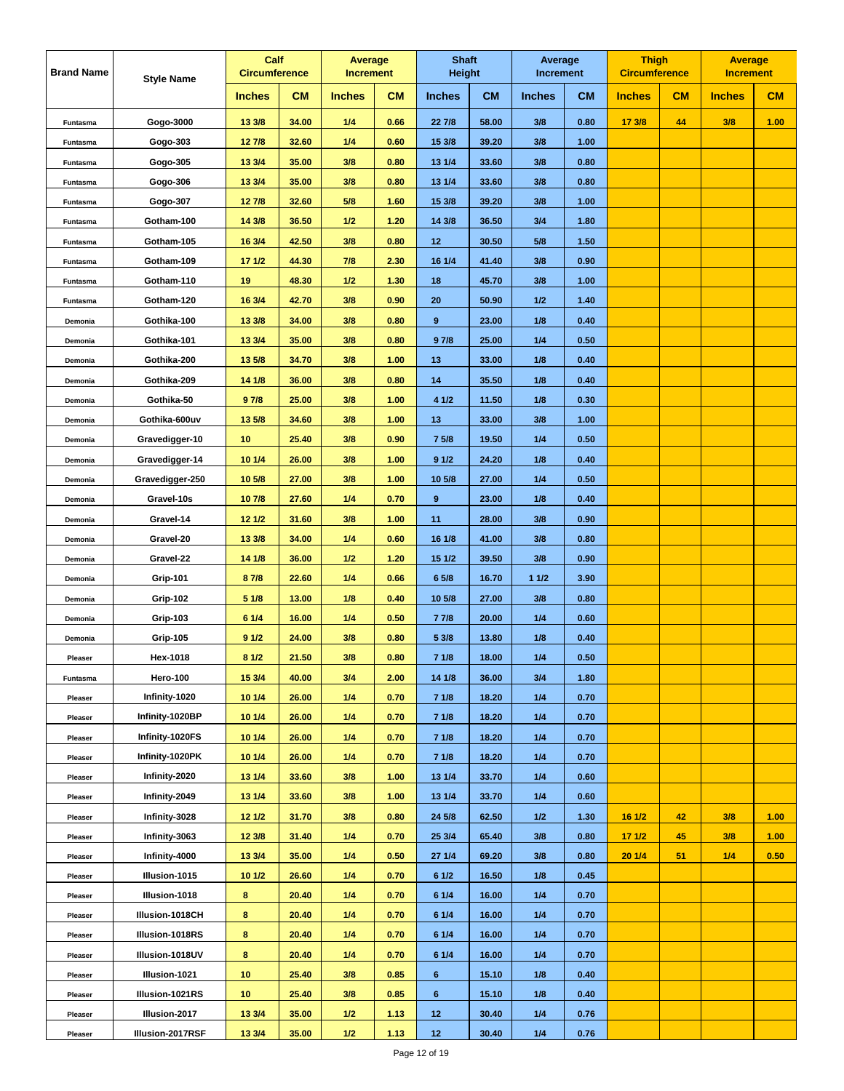| <b>Brand Name</b> | <b>Style Name</b> | Calf<br><b>Circumference</b> |           | Average<br><b>Increment</b> |           | <b>Shaft</b><br><b>Height</b> |           | Average<br><b>Increment</b> |           | <b>Thigh</b><br><b>Circumference</b> |    | <b>Average</b><br><b>Increment</b> |      |
|-------------------|-------------------|------------------------------|-----------|-----------------------------|-----------|-------------------------------|-----------|-----------------------------|-----------|--------------------------------------|----|------------------------------------|------|
|                   |                   | <b>Inches</b>                | <b>CM</b> | <b>Inches</b>               | <b>CM</b> | <b>Inches</b>                 | <b>CM</b> | <b>Inches</b>               | <b>CM</b> | <b>Inches</b>                        | CM | <b>Inches</b>                      | CM   |
| Funtasma          | Gogo-3000         | 13 3/8                       | 34.00     | 1/4                         | 0.66      | 22 7/8                        | 58.00     | 3/8                         | 0.80      | 17 3/8                               | 44 | 3/8                                | 1.00 |
| Funtasma          | Gogo-303          | 127/8                        | 32.60     | 1/4                         | 0.60      | 15 3/8                        | 39.20     | 3/8                         | 1.00      |                                      |    |                                    |      |
| Funtasma          | Gogo-305          | 13 3/4                       | 35.00     | 3/8                         | 0.80      | 13 1/4                        | 33.60     | 3/8                         | 0.80      |                                      |    |                                    |      |
| Funtasma          | Gogo-306          | 13 3/4                       | 35.00     | 3/8                         | 0.80      | 13 1/4                        | 33.60     | 3/8                         | 0.80      |                                      |    |                                    |      |
| Funtasma          | Gogo-307          | 127/8                        | 32.60     | 5/8                         | 1.60      | 15 3/8                        | 39.20     | 3/8                         | 1.00      |                                      |    |                                    |      |
| Funtasma          | Gotham-100        | 14 3/8                       | 36.50     | 1/2                         | 1.20      | 14 3/8                        | 36.50     | 3/4                         | 1.80      |                                      |    |                                    |      |
| Funtasma          | Gotham-105        | 16 3/4                       | 42.50     | 3/8                         | 0.80      | 12                            | 30.50     | 5/8                         | 1.50      |                                      |    |                                    |      |
| Funtasma          | Gotham-109        | 171/2                        | 44.30     | 7/8                         | 2.30      | 16 1/4                        | 41.40     | 3/8                         | 0.90      |                                      |    |                                    |      |
| Funtasma          | Gotham-110        | 19                           | 48.30     | 1/2                         | 1.30      | 18                            | 45.70     | 3/8                         | 1.00      |                                      |    |                                    |      |
| Funtasma          | Gotham-120        | 16 3/4                       | 42.70     | 3/8                         | 0.90      | 20                            | 50.90     | 1/2                         | 1.40      |                                      |    |                                    |      |
| Demonia           | Gothika-100       | 13 3/8                       | 34.00     | 3/8                         | 0.80      | 9                             | 23.00     | 1/8                         | 0.40      |                                      |    |                                    |      |
| Demonia           | Gothika-101       | 13 3/4                       | 35.00     | 3/8                         | 0.80      | 97/8                          | 25.00     | 1/4                         | 0.50      |                                      |    |                                    |      |
| Demonia           | Gothika-200       | 13 5/8                       | 34.70     | 3/8                         | 1.00      | 13                            | 33.00     | 1/8                         | 0.40      |                                      |    |                                    |      |
| Demonia           | Gothika-209       | 14 1/8                       | 36.00     | 3/8                         | 0.80      | 14                            | 35.50     | 1/8                         | 0.40      |                                      |    |                                    |      |
| Demonia           | Gothika-50        | 97/8                         | 25.00     | 3/8                         | 1.00      | 4 1/2                         | 11.50     | 1/8                         | 0.30      |                                      |    |                                    |      |
| Demonia           | Gothika-600uv     | 13 5/8                       | 34.60     | 3/8                         | 1.00      | 13                            | 33.00     | 3/8                         | 1.00      |                                      |    |                                    |      |
| Demonia           | Gravedigger-10    | 10                           | 25.40     | 3/8                         | 0.90      | 7 5/8                         | 19.50     | 1/4                         | 0.50      |                                      |    |                                    |      |
| Demonia           | Gravedigger-14    | 10 1/4                       | 26.00     | 3/8                         | 1.00      | 91/2                          | 24.20     | 1/8                         | 0.40      |                                      |    |                                    |      |
| Demonia           | Gravedigger-250   | 10 5/8                       | 27.00     | 3/8                         | 1.00      | 10 5/8                        | 27.00     | 1/4                         | 0.50      |                                      |    |                                    |      |
| Demonia           | Gravel-10s        | 107/8                        | 27.60     | 1/4                         | 0.70      | $\pmb{9}$                     | 23.00     | 1/8                         | 0.40      |                                      |    |                                    |      |
| Demonia           | Gravel-14         | 12 1/2                       | 31.60     | 3/8                         | 1.00      | 11                            | 28.00     | 3/8                         | 0.90      |                                      |    |                                    |      |
| Demonia           | Gravel-20         | 13 3/8                       | 34.00     | 1/4                         | 0.60      | 16 1/8                        | 41.00     | 3/8                         | 0.80      |                                      |    |                                    |      |
| Demonia           | Gravel-22         | 14 1/8                       | 36.00     | $1/2$                       | 1.20      | 15 1/2                        | 39.50     | 3/8                         | 0.90      |                                      |    |                                    |      |
| Demonia           | <b>Grip-101</b>   | 87/8                         | 22.60     | 1/4                         | 0.66      | 6 5/8                         | 16.70     | 11/2                        | 3.90      |                                      |    |                                    |      |
| Demonia           | <b>Grip-102</b>   | 51/8                         | 13.00     | 1/8                         | 0.40      | 10 5/8                        | 27.00     | 3/8                         | 0.80      |                                      |    |                                    |      |
| Demonia           | <b>Grip-103</b>   | 6 1/4                        | 16.00     | 1/4                         | 0.50      | 77/8                          | 20.00     | 1/4                         | 0.60      |                                      |    |                                    |      |
| Demonia           | <b>Grip-105</b>   | 91/2                         | 24.00     | 3/8                         | 0.80      | 5 3/8                         | 13.80     | 1/8                         | 0.40      |                                      |    |                                    |      |
| Pleaser           | Hex-1018          | 81/2                         | 21.50     | 3/8                         | 0.80      | 71/8                          | 18.00     | 1/4                         | 0.50      |                                      |    |                                    |      |
| Funtasma          | Hero-100          | 15 3/4                       | 40.00     | 3/4                         | 2.00      | 14 1/8                        | 36.00     | 3/4                         | 1.80      |                                      |    |                                    |      |
| Pleaser           | Infinity-1020     | 10 1/4                       | 26.00     | 1/4                         | 0.70      | 71/8                          | 18.20     | 1/4                         | 0.70      |                                      |    |                                    |      |
| Pleaser           | Infinity-1020BP   | 10 1/4                       | 26.00     | 1/4                         | 0.70      | 71/8                          | 18.20     | 1/4                         | 0.70      |                                      |    |                                    |      |
| Pleaser           | Infinity-1020FS   | 10 1/4                       | 26.00     | 1/4                         | 0.70      | 71/8                          | 18.20     | 1/4                         | 0.70      |                                      |    |                                    |      |
| Pleaser           | Infinity-1020PK   | 101/4                        | 26.00     | 1/4                         | 0.70      | 71/8                          | 18.20     | 1/4                         | 0.70      |                                      |    |                                    |      |
| Pleaser           | Infinity-2020     | 13 1/4                       | 33.60     | 3/8                         | 1.00      | 13 1/4                        | 33.70     | 1/4                         | 0.60      |                                      |    |                                    |      |
| Pleaser           | Infinity-2049     | 13 1/4                       | 33.60     | 3/8                         | 1.00      | 13 1/4                        | 33.70     | 1/4                         | 0.60      |                                      |    |                                    |      |
| Pleaser           | Infinity-3028     | 12 1/2                       | 31.70     | 3/8                         | 0.80      | 24 5/8                        | 62.50     | 1/2                         | 1.30      | 16 1/2                               | 42 | 3/8                                | 1.00 |
| Pleaser           | Infinity-3063     | 12 3/8                       | 31.40     | 1/4                         | 0.70      | 25 3/4                        | 65.40     | 3/8                         | 0.80      | 171/2                                | 45 | 3/8                                | 1.00 |
| Pleaser           | Infinity-4000     | 13 3/4                       | 35.00     | 1/4                         | 0.50      | 271/4                         | 69.20     | 3/8                         | 0.80      | 201/4                                | 51 | 1/4                                | 0.50 |
| Pleaser           | Illusion-1015     | 10 1/2                       | 26.60     | 1/4                         | 0.70      | 61/2                          | 16.50     | 1/8                         | 0.45      |                                      |    |                                    |      |
| Pleaser           | Illusion-1018     | 8                            | 20.40     | 1/4                         | 0.70      | 61/4                          | 16.00     | 1/4                         | 0.70      |                                      |    |                                    |      |
| Pleaser           | Illusion-1018CH   | 8                            | 20.40     | 1/4                         | 0.70      | 61/4                          | 16.00     | 1/4                         | 0.70      |                                      |    |                                    |      |
| Pleaser           | Illusion-1018RS   | 8                            | 20.40     | 1/4                         | 0.70      | 61/4                          | 16.00     | 1/4                         | 0.70      |                                      |    |                                    |      |
| Pleaser           | Illusion-1018UV   | 8                            | 20.40     | 1/4                         | 0.70      | 61/4                          | 16.00     | 1/4                         | 0.70      |                                      |    |                                    |      |
| Pleaser           | Illusion-1021     | 10                           | 25.40     | 3/8                         | 0.85      | 6                             | 15.10     | 1/8                         | 0.40      |                                      |    |                                    |      |
| Pleaser           | Illusion-1021RS   | 10                           | 25.40     | 3/8                         | 0.85      | 6                             | 15.10     | 1/8                         | 0.40      |                                      |    |                                    |      |
| Pleaser           | Illusion-2017     | 13 3/4                       | 35.00     | 1/2                         | 1.13      | 12                            | 30.40     | 1/4                         | 0.76      |                                      |    |                                    |      |
| Pleaser           | Illusion-2017RSF  | 13 3/4                       | 35.00     | 1/2                         | 1.13      | 12                            | 30.40     | 1/4                         | 0.76      |                                      |    |                                    |      |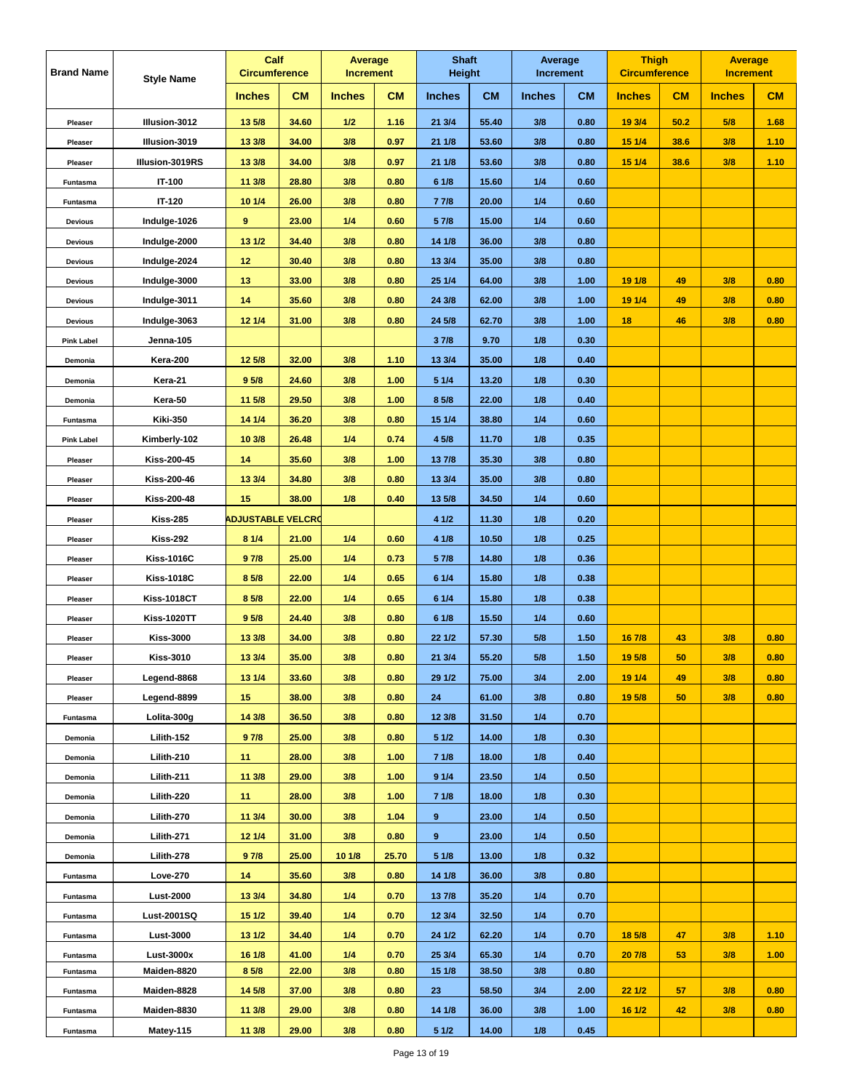| <b>Brand Name</b> | <b>Style Name</b>  | Calf<br><b>Circumference</b> |           | Average<br><b>Increment</b> |           | <b>Shaft</b><br><b>Height</b> |           | Average<br><b>Increment</b> |           | <b>Thigh</b><br><b>Circumference</b> |      | <b>Average</b><br><b>Increment</b> |      |
|-------------------|--------------------|------------------------------|-----------|-----------------------------|-----------|-------------------------------|-----------|-----------------------------|-----------|--------------------------------------|------|------------------------------------|------|
|                   |                    | <b>Inches</b>                | <b>CM</b> | <b>Inches</b>               | <b>CM</b> | <b>Inches</b>                 | <b>CM</b> | <b>Inches</b>               | <b>CM</b> | <b>Inches</b>                        | CM   | <b>Inches</b>                      | CM   |
| Pleaser           | Illusion-3012      | 13 5/8                       | 34.60     | 1/2                         | 1.16      | 21 3/4                        | 55.40     | 3/8                         | 0.80      | 19 3/4                               | 50.2 | 5/8                                | 1.68 |
| Pleaser           | Illusion-3019      | 13 3/8                       | 34.00     | 3/8                         | 0.97      | 21 1/8                        | 53.60     | 3/8                         | 0.80      | 15 1/4                               | 38.6 | 3/8                                | 1.10 |
| Pleaser           | Illusion-3019RS    | 13 3/8                       | 34.00     | 3/8                         | 0.97      | 21 1/8                        | 53.60     | 3/8                         | 0.80      | 15 1/4                               | 38.6 | 3/8                                | 1.10 |
| Funtasma          | IT-100             | 11 3/8                       | 28.80     | 3/8                         | 0.80      | 6 1/8                         | 15.60     | 1/4                         | 0.60      |                                      |      |                                    |      |
| Funtasma          | IT-120             | 10 1/4                       | 26.00     | 3/8                         | 0.80      | 7 7/8                         | 20.00     | 1/4                         | 0.60      |                                      |      |                                    |      |
| <b>Devious</b>    | Indulge-1026       | 9                            | 23.00     | 1/4                         | 0.60      | 5 7/8                         | 15.00     | 1/4                         | 0.60      |                                      |      |                                    |      |
| <b>Devious</b>    | Indulge-2000       | 13 1/2                       | 34.40     | 3/8                         | 0.80      | 14 1/8                        | 36.00     | 3/8                         | 0.80      |                                      |      |                                    |      |
| <b>Devious</b>    | Indulge-2024       | 12                           | 30.40     | 3/8                         | 0.80      | 13 3/4                        | 35.00     | 3/8                         | 0.80      |                                      |      |                                    |      |
| <b>Devious</b>    | Indulge-3000       | 13                           | 33.00     | 3/8                         | 0.80      | 25 1/4                        | 64.00     | 3/8                         | 1.00      | 19 1/8                               | 49   | 3/8                                | 0.80 |
| <b>Devious</b>    | Indulge-3011       | 14                           | 35.60     | 3/8                         | 0.80      | 24 3/8                        | 62.00     | 3/8                         | 1.00      | 19 1/4                               | 49   | 3/8                                | 0.80 |
| <b>Devious</b>    | Indulge-3063       | 12 1/4                       | 31.00     | 3/8                         | 0.80      | 24 5/8                        | 62.70     | 3/8                         | 1.00      | 18                                   | 46   | 3/8                                | 0.80 |
| <b>Pink Label</b> | Jenna-105          |                              |           |                             |           | 37/8                          | 9.70      | 1/8                         | 0.30      |                                      |      |                                    |      |
| Demonia           | Kera-200           | 12 5/8                       | 32.00     | 3/8                         | 1.10      | 13 3/4                        | 35.00     | 1/8                         | 0.40      |                                      |      |                                    |      |
| Demonia           | Kera-21            | 9 <sub>5/8</sub>             | 24.60     | 3/8                         | 1.00      | 5 1/4                         | 13.20     | 1/8                         | 0.30      |                                      |      |                                    |      |
| Demonia           | Kera-50            | 11 5/8                       | 29.50     | 3/8                         | 1.00      | 8 5/8                         | 22.00     | 1/8                         | 0.40      |                                      |      |                                    |      |
| Funtasma          | <b>Kiki-350</b>    | 14 1/4                       | 36.20     | 3/8                         | 0.80      | 15 1/4                        | 38.80     | 1/4                         | 0.60      |                                      |      |                                    |      |
| <b>Pink Label</b> | Kimberly-102       | 10 3/8                       | 26.48     | 1/4                         | 0.74      | 4 5/8                         | 11.70     | 1/8                         | 0.35      |                                      |      |                                    |      |
| Pleaser           | <b>Kiss-200-45</b> | 14                           | 35.60     | 3/8                         | 1.00      | 13 7/8                        | 35.30     | 3/8                         | 0.80      |                                      |      |                                    |      |
| Pleaser           | <b>Kiss-200-46</b> | 13 3/4                       | 34.80     | 3/8                         | 0.80      | 13 3/4                        | 35.00     | 3/8                         | 0.80      |                                      |      |                                    |      |
| Pleaser           | <b>Kiss-200-48</b> | 15                           | 38.00     | 1/8                         | 0.40      | 13 5/8                        | 34.50     | 1/4                         | 0.60      |                                      |      |                                    |      |
| Pleaser           | <b>Kiss-285</b>    | <b>ADJUSTABLE VELCRO</b>     |           |                             |           | 4 1/2                         | 11.30     | 1/8                         | 0.20      |                                      |      |                                    |      |
| Pleaser           | <b>Kiss-292</b>    | 8 1/4                        | 21.00     | 1/4                         | 0.60      | 4 1/8                         | 10.50     | 1/8                         | 0.25      |                                      |      |                                    |      |
| Pleaser           | <b>Kiss-1016C</b>  | 97/8                         | 25.00     | 1/4                         | 0.73      | 5 7/8                         | 14.80     | 1/8                         | 0.36      |                                      |      |                                    |      |
| Pleaser           | <b>Kiss-1018C</b>  | 8 5/8                        | 22.00     | 1/4                         | 0.65      | 6 1/4                         | 15.80     | 1/8                         | 0.38      |                                      |      |                                    |      |
| Pleaser           | <b>Kiss-1018CT</b> | 8 5/8                        | 22.00     | 1/4                         | 0.65      | 6 1/4                         | 15.80     | 1/8                         | 0.38      |                                      |      |                                    |      |
| Pleaser           | <b>Kiss-1020TT</b> | 9 5/8                        | 24.40     | 3/8                         | 0.80      | 61/8                          | 15.50     | 1/4                         | 0.60      |                                      |      |                                    |      |
| Pleaser           | <b>Kiss-3000</b>   | 13 3/8                       | 34.00     | 3/8                         | 0.80      | 22 1/2                        | 57.30     | 5/8                         | 1.50      | 16 7/8                               | 43   | 3/8                                | 0.80 |
| Pleaser           | <b>Kiss-3010</b>   | 13 3/4                       | 35.00     | 3/8                         | 0.80      | 21 3/4                        | 55.20     | 5/8                         | 1.50      | 19 5/8                               | 50   | 3/8                                | 0.80 |
| Pleaser           | Legend-8868        | 13 1/4                       | 33.60     | 3/8                         | 0.80      | 29 1/2                        | 75.00     | 3/4                         | 2.00      | 19 1/4                               | 49   | 3/8                                | 0.80 |
| Pleaser           | Legend-8899        | 15                           | 38.00     | 3/8                         | 0.80      | 24                            | 61.00     | 3/8                         | 0.80      | 19 5/8                               | 50   | 3/8                                | 0.80 |
| Funtasma          | Lolita-300g        | 14 3/8                       | 36.50     | 3/8                         | 0.80      | 12 3/8                        | 31.50     | 1/4                         | 0.70      |                                      |      |                                    |      |
| Demonia           | Lilith-152         | 97/8                         | 25.00     | 3/8                         | 0.80      | 51/2                          | 14.00     | 1/8                         | 0.30      |                                      |      |                                    |      |
| Demonia           | Lilith-210         | 11                           | 28.00     | 3/8                         | 1.00      | 71/8                          | 18.00     | 1/8                         | 0.40      |                                      |      |                                    |      |
| Demonia           | Lilith-211         | 11 3/8                       | 29.00     | 3/8                         | 1.00      | 91/4                          | 23.50     | 1/4                         | 0.50      |                                      |      |                                    |      |
| Demonia           | Lilith-220         | 11                           | 28.00     | 3/8                         | 1.00      | 7 1/8                         | 18.00     | 1/8                         | 0.30      |                                      |      |                                    |      |
| Demonia           | Lilith-270         | 11 3/4                       | 30.00     | 3/8                         | 1.04      | 9                             | 23.00     | 1/4                         | 0.50      |                                      |      |                                    |      |
| Demonia           | Lilith-271         | 12 1/4                       | 31.00     | 3/8                         | 0.80      | 9                             | 23.00     | 1/4                         | 0.50      |                                      |      |                                    |      |
| Demonia           | Lilith-278         | 97/8                         | 25.00     | 10 1/8                      | 25.70     | 51/8                          | 13.00     | 1/8                         | 0.32      |                                      |      |                                    |      |
| Funtasma          | Love-270           | 14                           | 35.60     | 3/8                         | 0.80      | 14 1/8                        | 36.00     | 3/8                         | 0.80      |                                      |      |                                    |      |
| Funtasma          | <b>Lust-2000</b>   | 13 3/4                       | 34.80     | 1/4                         | 0.70      | 13 7/8                        | 35.20     | 1/4                         | 0.70      |                                      |      |                                    |      |
| Funtasma          | Lust-2001SQ        | 15 1/2                       | 39.40     | 1/4                         | 0.70      | 12 3/4                        | 32.50     | 1/4                         | 0.70      |                                      |      |                                    |      |
| Funtasma          | <b>Lust-3000</b>   | 13 1/2                       | 34.40     | 1/4                         | 0.70      | 24 1/2                        | 62.20     | 1/4                         | 0.70      | 18 5/8                               | 47   | 3/8                                | 1.10 |
| Funtasma          | Lust-3000x         | 16 1/8                       | 41.00     | 1/4                         | 0.70      | 25 3/4                        | 65.30     | 1/4                         | 0.70      | 20 7/8                               | 53   | 3/8                                | 1.00 |
| Funtasma          | Maiden-8820        | 8 5/8                        | 22.00     | 3/8                         | 0.80      | 15 1/8                        | 38.50     | 3/8                         | 0.80      |                                      |      |                                    |      |
| Funtasma          | Maiden-8828        | 14 5/8                       | 37.00     | 3/8                         | 0.80      | 23                            | 58.50     | 3/4                         | 2.00      | 22 1/2                               | 57   | 3/8                                | 0.80 |
| Funtasma          | Maiden-8830        | 11 3/8                       | 29.00     | 3/8                         | 0.80      | 14 1/8                        | 36.00     | 3/8                         | 1.00      | 16 1/2                               | 42   | 3/8                                | 0.80 |
| Funtasma          | Matey-115          | 11 3/8                       | 29.00     | 3/8                         | 0.80      | 51/2                          | 14.00     | 1/8                         | 0.45      |                                      |      |                                    |      |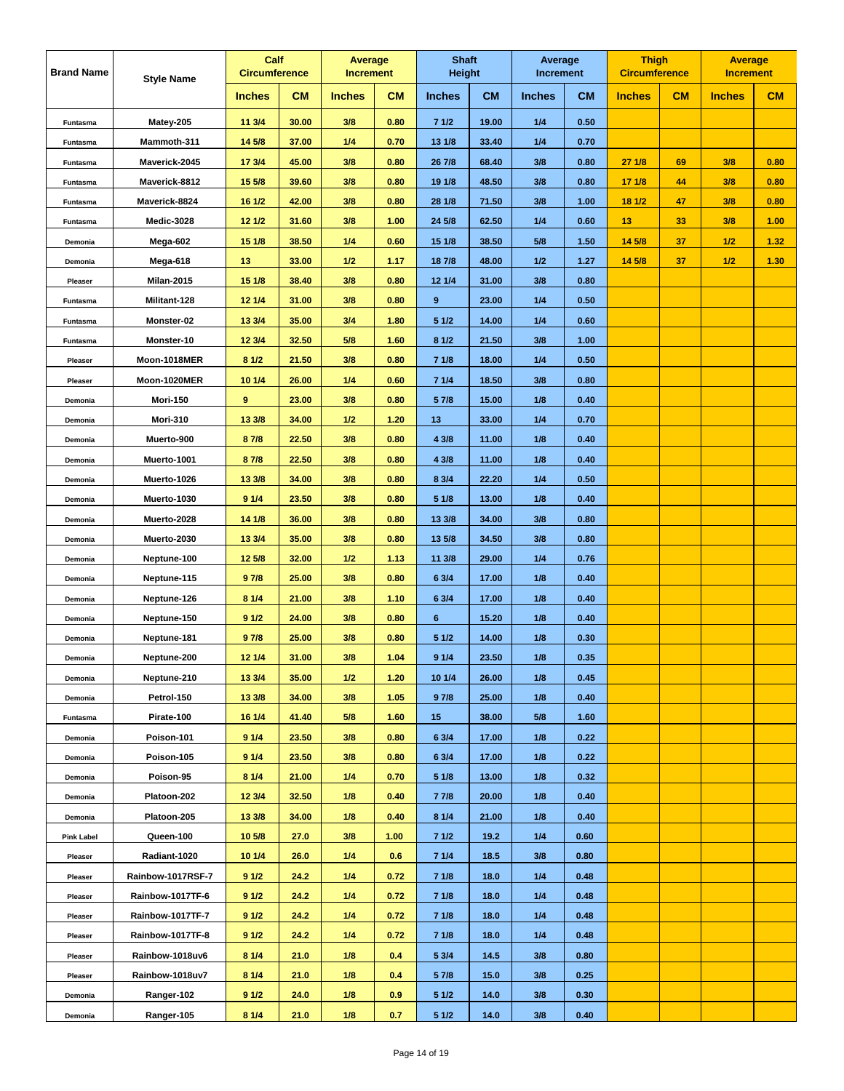| <b>Brand Name</b> | <b>Style Name</b> |               | Calf<br><b>Circumference</b> |               | Average<br><b>Increment</b> | <b>Shaft</b><br><b>Height</b> |           | Average<br><b>Increment</b> |           | <b>Thigh</b><br><b>Circumference</b> |    | <b>Average</b><br><b>Increment</b> |      |
|-------------------|-------------------|---------------|------------------------------|---------------|-----------------------------|-------------------------------|-----------|-----------------------------|-----------|--------------------------------------|----|------------------------------------|------|
|                   |                   | <b>Inches</b> | <b>CM</b>                    | <b>Inches</b> | <b>CM</b>                   | <b>Inches</b>                 | <b>CM</b> | <b>Inches</b>               | <b>CM</b> | <b>Inches</b>                        | CM | <b>Inches</b>                      | CM   |
| <b>Funtasma</b>   | Matey-205         | 11 3/4        | 30.00                        | 3/8           | 0.80                        | 71/2                          | 19.00     | 1/4                         | 0.50      |                                      |    |                                    |      |
| Funtasma          | Mammoth-311       | 14 5/8        | 37.00                        | 1/4           | 0.70                        | 13 1/8                        | 33.40     | 1/4                         | 0.70      |                                      |    |                                    |      |
| Funtasma          | Maverick-2045     | 17 3/4        | 45.00                        | 3/8           | 0.80                        | 26 7/8                        | 68.40     | 3/8                         | 0.80      | 271/8                                | 69 | 3/8                                | 0.80 |
| Funtasma          | Maverick-8812     | 15 5/8        | 39.60                        | 3/8           | 0.80                        | 19 1/8                        | 48.50     | 3/8                         | 0.80      | 17 1/8                               | 44 | 3/8                                | 0.80 |
| Funtasma          | Maverick-8824     | 16 1/2        | 42.00                        | 3/8           | 0.80                        | 28 1/8                        | 71.50     | 3/8                         | 1.00      | 18 1/2                               | 47 | 3/8                                | 0.80 |
| Funtasma          | Medic-3028        | 12 1/2        | 31.60                        | 3/8           | 1.00                        | 24 5/8                        | 62.50     | 1/4                         | 0.60      | 13                                   | 33 | 3/8                                | 1.00 |
| Demonia           | Mega-602          | 151/8         | 38.50                        | 1/4           | 0.60                        | 15 1/8                        | 38.50     | 5/8                         | 1.50      | 14 5/8                               | 37 | 1/2                                | 1.32 |
| Demonia           | Mega-618          | 13            | 33.00                        | 1/2           | 1.17                        | 18 7/8                        | 48.00     | 1/2                         | 1.27      | 14 5/8                               | 37 | 1/2                                | 1.30 |
| Pleaser           | <b>Milan-2015</b> | 15 1/8        | 38.40                        | 3/8           | 0.80                        | 12 1/4                        | 31.00     | 3/8                         | 0.80      |                                      |    |                                    |      |
| Funtasma          | Militant-128      | 12 1/4        | 31.00                        | 3/8           | 0.80                        | 9                             | 23.00     | 1/4                         | 0.50      |                                      |    |                                    |      |
| Funtasma          | Monster-02        | 13 3/4        | 35.00                        | 3/4           | 1.80                        | 51/2                          | 14.00     | 1/4                         | 0.60      |                                      |    |                                    |      |
| Funtasma          | Monster-10        | 12 3/4        | 32.50                        | 5/8           | 1.60                        | 81/2                          | 21.50     | 3/8                         | 1.00      |                                      |    |                                    |      |
| Pleaser           | Moon-1018MER      | 81/2          | 21.50                        | 3/8           | 0.80                        | 71/8                          | 18.00     | 1/4                         | 0.50      |                                      |    |                                    |      |
| Pleaser           | Moon-1020MER      | 10 1/4        | 26.00                        | 1/4           | 0.60                        | 71/4                          | 18.50     | 3/8                         | 0.80      |                                      |    |                                    |      |
| Demonia           | <b>Mori-150</b>   | 9             | 23.00                        | 3/8           | 0.80                        | 5 7/8                         | 15.00     | 1/8                         | 0.40      |                                      |    |                                    |      |
| Demonia           | Mori-310          | 13 3/8        | 34.00                        | 1/2           | 1.20                        | 13                            | 33.00     | 1/4                         | 0.70      |                                      |    |                                    |      |
| Demonia           | Muerto-900        | 87/8          | 22.50                        | 3/8           | 0.80                        | 4 3/8                         | 11.00     | 1/8                         | 0.40      |                                      |    |                                    |      |
| Demonia           | Muerto-1001       | 87/8          | 22.50                        | 3/8           | 0.80                        | 4 3/8                         | 11.00     | 1/8                         | 0.40      |                                      |    |                                    |      |
| Demonia           | Muerto-1026       | 13 3/8        | 34.00                        | 3/8           | 0.80                        | 8 3/4                         | 22.20     | 1/4                         | 0.50      |                                      |    |                                    |      |
| Demonia           | Muerto-1030       | 91/4          | 23.50                        | 3/8           | 0.80                        | 51/8                          | 13.00     | 1/8                         | 0.40      |                                      |    |                                    |      |
| Demonia           | Muerto-2028       | 14 1/8        | 36.00                        | 3/8           | 0.80                        | 13 3/8                        | 34.00     | 3/8                         | 0.80      |                                      |    |                                    |      |
| Demonia           | Muerto-2030       | 13 3/4        | 35.00                        | 3/8           | 0.80                        | 13 5/8                        | 34.50     | 3/8                         | 0.80      |                                      |    |                                    |      |
| Demonia           | Neptune-100       | 12 5/8        | 32.00                        | 1/2           | 1.13                        | 11 3/8                        | 29.00     | 1/4                         | 0.76      |                                      |    |                                    |      |
| Demonia           | Neptune-115       | 97/8          | 25.00                        | 3/8           | 0.80                        | 6 3/4                         | 17.00     | 1/8                         | 0.40      |                                      |    |                                    |      |
| Demonia           | Neptune-126       | 81/4          | 21.00                        | 3/8           | 1.10                        | 6 3/4                         | 17.00     | 1/8                         | 0.40      |                                      |    |                                    |      |
| Demonia           | Neptune-150       | 91/2          | 24.00                        | 3/8           | 0.80                        | 6                             | 15.20     | 1/8                         | 0.40      |                                      |    |                                    |      |
| Demonia           | Neptune-181       | 97/8          | 25.00                        | 3/8           | 0.80                        | 51/2                          | 14.00     | 1/8                         | 0.30      |                                      |    |                                    |      |
| Demonia           | Neptune-200       | 12 1/4        | 31.00                        | 3/8           | 1.04                        | 91/4                          | 23.50     | 1/8                         | 0.35      |                                      |    |                                    |      |
| Demonia           | Neptune-210       | 13 3/4        | 35.00                        | 1/2           | 1.20                        | 10 1/4                        | 26.00     | 1/8                         | 0.45      |                                      |    |                                    |      |
| Demonia           | Petrol-150        | 13 3/8        | 34.00                        | 3/8           | 1.05                        | 97/8                          | 25.00     | 1/8                         | 0.40      |                                      |    |                                    |      |
| Funtasma          | Pirate-100        | 16 1/4        | 41.40                        | 5/8           | 1.60                        | 15                            | 38.00     | 5/8                         | 1.60      |                                      |    |                                    |      |
| Demonia           | Poison-101        | 91/4          | 23.50                        | 3/8           | 0.80                        | 63/4                          | 17.00     | 1/8                         | 0.22      |                                      |    |                                    |      |
| Demonia           | Poison-105        | 91/4          | 23.50                        | 3/8           | 0.80                        | 63/4                          | 17.00     | 1/8                         | 0.22      |                                      |    |                                    |      |
| Demonia           | Poison-95         | 81/4          | 21.00                        | 1/4           | 0.70                        | 51/8                          | 13.00     | 1/8                         | 0.32      |                                      |    |                                    |      |
| Demonia           | Platoon-202       | 12 3/4        | 32.50                        | 1/8           | 0.40                        | 77/8                          | 20.00     | 1/8                         | 0.40      |                                      |    |                                    |      |
| Demonia           | Platoon-205       | 13 3/8        | 34.00                        | 1/8           | 0.40                        | 81/4                          | 21.00     | 1/8                         | 0.40      |                                      |    |                                    |      |
| <b>Pink Label</b> | Queen-100         | 10 5/8        | 27.0                         | 3/8           | 1.00                        | 71/2                          | 19.2      | 1/4                         | 0.60      |                                      |    |                                    |      |
| Pleaser           | Radiant-1020      | 10 1/4        | 26.0                         | 1/4           | 0.6                         | 71/4                          | 18.5      | 3/8                         | 0.80      |                                      |    |                                    |      |
| Pleaser           | Rainbow-1017RSF-7 | 91/2          | 24.2                         | 1/4           | 0.72                        | 71/8                          | 18.0      | 1/4                         | 0.48      |                                      |    |                                    |      |
| Pleaser           | Rainbow-1017TF-6  | 91/2          | 24.2                         | 1/4           | 0.72                        | 71/8                          | 18.0      | 1/4                         | 0.48      |                                      |    |                                    |      |
| Pleaser           | Rainbow-1017TF-7  | 91/2          | 24.2                         | 1/4           | 0.72                        | 71/8                          | 18.0      | 1/4                         | 0.48      |                                      |    |                                    |      |
| Pleaser           | Rainbow-1017TF-8  | 91/2          | 24.2                         | 1/4           | 0.72                        | 71/8                          | 18.0      | 1/4                         | 0.48      |                                      |    |                                    |      |
| Pleaser           | Rainbow-1018uv6   | 81/4          | 21.0                         | 1/8           | 0.4                         | 5 3/4                         | 14.5      | 3/8                         | 0.80      |                                      |    |                                    |      |
| Pleaser           | Rainbow-1018uv7   | 8 1/4         | 21.0                         | 1/8           | 0.4                         | 5 7/8                         | 15.0      | 3/8                         | 0.25      |                                      |    |                                    |      |
| Demonia           | Ranger-102        | 91/2          | 24.0                         | 1/8           | 0.9                         | 51/2                          | 14.0      | 3/8                         | 0.30      |                                      |    |                                    |      |
| Demonia           | Ranger-105        | 81/4          | 21.0                         | 1/8           | 0.7                         | 51/2                          | 14.0      | 3/8                         | 0.40      |                                      |    |                                    |      |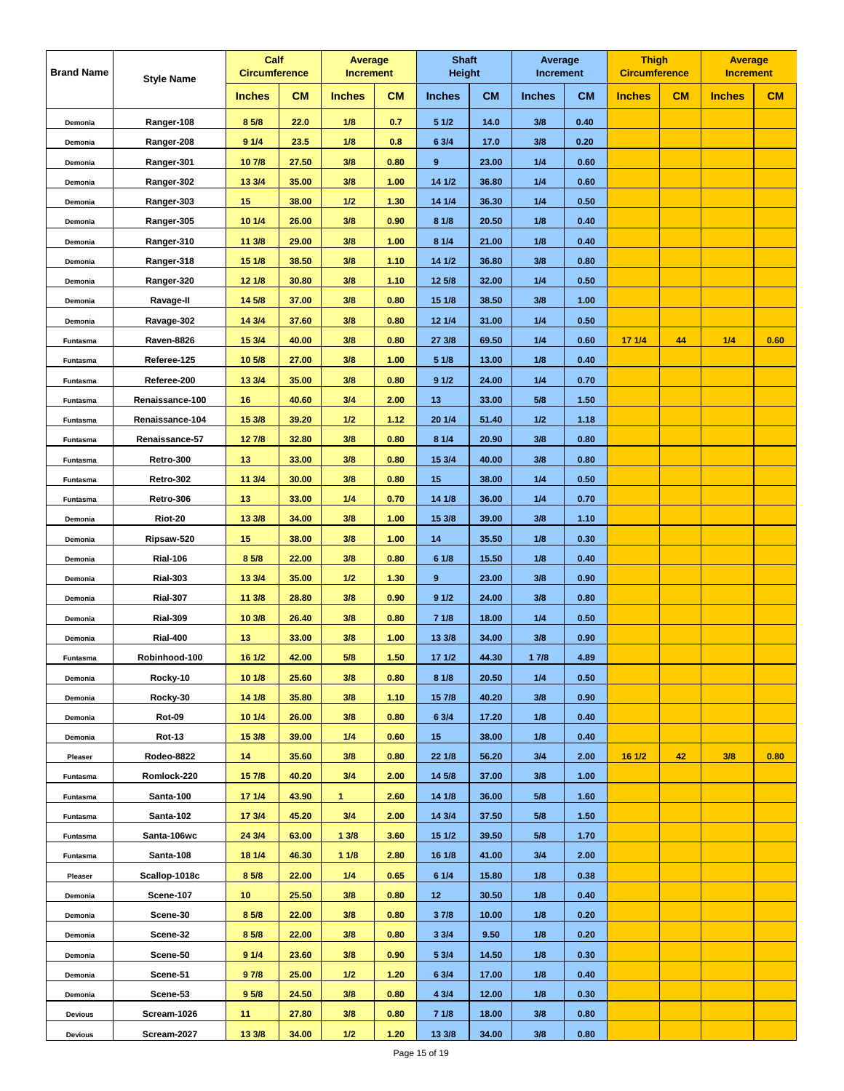| <b>Brand Name</b> | <b>Style Name</b> |                  | Calf<br><b>Circumference</b> |               | Average<br><b>Increment</b> | <b>Shaft</b><br><b>Height</b> |           | Average<br>Increment |           | <b>Thigh</b><br><b>Circumference</b> |    | <b>Average</b><br><b>Increment</b> |      |
|-------------------|-------------------|------------------|------------------------------|---------------|-----------------------------|-------------------------------|-----------|----------------------|-----------|--------------------------------------|----|------------------------------------|------|
|                   |                   | <b>Inches</b>    | <b>CM</b>                    | <b>Inches</b> | <b>CM</b>                   | <b>Inches</b>                 | <b>CM</b> | <b>Inches</b>        | <b>CM</b> | <b>Inches</b>                        | CM | <b>Inches</b>                      | CM   |
| Demonia           | Ranger-108        | 8 5/8            | 22.0                         | 1/8           | 0.7                         | 51/2                          | 14.0      | 3/8                  | 0.40      |                                      |    |                                    |      |
| Demonia           | Ranger-208        | 91/4             | 23.5                         | 1/8           | 0.8                         | 6 3/4                         | 17.0      | 3/8                  | 0.20      |                                      |    |                                    |      |
| Demonia           | Ranger-301        | 107/8            | 27.50                        | 3/8           | 0.80                        | 9                             | 23.00     | 1/4                  | 0.60      |                                      |    |                                    |      |
| Demonia           | Ranger-302        | 13 3/4           | 35.00                        | 3/8           | 1.00                        | 14 1/2                        | 36.80     | 1/4                  | 0.60      |                                      |    |                                    |      |
| Demonia           | Ranger-303        | 15               | 38.00                        | $1/2$         | 1.30                        | 14 1/4                        | 36.30     | 1/4                  | 0.50      |                                      |    |                                    |      |
| Demonia           | Ranger-305        | 10 1/4           | 26.00                        | 3/8           | 0.90                        | 8 1/8                         | 20.50     | 1/8                  | 0.40      |                                      |    |                                    |      |
| Demonia           | Ranger-310        | 11 3/8           | 29.00                        | 3/8           | 1.00                        | 8 1/4                         | 21.00     | 1/8                  | 0.40      |                                      |    |                                    |      |
| Demonia           | Ranger-318        | 15 1/8           | 38.50                        | 3/8           | 1.10                        | 141/2                         | 36.80     | 3/8                  | 0.80      |                                      |    |                                    |      |
| Demonia           | Ranger-320        | 12 1/8           | 30.80                        | 3/8           | 1.10                        | 12 5/8                        | 32.00     | 1/4                  | 0.50      |                                      |    |                                    |      |
| Demonia           | Ravage-II         | 14 5/8           | 37.00                        | 3/8           | 0.80                        | 15 1/8                        | 38.50     | 3/8                  | 1.00      |                                      |    |                                    |      |
| Demonia           | Ravage-302        | 14 3/4           | 37.60                        | 3/8           | 0.80                        | 12 1/4                        | 31.00     | 1/4                  | 0.50      |                                      |    |                                    |      |
| Funtasma          | <b>Raven-8826</b> | 15 3/4           | 40.00                        | 3/8           | 0.80                        | 27 3/8                        | 69.50     | 1/4                  | 0.60      | 171/4                                | 44 | 1/4                                | 0.60 |
| Funtasma          | Referee-125       | 10 5/8           | 27.00                        | 3/8           | 1.00                        | 5 1/8                         | 13.00     | 1/8                  | 0.40      |                                      |    |                                    |      |
| Funtasma          | Referee-200       | 13 3/4           | 35.00                        | 3/8           | 0.80                        | 91/2                          | 24.00     | 1/4                  | 0.70      |                                      |    |                                    |      |
| Funtasma          | Renaissance-100   | 16               | 40.60                        | 3/4           | 2.00                        | 13                            | 33.00     | 5/8                  | 1.50      |                                      |    |                                    |      |
| Funtasma          | Renaissance-104   | 15 3/8           | 39.20                        | 1/2           | 1.12                        | 20 1/4                        | 51.40     | 1/2                  | 1.18      |                                      |    |                                    |      |
| Funtasma          | Renaissance-57    | 127/8            | 32.80                        | 3/8           | 0.80                        | 8 1/4                         | 20.90     | 3/8                  | 0.80      |                                      |    |                                    |      |
| Funtasma          | Retro-300         | 13               | 33.00                        | 3/8           | 0.80                        | 15 3/4                        | 40.00     | 3/8                  | 0.80      |                                      |    |                                    |      |
| Funtasma          | Retro-302         | 11 3/4           | 30.00                        | 3/8           | 0.80                        | 15                            | 38.00     | 1/4                  | 0.50      |                                      |    |                                    |      |
| Funtasma          | Retro-306         | 13               | 33.00                        | 1/4           | 0.70                        | 14 1/8                        | 36.00     | 1/4                  | 0.70      |                                      |    |                                    |      |
| Demonia           | Riot-20           | 13 3/8           | 34.00                        | 3/8           | 1.00                        | 15 3/8                        | 39.00     | 3/8                  | 1.10      |                                      |    |                                    |      |
| Demonia           | Ripsaw-520        | 15               | 38.00                        | 3/8           | 1.00                        | 14                            | 35.50     | 1/8                  | 0.30      |                                      |    |                                    |      |
| Demonia           | <b>Rial-106</b>   | 8 5/8            | 22.00                        | 3/8           | 0.80                        | 61/8                          | 15.50     | 1/8                  | 0.40      |                                      |    |                                    |      |
| Demonia           | <b>Rial-303</b>   | 13 3/4           | 35.00                        | 1/2           | 1.30                        | 9                             | 23.00     | 3/8                  | 0.90      |                                      |    |                                    |      |
| Demonia           | <b>Rial-307</b>   | 11 3/8           | 28.80                        | 3/8           | 0.90                        | 91/2                          | 24.00     | 3/8                  | 0.80      |                                      |    |                                    |      |
| Demonia           | <b>Rial-309</b>   | 10 3/8           | 26.40                        | 3/8           | 0.80                        | 71/8                          | 18.00     | 1/4                  | 0.50      |                                      |    |                                    |      |
| Demonia           | <b>Rial-400</b>   | 13               | 33.00                        | 3/8           | 1.00                        | 13 3/8                        | 34.00     | 3/8                  | 0.90      |                                      |    |                                    |      |
| Funtasma          | Robinhood-100     | 16 1/2           | 42.00                        | 5/8           | 1.50                        | 171/2                         | 44.30     | 17/8                 | 4.89      |                                      |    |                                    |      |
| Demonia           | Rocky-10          | 101/8            | 25.60                        | 3/8           | 0.80                        | 81/8                          | 20.50     | 1/4                  | 0.50      |                                      |    |                                    |      |
| Demonia           | Rocky-30          | 14 1/8           | 35.80                        | 3/8           | 1.10                        | 15 7/8                        | 40.20     | 3/8                  | 0.90      |                                      |    |                                    |      |
| Demonia           | <b>Rot-09</b>     | 10 1/4           | 26.00                        | 3/8           | 0.80                        | 6 3/4                         | 17.20     | 1/8                  | 0.40      |                                      |    |                                    |      |
| Demonia           | <b>Rot-13</b>     | 15 3/8           | 39.00                        | 1/4           | 0.60                        | 15 <sub>15</sub>              | 38.00     | 1/8                  | 0.40      |                                      |    |                                    |      |
| Pleaser           | Rodeo-8822        | 14               | 35.60                        | 3/8           | 0.80                        | 22 1/8                        | 56.20     | 3/4                  | 2.00      | 16 1/2                               | 42 | 3/8                                | 0.80 |
| Funtasma          | Romlock-220       | 15 7/8           | 40.20                        | 3/4           | 2.00                        | 14 5/8                        | 37.00     | 3/8                  | 1.00      |                                      |    |                                    |      |
| Funtasma          | Santa-100         | 171/4            | 43.90                        | $\mathbf{1}$  | 2.60                        | 14 1/8                        | 36.00     | 5/8                  | 1.60      |                                      |    |                                    |      |
| Funtasma          | Santa-102         | 173/4            | 45.20                        | 3/4           | 2.00                        | 14 3/4                        | 37.50     | 5/8                  | 1.50      |                                      |    |                                    |      |
| Funtasma          | Santa-106wc       | 24 3/4           | 63.00                        | 13/8          | 3.60                        | 15 1/2                        | 39.50     | 5/8                  | 1.70      |                                      |    |                                    |      |
| Funtasma          | Santa-108         | 18 1/4           | 46.30                        | 11/8          | 2.80                        | 16 1/8                        | 41.00     | 3/4                  | 2.00      |                                      |    |                                    |      |
| Pleaser           | Scallop-1018c     | 8 5/8            | 22.00                        | 1/4           | 0.65                        | 61/4                          | 15.80     | 1/8                  | 0.38      |                                      |    |                                    |      |
| Demonia           | Scene-107         | 10               | 25.50                        | 3/8           | 0.80                        | 12 <sub>2</sub>               | 30.50     | 1/8                  | 0.40      |                                      |    |                                    |      |
| Demonia           | Scene-30          | 8 5/8            | 22.00                        | 3/8           | 0.80                        | 37/8                          | 10.00     | 1/8                  | 0.20      |                                      |    |                                    |      |
| Demonia           | Scene-32          | 8 5/8            | 22.00                        | 3/8           | 0.80                        | 33/4                          | 9.50      | 1/8                  | 0.20      |                                      |    |                                    |      |
| Demonia           | Scene-50          | 91/4             | 23.60                        | 3/8           | 0.90                        | 5 3/4                         | 14.50     | 1/8                  | 0.30      |                                      |    |                                    |      |
| Demonia           | Scene-51          | 97/8             | 25.00                        | $1/2$         | 1.20                        | 6 3/4                         | 17.00     | 1/8                  | 0.40      |                                      |    |                                    |      |
| Demonia           | Scene-53          | 9 <sub>5/8</sub> | 24.50                        | 3/8           | 0.80                        | 4 3/4                         | 12.00     | 1/8                  | 0.30      |                                      |    |                                    |      |
| <b>Devious</b>    | Scream-1026       | 11               | 27.80                        | 3/8           | 0.80                        | 7 1/8                         | 18.00     | 3/8                  | 0.80      |                                      |    |                                    |      |
| <b>Devious</b>    | Scream-2027       | 13 3/8           | 34.00                        | $1/2$         | 1.20                        | 13 3/8                        | 34.00     | 3/8                  | 0.80      |                                      |    |                                    |      |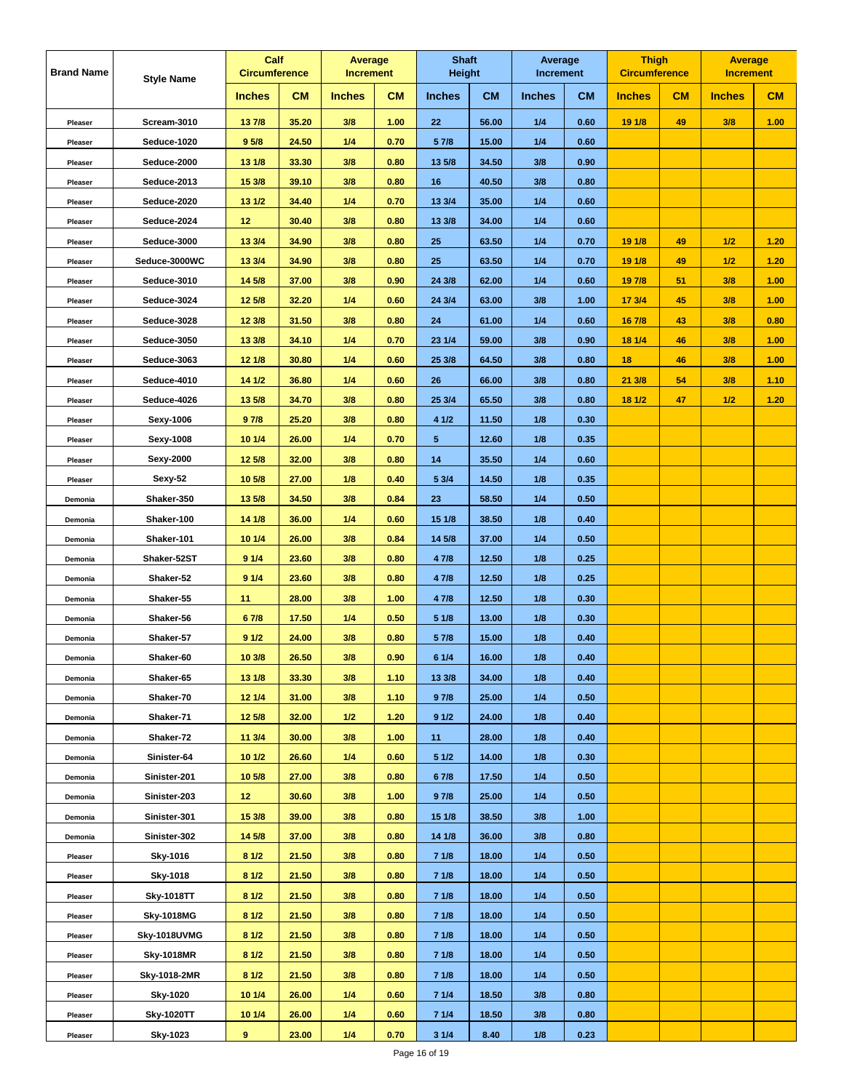| <b>Brand Name</b> | <b>Style Name</b> |                  | Calf<br><b>Circumference</b> |               | Average<br><b>Increment</b> |               | <b>Shaft</b><br><b>Height</b> | Average<br><b>Increment</b> |           | <b>Thigh</b><br><b>Circumference</b> |    | <b>Average</b><br><b>Increment</b> |      |
|-------------------|-------------------|------------------|------------------------------|---------------|-----------------------------|---------------|-------------------------------|-----------------------------|-----------|--------------------------------------|----|------------------------------------|------|
|                   |                   | <b>Inches</b>    | <b>CM</b>                    | <b>Inches</b> | <b>CM</b>                   | <b>Inches</b> | <b>CM</b>                     | <b>Inches</b>               | <b>CM</b> | <b>Inches</b>                        | CM | <b>Inches</b>                      | CM   |
| Pleaser           | Scream-3010       | 137/8            | 35.20                        | 3/8           | 1.00                        | 22            | 56.00                         | 1/4                         | 0.60      | 19 1/8                               | 49 | 3/8                                | 1.00 |
| Pleaser           | Seduce-1020       | 9 <sub>5/8</sub> | 24.50                        | 1/4           | 0.70                        | 5 7/8         | 15.00                         | 1/4                         | 0.60      |                                      |    |                                    |      |
| Pleaser           | Seduce-2000       | 13 1/8           | 33.30                        | 3/8           | 0.80                        | 13 5/8        | 34.50                         | 3/8                         | 0.90      |                                      |    |                                    |      |
| Pleaser           | Seduce-2013       | 15 3/8           | 39.10                        | 3/8           | 0.80                        | 16            | 40.50                         | 3/8                         | 0.80      |                                      |    |                                    |      |
| Pleaser           | Seduce-2020       | 13 1/2           | 34.40                        | 1/4           | 0.70                        | 13 3/4        | 35.00                         | 1/4                         | 0.60      |                                      |    |                                    |      |
| Pleaser           | Seduce-2024       | 12               | 30.40                        | 3/8           | 0.80                        | 13 3/8        | 34.00                         | 1/4                         | 0.60      |                                      |    |                                    |      |
| Pleaser           | Seduce-3000       | 13 3/4           | 34.90                        | 3/8           | 0.80                        | 25            | 63.50                         | 1/4                         | 0.70      | 19 1/8                               | 49 | 1/2                                | 1.20 |
| Pleaser           | Seduce-3000WC     | 13 3/4           | 34.90                        | 3/8           | 0.80                        | 25            | 63.50                         | 1/4                         | 0.70      | 19 1/8                               | 49 | 1/2                                | 1.20 |
| Pleaser           | Seduce-3010       | 14 5/8           | 37.00                        | 3/8           | 0.90                        | 24 3/8        | 62.00                         | 1/4                         | 0.60      | 19 7/8                               | 51 | 3/8                                | 1.00 |
| Pleaser           | Seduce-3024       | 12 5/8           | 32.20                        | 1/4           | 0.60                        | 24 3/4        | 63.00                         | 3/8                         | 1.00      | 17 3/4                               | 45 | 3/8                                | 1.00 |
| Pleaser           | Seduce-3028       | 12 3/8           | 31.50                        | 3/8           | 0.80                        | 24            | 61.00                         | 1/4                         | 0.60      | 16 7/8                               | 43 | 3/8                                | 0.80 |
| Pleaser           | Seduce-3050       | 13 3/8           | 34.10                        | 1/4           | 0.70                        | 23 1/4        | 59.00                         | 3/8                         | 0.90      | 18 1/4                               | 46 | 3/8                                | 1.00 |
| Pleaser           | Seduce-3063       | 12 1/8           | 30.80                        | 1/4           | 0.60                        | 25 3/8        | 64.50                         | 3/8                         | 0.80      | 18                                   | 46 | 3/8                                | 1.00 |
| Pleaser           | Seduce-4010       | 14 1/2           | 36.80                        | 1/4           | 0.60                        | 26            | 66.00                         | 3/8                         | 0.80      | 21 3/8                               | 54 | 3/8                                | 1.10 |
| Pleaser           | Seduce-4026       | 13 5/8           | 34.70                        | 3/8           | 0.80                        | 25 3/4        | 65.50                         | 3/8                         | 0.80      | 18 1/2                               | 47 | 1/2                                | 1.20 |
| Pleaser           | Sexy-1006         | 97/8             | 25.20                        | 3/8           | 0.80                        | 4 1/2         | 11.50                         | 1/8                         | 0.30      |                                      |    |                                    |      |
| Pleaser           | Sexy-1008         | 10 1/4           | 26.00                        | 1/4           | 0.70                        | 5             | 12.60                         | 1/8                         | 0.35      |                                      |    |                                    |      |
| Pleaser           | Sexy-2000         | 12 5/8           | 32.00                        | 3/8           | 0.80                        | 14            | 35.50                         | 1/4                         | 0.60      |                                      |    |                                    |      |
| Pleaser           | Sexy-52           | 10 5/8           | 27.00                        | 1/8           | 0.40                        | 5 3/4         | 14.50                         | 1/8                         | 0.35      |                                      |    |                                    |      |
| Demonia           | Shaker-350        | 13 5/8           | 34.50                        | 3/8           | 0.84                        | 23            | 58.50                         | 1/4                         | 0.50      |                                      |    |                                    |      |
| Demonia           | Shaker-100        | 14 1/8           | 36.00                        | 1/4           | 0.60                        | 15 1/8        | 38.50                         | 1/8                         | 0.40      |                                      |    |                                    |      |
| Demonia           | Shaker-101        | 10 1/4           | 26.00                        | 3/8           | 0.84                        | 14 5/8        | 37.00                         | 1/4                         | 0.50      |                                      |    |                                    |      |
| Demonia           | Shaker-52ST       | 91/4             | 23.60                        | 3/8           | 0.80                        | 4 7/8         | 12.50                         | 1/8                         | 0.25      |                                      |    |                                    |      |
| Demonia           | Shaker-52         | 91/4             | 23.60                        | 3/8           | 0.80                        | 4 7/8         | 12.50                         | 1/8                         | 0.25      |                                      |    |                                    |      |
| Demonia           | Shaker-55         | 11               | 28.00                        | 3/8           | 1.00                        | 4 7/8         | 12.50                         | 1/8                         | 0.30      |                                      |    |                                    |      |
| Demonia           | Shaker-56         | 67/8             | 17.50                        | 1/4           | 0.50                        | 51/8          | 13.00                         | 1/8                         | 0.30      |                                      |    |                                    |      |
| Demonia           | Shaker-57         | 91/2             | 24.00                        | 3/8           | 0.80                        | 5 7/8         | 15.00                         | 1/8                         | 0.40      |                                      |    |                                    |      |
| Demonia           | Shaker-60         | 10 3/8           | 26.50                        | 3/8           | 0.90                        | 6 1/4         | 16.00                         | 1/8                         | 0.40      |                                      |    |                                    |      |
| Demonia           | Shaker-65         | 13 1/8           | 33.30                        | 3/8           | 1.10                        | 13 3/8        | 34.00                         | 1/8                         | 0.40      |                                      |    |                                    |      |
| Demonia           | Shaker-70         | 12 1/4           | 31.00                        | 3/8           | 1.10                        | 97/8          | 25.00                         | 1/4                         | 0.50      |                                      |    |                                    |      |
| Demonia           | Shaker-71         | 12 5/8           | 32.00                        | $1/2$         | 1.20                        | 91/2          | 24.00                         | 1/8                         | 0.40      |                                      |    |                                    |      |
| Demonia           | Shaker-72         | 11 3/4           | 30.00                        | 3/8           | 1.00                        | 11            | 28.00                         | 1/8                         | 0.40      |                                      |    |                                    |      |
| Demonia           | Sinister-64       | 101/2            | 26.60                        | 1/4           | 0.60                        | 51/2          | 14.00                         | 1/8                         | 0.30      |                                      |    |                                    |      |
| Demonia           | Sinister-201      | 10 5/8           | 27.00                        | 3/8           | 0.80                        | 67/8          | 17.50                         | 1/4                         | 0.50      |                                      |    |                                    |      |
| Demonia           | Sinister-203      | 12 <sub>2</sub>  | 30.60                        | 3/8           | 1.00                        | 97/8          | 25.00                         | 1/4                         | 0.50      |                                      |    |                                    |      |
| Demonia           | Sinister-301      | 15 3/8           | 39.00                        | 3/8           | 0.80                        | 15 1/8        | 38.50                         | 3/8                         | 1.00      |                                      |    |                                    |      |
| Demonia           | Sinister-302      | 14 5/8           | 37.00                        | 3/8           | 0.80                        | 14 1/8        | 36.00                         | 3/8                         | 0.80      |                                      |    |                                    |      |
| Pleaser           | Sky-1016          | 81/2             | 21.50                        | 3/8           | 0.80                        | 7 1/8         | 18.00                         | 1/4                         | 0.50      |                                      |    |                                    |      |
| Pleaser           | Sky-1018          | 81/2             | 21.50                        | 3/8           | 0.80                        | 71/8          | 18.00                         | 1/4                         | 0.50      |                                      |    |                                    |      |
| Pleaser           | <b>Sky-1018TT</b> | 81/2             | 21.50                        | 3/8           | 0.80                        | 71/8          | 18.00                         | 1/4                         | 0.50      |                                      |    |                                    |      |
| Pleaser           | <b>Sky-1018MG</b> | 81/2             | 21.50                        | 3/8           | 0.80                        | 71/8          | 18.00                         | 1/4                         | 0.50      |                                      |    |                                    |      |
| Pleaser           | Sky-1018UVMG      | 81/2             | 21.50                        | 3/8           | 0.80                        | 71/8          | 18.00                         | 1/4                         | 0.50      |                                      |    |                                    |      |
| Pleaser           | <b>Sky-1018MR</b> | 81/2             | 21.50                        | 3/8           | 0.80                        | 7 1/8         | 18.00                         | 1/4                         | 0.50      |                                      |    |                                    |      |
| Pleaser           | Sky-1018-2MR      | 81/2             | 21.50                        | 3/8           | 0.80                        | 71/8          | 18.00                         | 1/4                         | 0.50      |                                      |    |                                    |      |
| Pleaser           | <b>Sky-1020</b>   | 10 1/4           | 26.00                        | 1/4           | 0.60                        | 71/4          | 18.50                         | 3/8                         | 0.80      |                                      |    |                                    |      |
| Pleaser           | <b>Sky-1020TT</b> | 10 1/4           | 26.00                        | 1/4           | 0.60                        | 71/4          | 18.50                         | 3/8                         | 0.80      |                                      |    |                                    |      |
| Pleaser           | Sky-1023          | 9                | 23.00                        | 1/4           | 0.70                        | 31/4          | 8.40                          | 1/8                         | 0.23      |                                      |    |                                    |      |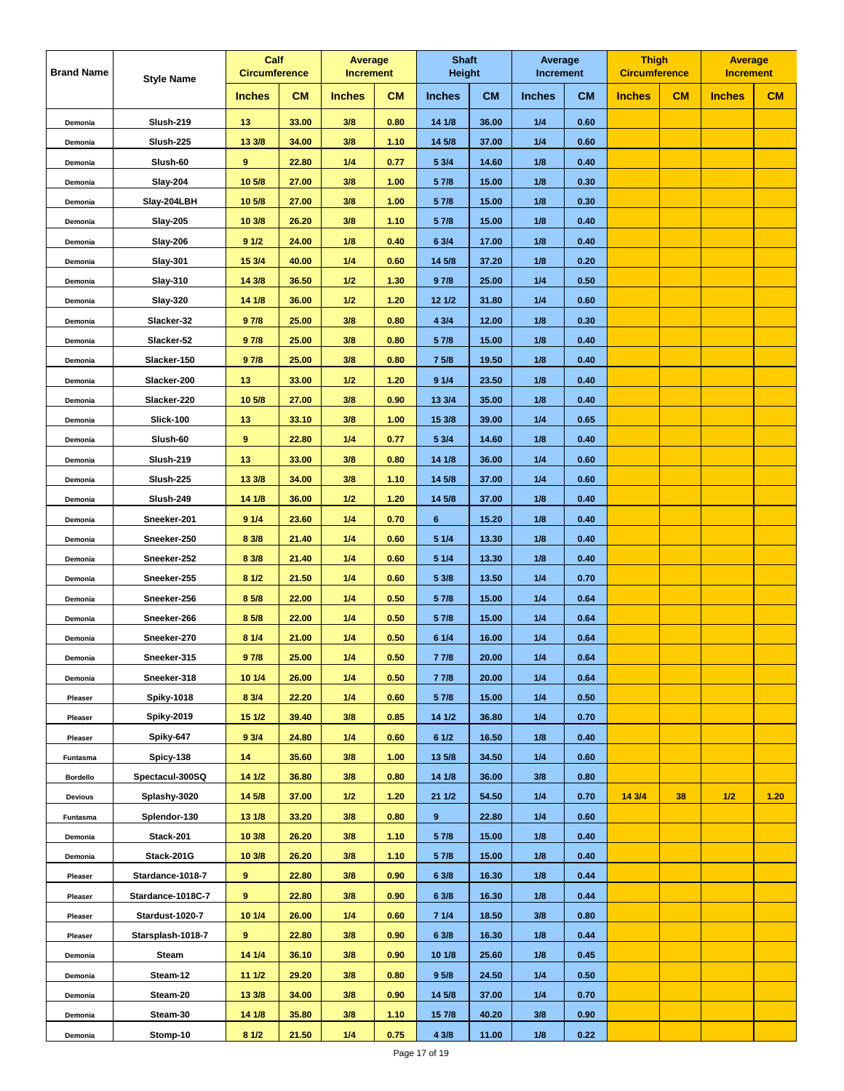| <b>Brand Name</b> | <b>Style Name</b> | Calf<br><b>Circumference</b> |           | Average<br><b>Increment</b> |           | <b>Shaft</b><br><b>Height</b> |           | Average<br><b>Increment</b> |           | <b>Thigh</b><br><b>Circumference</b> |    | <b>Average</b><br><b>Increment</b> |      |
|-------------------|-------------------|------------------------------|-----------|-----------------------------|-----------|-------------------------------|-----------|-----------------------------|-----------|--------------------------------------|----|------------------------------------|------|
|                   |                   | <b>Inches</b>                | <b>CM</b> | <b>Inches</b>               | <b>CM</b> | <b>Inches</b>                 | <b>CM</b> | <b>Inches</b>               | <b>CM</b> | <b>Inches</b>                        | CM | <b>Inches</b>                      | CM   |
| Demonia           | <b>Slush-219</b>  | 13                           | 33.00     | 3/8                         | 0.80      | 14 1/8                        | 36.00     | 1/4                         | 0.60      |                                      |    |                                    |      |
| Demonia           | Slush-225         | 13 3/8                       | 34.00     | 3/8                         | 1.10      | 14 5/8                        | 37.00     | 1/4                         | 0.60      |                                      |    |                                    |      |
| Demonia           | Slush-60          | 9                            | 22.80     | 1/4                         | 0.77      | 5 3/4                         | 14.60     | 1/8                         | 0.40      |                                      |    |                                    |      |
| Demonia           | <b>Slay-204</b>   | 10 5/8                       | 27.00     | 3/8                         | 1.00      | 5 7/8                         | 15.00     | 1/8                         | 0.30      |                                      |    |                                    |      |
| Demonia           | Slay-204LBH       | 10 5/8                       | 27.00     | 3/8                         | 1.00      | 5 7/8                         | 15.00     | 1/8                         | 0.30      |                                      |    |                                    |      |
| Demonia           | <b>Slay-205</b>   | 10 3/8                       | 26.20     | 3/8                         | 1.10      | 5 7/8                         | 15.00     | 1/8                         | 0.40      |                                      |    |                                    |      |
| Demonia           | <b>Slay-206</b>   | 91/2                         | 24.00     | 1/8                         | 0.40      | 6 3/4                         | 17.00     | 1/8                         | 0.40      |                                      |    |                                    |      |
| Demonia           | <b>Slay-301</b>   | 15 3/4                       | 40.00     | 1/4                         | 0.60      | 14 5/8                        | 37.20     | 1/8                         | 0.20      |                                      |    |                                    |      |
| Demonia           | <b>Slay-310</b>   | 14 3/8                       | 36.50     | 1/2                         | 1.30      | 97/8                          | 25.00     | 1/4                         | 0.50      |                                      |    |                                    |      |
| Demonia           | Slay-320          | $14 \overline{1/8}$          | 36.00     | 1/2                         | 1.20      | 12 1/2                        | 31.80     | 1/4                         | 0.60      |                                      |    |                                    |      |
| Demonia           | Slacker-32        | 97/8                         | 25.00     | 3/8                         | 0.80      | 4 3/4                         | 12.00     | 1/8                         | 0.30      |                                      |    |                                    |      |
| Demonia           | Slacker-52        | 97/8                         | 25.00     | 3/8                         | 0.80      | 5 7/8                         | 15.00     | 1/8                         | 0.40      |                                      |    |                                    |      |
| Demonia           | Slacker-150       | 97/8                         | 25.00     | 3/8                         | 0.80      | 7 5/8                         | 19.50     | 1/8                         | 0.40      |                                      |    |                                    |      |
| Demonia           | Slacker-200       | 13                           | 33.00     | 1/2                         | 1.20      | 91/4                          | 23.50     | 1/8                         | 0.40      |                                      |    |                                    |      |
| Demonia           | Slacker-220       | 10 5/8                       | 27.00     | 3/8                         | 0.90      | 13 3/4                        | 35.00     | 1/8                         | 0.40      |                                      |    |                                    |      |
| Demonia           | <b>Slick-100</b>  | 13                           | 33.10     | 3/8                         | 1.00      | 15 3/8                        | 39.00     | 1/4                         | 0.65      |                                      |    |                                    |      |
| Demonia           | Slush-60          | 9                            | 22.80     | 1/4                         | 0.77      | 5 3/4                         | 14.60     | 1/8                         | 0.40      |                                      |    |                                    |      |
| Demonia           | <b>Slush-219</b>  | 13                           | 33.00     | 3/8                         | 0.80      | 14 1/8                        | 36.00     | 1/4                         | 0.60      |                                      |    |                                    |      |
| Demonia           | <b>Slush-225</b>  | 13 3/8                       | 34.00     | 3/8                         | 1.10      | 14 5/8                        | 37.00     | 1/4                         | 0.60      |                                      |    |                                    |      |
| Demonia           | Slush-249         | 14 1/8                       | 36.00     | 1/2                         | 1.20      | 14 5/8                        | 37.00     | 1/8                         | 0.40      |                                      |    |                                    |      |
| Demonia           | Sneeker-201       | 91/4                         | 23.60     | 1/4                         | 0.70      | 6                             | 15.20     | 1/8                         | 0.40      |                                      |    |                                    |      |
| Demonia           | Sneeker-250       | 8 3/8                        | 21.40     | 1/4                         | 0.60      | 5 1/4                         | 13.30     | 1/8                         | 0.40      |                                      |    |                                    |      |
| Demonia           | Sneeker-252       | 8 3/8                        | 21.40     | 1/4                         | 0.60      | 5 1/4                         | 13.30     | 1/8                         | 0.40      |                                      |    |                                    |      |
| Demonia           | Sneeker-255       | 81/2                         | 21.50     | 1/4                         | 0.60      | 5 3/8                         | 13.50     | 1/4                         | 0.70      |                                      |    |                                    |      |
| Demonia           | Sneeker-256       | 8 5/8                        | 22.00     | 1/4                         | 0.50      | 5 7/8                         | 15.00     | 1/4                         | 0.64      |                                      |    |                                    |      |
| Demonia           | Sneeker-266       | 8 5/8                        | 22.00     | 1/4                         | 0.50      | 5 7/8                         | 15.00     | 1/4                         | 0.64      |                                      |    |                                    |      |
| Demonia           | Sneeker-270       | 81/4                         | 21.00     | 1/4                         | 0.50      | 61/4                          | 16.00     | 1/4                         | 0.64      |                                      |    |                                    |      |
| Demonia           | Sneeker-315       | 97/8                         | 25.00     | 1/4                         | 0.50      | 7 7/8                         | 20.00     | 1/4                         | 0.64      |                                      |    |                                    |      |
| Demonia           | Sneeker-318       | 10 1/4                       | 26.00     | 1/4                         | 0.50      | 77/8                          | 20.00     | 1/4                         | 0.64      |                                      |    |                                    |      |
| Pleaser           | <b>Spiky-1018</b> | 8 3/4                        | 22.20     | 1/4                         | 0.60      | 5 7/8                         | 15.00     | 1/4                         | 0.50      |                                      |    |                                    |      |
| Pleaser           | <b>Spiky-2019</b> | 15 1/2                       | 39.40     | 3/8                         | 0.85      | 14 1/2                        | 36.80     | 1/4                         | 0.70      |                                      |    |                                    |      |
| Pleaser           | Spiky-647         | 93/4                         | 24.80     | 1/4                         | 0.60      | 61/2                          | 16.50     | 1/8                         | 0.40      |                                      |    |                                    |      |
| Funtasma          | Spicy-138         | 14                           | 35.60     | 3/8                         | 1.00      | 13 5/8                        | 34.50     | 1/4                         | 0.60      |                                      |    |                                    |      |
| <b>Bordello</b>   | Spectacul-300SQ   | 14 1/2                       | 36.80     | 3/8                         | 0.80      | 14 1/8                        | 36.00     | 3/8                         | 0.80      |                                      |    |                                    |      |
| <b>Devious</b>    | Splashy-3020      | 14 5/8                       | 37.00     | 1/2                         | 1.20      | 21 1/2                        | 54.50     | 1/4                         | 0.70      | 14 3/4                               | 38 | 1/2                                | 1.20 |
| Funtasma          | Splendor-130      | 13 1/8                       | 33.20     | 3/8                         | 0.80      | 9                             | 22.80     | 1/4                         | 0.60      |                                      |    |                                    |      |
| Demonia           | Stack-201         | 10 3/8                       | 26.20     | 3/8                         | 1.10      | 57/8                          | 15.00     | 1/8                         | 0.40      |                                      |    |                                    |      |
| Demonia           | Stack-201G        | 10 3/8                       | 26.20     | 3/8                         | 1.10      | 5 7/8                         | 15.00     | 1/8                         | 0.40      |                                      |    |                                    |      |
| Pleaser           | Stardance-1018-7  | 9                            | 22.80     | 3/8                         | 0.90      | 63/8                          | 16.30     | 1/8                         | 0.44      |                                      |    |                                    |      |
| Pleaser           | Stardance-1018C-7 | 9                            | 22.80     | 3/8                         | 0.90      | 63/8                          | 16.30     | 1/8                         | 0.44      |                                      |    |                                    |      |
| Pleaser           | Stardust-1020-7   | 10 1/4                       | 26.00     | 1/4                         | 0.60      | 7 1/4                         | 18.50     | 3/8                         | 0.80      |                                      |    |                                    |      |
| Pleaser           | Starsplash-1018-7 | 9                            | 22.80     | 3/8                         | 0.90      | 6 3/8                         | 16.30     | 1/8                         | 0.44      |                                      |    |                                    |      |
| Demonia           | Steam             | 14 1/4                       | 36.10     | 3/8                         | 0.90      | 10 1/8                        | 25.60     | 1/8                         | 0.45      |                                      |    |                                    |      |
| Demonia           | Steam-12          | 11 1/2                       | 29.20     | 3/8                         | 0.80      | 9 <sub>5/8</sub>              | 24.50     | 1/4                         | 0.50      |                                      |    |                                    |      |
| Demonia           | Steam-20          | 13 3/8                       | 34.00     | 3/8                         | 0.90      | 14 5/8                        | 37.00     | 1/4                         | 0.70      |                                      |    |                                    |      |
| Demonia           | Steam-30          | 14 1/8                       | 35.80     | 3/8                         | 1.10      | 15 7/8                        | 40.20     | 3/8                         | 0.90      |                                      |    |                                    |      |
| Demonia           | Stomp-10          | 81/2                         | 21.50     | 1/4                         | 0.75      | 4 3/8                         | 11.00     | 1/8                         | 0.22      |                                      |    |                                    |      |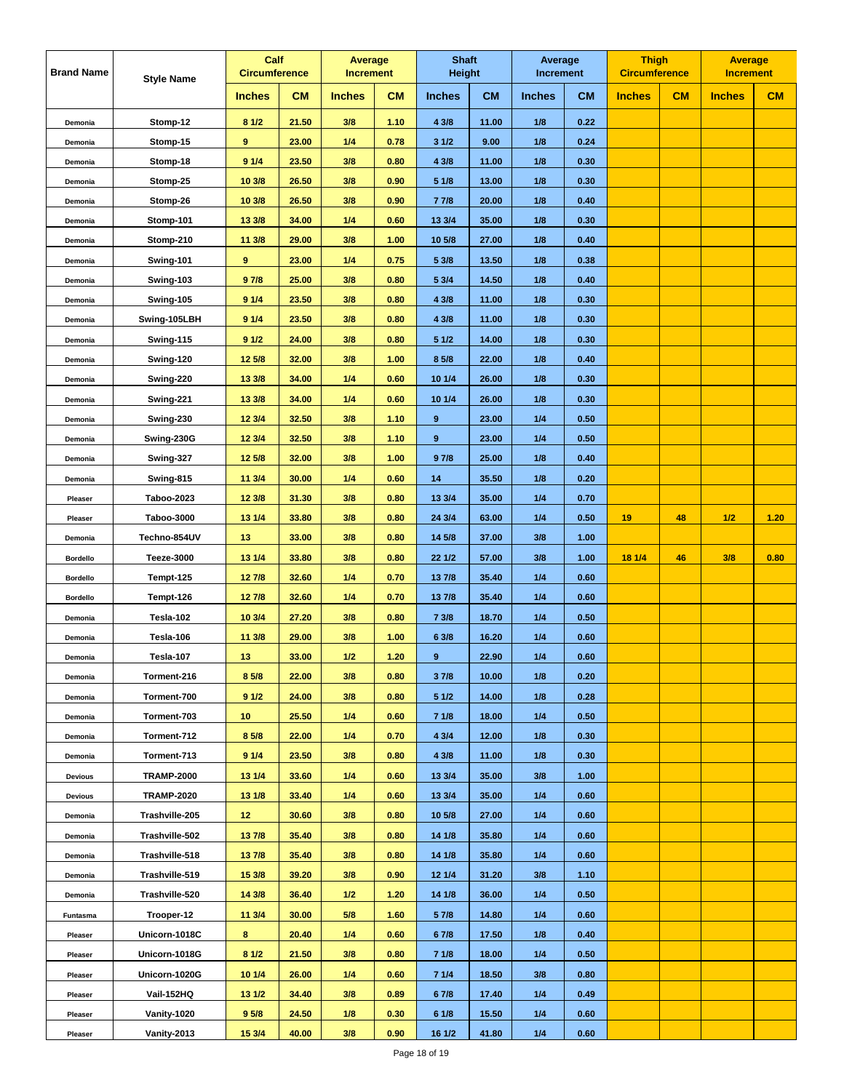| <b>Brand Name</b> | <b>Style Name</b> | Calf<br><b>Circumference</b> |           |               | Average<br><b>Increment</b> |               | <b>Shaft</b><br><b>Height</b> | Average<br><b>Increment</b> |           | <b>Thigh</b><br><b>Circumference</b> |    | <b>Average</b><br><b>Increment</b> |      |
|-------------------|-------------------|------------------------------|-----------|---------------|-----------------------------|---------------|-------------------------------|-----------------------------|-----------|--------------------------------------|----|------------------------------------|------|
|                   |                   | <b>Inches</b>                | <b>CM</b> | <b>Inches</b> | <b>CM</b>                   | <b>Inches</b> | CM                            | <b>Inches</b>               | <b>CM</b> | <b>Inches</b>                        | CM | <b>Inches</b>                      | CM   |
| Demonia           | Stomp-12          | 81/2                         | 21.50     | 3/8           | 1.10                        | 4 3/8         | 11.00                         | 1/8                         | 0.22      |                                      |    |                                    |      |
| Demonia           | Stomp-15          | 9                            | 23.00     | 1/4           | 0.78                        | 31/2          | 9.00                          | 1/8                         | 0.24      |                                      |    |                                    |      |
| Demonia           | Stomp-18          | 91/4                         | 23.50     | 3/8           | 0.80                        | 4 3/8         | 11.00                         | 1/8                         | 0.30      |                                      |    |                                    |      |
| Demonia           | Stomp-25          | 10 3/8                       | 26.50     | 3/8           | 0.90                        | 5 1/8         | 13.00                         | 1/8                         | 0.30      |                                      |    |                                    |      |
| Demonia           | Stomp-26          | 10 3/8                       | 26.50     | 3/8           | 0.90                        | 7 7/8         | 20.00                         | 1/8                         | 0.40      |                                      |    |                                    |      |
| Demonia           | Stomp-101         | 13 3/8                       | 34.00     | 1/4           | 0.60                        | 13 3/4        | 35.00                         | 1/8                         | 0.30      |                                      |    |                                    |      |
| Demonia           | Stomp-210         | 11 3/8                       | 29.00     | 3/8           | 1.00                        | 10 5/8        | 27.00                         | 1/8                         | 0.40      |                                      |    |                                    |      |
| Demonia           | Swing-101         | 9                            | 23.00     | 1/4           | 0.75                        | 5 3/8         | 13.50                         | 1/8                         | 0.38      |                                      |    |                                    |      |
| Demonia           | Swing-103         | 97/8                         | 25.00     | 3/8           | 0.80                        | 5 3/4         | 14.50                         | 1/8                         | 0.40      |                                      |    |                                    |      |
| Demonia           | Swing-105         | 91/4                         | 23.50     | 3/8           | 0.80                        | 4 3/8         | 11.00                         | 1/8                         | 0.30      |                                      |    |                                    |      |
| Demonia           | Swing-105LBH      | 91/4                         | 23.50     | 3/8           | 0.80                        | 4 3/8         | 11.00                         | 1/8                         | 0.30      |                                      |    |                                    |      |
| Demonia           | Swing-115         | 91/2                         | 24.00     | 3/8           | 0.80                        | 51/2          | 14.00                         | 1/8                         | 0.30      |                                      |    |                                    |      |
| Demonia           | Swing-120         | 12 5/8                       | 32.00     | 3/8           | 1.00                        | 8 5/8         | 22.00                         | 1/8                         | 0.40      |                                      |    |                                    |      |
| Demonia           | Swing-220         | 13 3/8                       | 34.00     | 1/4           | 0.60                        | 10 1/4        | 26.00                         | 1/8                         | 0.30      |                                      |    |                                    |      |
| Demonia           | Swing-221         | 13 3/8                       | 34.00     | 1/4           | 0.60                        | 10 1/4        | 26.00                         | 1/8                         | 0.30      |                                      |    |                                    |      |
| Demonia           | Swing-230         | 12 3/4                       | 32.50     | 3/8           | 1.10                        | 9             | 23.00                         | 1/4                         | 0.50      |                                      |    |                                    |      |
| Demonia           | Swing-230G        | 12 3/4                       | 32.50     | 3/8           | 1.10                        | $\pmb{9}$     | 23.00                         | 1/4                         | 0.50      |                                      |    |                                    |      |
| Demonia           | Swing-327         | 12 5/8                       | 32.00     | 3/8           | 1.00                        | 97/8          | 25.00                         | 1/8                         | 0.40      |                                      |    |                                    |      |
| Demonia           | Swing-815         | 11 3/4                       | 30.00     | 1/4           | 0.60                        | 14            | 35.50                         | 1/8                         | 0.20      |                                      |    |                                    |      |
| Pleaser           | <b>Taboo-2023</b> | 12 3/8                       | 31.30     | 3/8           | 0.80                        | 13 3/4        | 35.00                         | 1/4                         | 0.70      |                                      |    |                                    |      |
| Pleaser           | <b>Taboo-3000</b> | 13 1/4                       | 33.80     | 3/8           | 0.80                        | 24 3/4        | 63.00                         | 1/4                         | 0.50      | 19                                   | 48 | 1/2                                | 1.20 |
| Demonia           | Techno-854UV      | 13                           | 33.00     | 3/8           | 0.80                        | 14 5/8        | 37.00                         | 3/8                         | 1.00      |                                      |    |                                    |      |
| <b>Bordello</b>   | <b>Teeze-3000</b> | 13 1/4                       | 33.80     | 3/8           | 0.80                        | 22 1/2        | 57.00                         | 3/8                         | 1.00      | 18 1/4                               | 46 | 3/8                                | 0.80 |
| <b>Bordello</b>   | Tempt-125         | 127/8                        | 32.60     | 1/4           | 0.70                        | 13 7/8        | 35.40                         | 1/4                         | 0.60      |                                      |    |                                    |      |
| <b>Bordello</b>   | Tempt-126         | 127/8                        | 32.60     | 1/4           | 0.70                        | 13 7/8        | 35.40                         | 1/4                         | 0.60      |                                      |    |                                    |      |
| Demonia           | Tesla-102         | 10 3/4                       | 27.20     | 3/8           | 0.80                        | 7 3/8         | 18.70                         | 1/4                         | 0.50      |                                      |    |                                    |      |
| Demonia           | Tesla-106         | 113/8                        | 29.00     | 3/8           | 1.00                        | 6 3/8         | 16.20                         | 1/4                         | 0.60      |                                      |    |                                    |      |
| Demonia           | Tesla-107         | 13                           | 33.00     | 1/2           | 1.20                        | $\bf{9}$      | 22.90                         | 1/4                         | 0.60      |                                      |    |                                    |      |
| Demonia           | Torment-216       | 8 5/8                        | 22.00     | 3/8           | 0.80                        | 37/8          | 10.00                         | 1/8                         | 0.20      |                                      |    |                                    |      |
| Demonia           | Torment-700       | 91/2                         | 24.00     | 3/8           | 0.80                        | 51/2          | 14.00                         | 1/8                         | 0.28      |                                      |    |                                    |      |
| Demonia           | Torment-703       | 10                           | 25.50     | 1/4           | 0.60                        | 71/8          | 18.00                         | 1/4                         | 0.50      |                                      |    |                                    |      |
| Demonia           | Torment-712       | 8 5/8                        | 22.00     | 1/4           | 0.70                        | 43/4          | 12.00                         | 1/8                         | 0.30      |                                      |    |                                    |      |
| Demonia           | Torment-713       | 91/4                         | 23.50     | 3/8           | 0.80                        | 4 3/8         | 11.00                         | 1/8                         | 0.30      |                                      |    |                                    |      |
| <b>Devious</b>    | <b>TRAMP-2000</b> | 13 1/4                       | 33.60     | 1/4           | 0.60                        | 13 3/4        | 35.00                         | 3/8                         | 1.00      |                                      |    |                                    |      |
| <b>Devious</b>    | <b>TRAMP-2020</b> | 13 1/8                       | 33.40     | 1/4           | 0.60                        | 13 3/4        | 35.00                         | 1/4                         | 0.60      |                                      |    |                                    |      |
| Demonia           | Trashville-205    | 12 <sub>2</sub>              | 30.60     | 3/8           | 0.80                        | 10 5/8        | 27.00                         | 1/4                         | 0.60      |                                      |    |                                    |      |
| Demonia           | Trashville-502    | 137/8                        | 35.40     | 3/8           | 0.80                        | 14 1/8        | 35.80                         | 1/4                         | 0.60      |                                      |    |                                    |      |
| Demonia           | Trashville-518    | 137/8                        | 35.40     | 3/8           | 0.80                        | 14 1/8        | 35.80                         | 1/4                         | 0.60      |                                      |    |                                    |      |
| Demonia           | Trashville-519    | 15 3/8                       | 39.20     | 3/8           | 0.90                        | 12 1/4        | 31.20                         | 3/8                         | 1.10      |                                      |    |                                    |      |
| Demonia           | Trashville-520    | 14 3/8                       | 36.40     | $1/2$         | 1.20                        | 14 1/8        | 36.00                         | 1/4                         | 0.50      |                                      |    |                                    |      |
| Funtasma          | Trooper-12        | 11 3/4                       | 30.00     | 5/8           | 1.60                        | 5 7/8         | 14.80                         | 1/4                         | 0.60      |                                      |    |                                    |      |
| Pleaser           | Unicorn-1018C     | 8                            | 20.40     | 1/4           | 0.60                        | 67/8          | 17.50                         | 1/8                         | 0.40      |                                      |    |                                    |      |
| Pleaser           | Unicorn-1018G     | 81/2                         | 21.50     | 3/8           | 0.80                        | 71/8          | 18.00                         | 1/4                         | 0.50      |                                      |    |                                    |      |
| Pleaser           | Unicorn-1020G     | 10 1/4                       | 26.00     | 1/4           | 0.60                        | 71/4          | 18.50                         | 3/8                         | 0.80      |                                      |    |                                    |      |
| Pleaser           | Vail-152HQ        | 13 1/2                       | 34.40     | 3/8           | 0.89                        | 67/8          | 17.40                         | 1/4                         | 0.49      |                                      |    |                                    |      |
| Pleaser           | Vanity-1020       | 9 <sub>5/8</sub>             | 24.50     | 1/8           | 0.30                        | 61/8          | 15.50                         | 1/4                         | 0.60      |                                      |    |                                    |      |
| Pleaser           | Vanity-2013       | 15 3/4                       | 40.00     | 3/8           | 0.90                        | 16 1/2        | 41.80                         | 1/4                         | 0.60      |                                      |    |                                    |      |